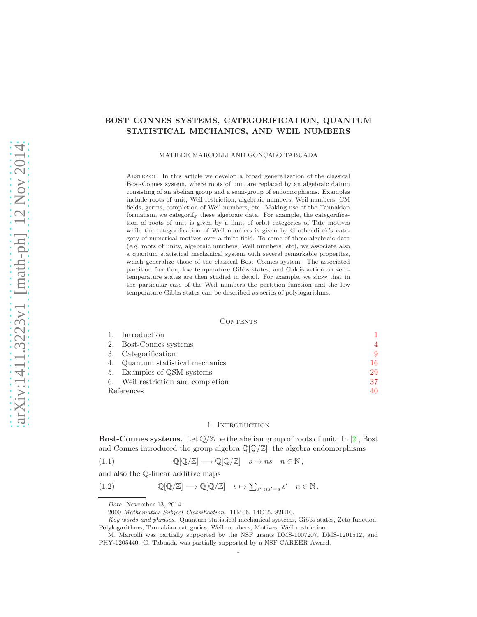# BOST–CONNES SYSTEMS, CATEGORIFICATION, QUANTUM STATISTICAL MECHANICS, AND WEIL NUMBERS

### MATILDE MARCOLLI AND GONÇALO TABUADA

Abstract. In this article we develop a broad generalization of the classical Bost-Connes system, where roots of unit are replaced by an algebraic datum consisting of an abelian group and a semi-group of endomorphisms. Examples include roots of unit, Weil restriction, algebraic numbers, Weil numbers, CM fields, germs, completion of Weil numbers, etc. Making use of the Tannakian formalism, we categorify these algebraic data. For example, the categorification of roots of unit is given by a limit of orbit categories of Tate motives while the categorification of Weil numbers is given by Grothendieck's category of numerical motives over a finite field. To some of these algebraic data (e.g. roots of unity, algebraic numbers, Weil numbers, etc), we associate also a quantum statistical mechanical system with several remarkable properties, which generalize those of the classical Bost–Connes system. The associated partition function, low temperature Gibbs states, and Galois action on zerotemperature states are then studied in detail. For example, we show that in the particular case of the Weil numbers the partition function and the low temperature Gibbs states can be described as series of polylogarithms.

## **CONTENTS**

|            | Introduction                       |    |
|------------|------------------------------------|----|
|            | 2. Bost-Connes systems             | 4  |
|            | 3. Categorification                | 9  |
| 4.         | Quantum statistical mechanics      | 16 |
|            | 5. Examples of QSM-systems         | 29 |
|            | 6. Weil restriction and completion | 37 |
| References |                                    | 40 |

## <span id="page-0-1"></span>1. INTRODUCTION

<span id="page-0-0"></span>**Bost-Connes systems.** Let  $\mathbb{Q}/\mathbb{Z}$  be the abelian group of roots of unit. In [\[2\]](#page-39-1), Bost and Connes introduced the group algebra  $\mathbb{Q}[\mathbb{Q}/\mathbb{Z}]$ , the algebra endomorphisms

(1.1) Q[Q/Z] −→ Q[Q/Z] s 7→ ns n ∈ N ,

and also the Q-linear additive maps

(1.2)  $\mathbb{Q}[\mathbb{Q}/\mathbb{Z}] \longrightarrow \mathbb{Q}[\mathbb{Q}/\mathbb{Z}] \quad s \mapsto \sum_{s'|ns'=s} s' \quad n \in \mathbb{N}.$ 

<span id="page-0-2"></span>Date: November 13, 2014.

<sup>2000</sup> Mathematics Subject Classification. 11M06, 14C15, 82B10.

Key words and phrases. Quantum statistical mechanical systems, Gibbs states, Zeta function, Polylogarithms, Tannakian categories, Weil numbers, Motives, Weil restriction.

M. Marcolli was partially supported by the NSF grants DMS-1007207, DMS-1201512, and PHY-1205440. G. Tabuada was partially supported by a NSF CAREER Award.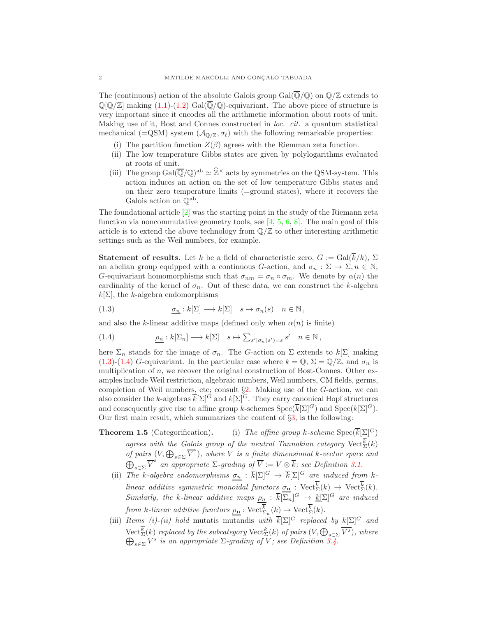The (continuous) action of the absolute Galois group  $Gal(\overline{Q}/Q)$  on  $\mathbb{Q}/\mathbb{Z}$  extends to  $\mathbb{Q}[\mathbb{Q}/\mathbb{Z}]$  making  $(1.1)-(1.2)$  $(1.1)-(1.2)$  Gal $(\mathbb{Q}/\mathbb{Q})$ -equivariant. The above piece of structure is very important since it encodes all the arithmetic information about roots of unit. Making use of it, Bost and Connes constructed in loc. cit. a quantum statistical mechanical (=QSM) system  $(\mathcal{A}_{\mathbb{Q}/\mathbb{Z}}, \sigma_t)$  with the following remarkable properties:

- (i) The partition function  $Z(\beta)$  agrees with the Riemman zeta function.
- (ii) The low temperature Gibbs states are given by polylogarithms evaluated at roots of unit.
- (iii) The group  $Gal(\overline{\mathbb{Q}}/\mathbb{Q})^{\text{ab}} \simeq \widehat{\mathbb{Z}}^{\times}$  acts by symmetries on the QSM-system. This action induces an action on the set of low temperature Gibbs states and on their zero temperature limits (=ground states), where it recovers the Galois action on  $\mathbb{Q}^{\text{ab}}$ .

The foundational article [\[2\]](#page-39-1) was the starting point in the study of the Riemann zeta function via noncommutative geometry tools, see  $[4, 5, 6, 8]$  $[4, 5, 6, 8]$  $[4, 5, 6, 8]$  $[4, 5, 6, 8]$  $[4, 5, 6, 8]$  $[4, 5, 6, 8]$ . The main goal of this article is to extend the above technology from  $\mathbb{Q}/\mathbb{Z}$  to other interesting arithmetic settings such as the Weil numbers, for example.

**Statement of results.** Let k be a field of characteristic zero,  $G := \text{Gal}(\overline{k}/k)$ ,  $\Sigma$ an abelian group equipped with a continuous G-action, and  $\sigma_n : \Sigma \to \Sigma$ ,  $n \in \mathbb{N}$ , G-equivariant homomorphisms such that  $\sigma_{nm} = \sigma_n \circ \sigma_m$ . We denote by  $\alpha(n)$  the cardinality of the kernel of  $\sigma_n$ . Out of these data, we can construct the k-algebra  $k[\Sigma]$ , the k-algebra endomorphisms

<span id="page-1-0"></span>(1.3) 
$$
\underline{\sigma_n}: k[\Sigma] \longrightarrow k[\Sigma] \quad s \mapsto \sigma_n(s) \quad n \in \mathbb{N},
$$

and also the k-linear additive maps (defined only when  $\alpha(n)$ ) is finite)

<span id="page-1-1"></span>(1.4) 
$$
\underline{\rho_n}: k[\Sigma_n] \longrightarrow k[\Sigma] \quad s \mapsto \sum_{s' \mid \sigma_n(s') = s} s' \quad n \in \mathbb{N},
$$

here  $\Sigma_n$  stands for the image of  $\sigma_n$ . The G-action on  $\Sigma$  extends to  $k[\Sigma]$  making [\(1.3\)](#page-1-0)-[\(1.4\)](#page-1-1) G-equivariant. In the particular case where  $k = \mathbb{Q}, \Sigma = \mathbb{Q}/\mathbb{Z}$ , and  $\sigma_n$  is multiplication of  $n$ , we recover the original construction of Bost-Connes. Other examples include Weil restriction, algebraic numbers, Weil numbers, CM fields, germs, completion of Weil numbers, etc; consult §[2.](#page-3-0) Making use of the G-action, we can also consider the k-algebras  $\overline{k}[\Sigma]^G$  and  $k[\Sigma]^G$ . They carry canonical Hopf structures and consequently give rise to affine group k-schemes  $Spec(\overline{k}[\Sigma]^G)$  and  $Spec(k[\Sigma]^G)$ . Our first main result, which summarizes the content of  $\S3$ , is the following:

- **Theorem 1.5** (Categorification). (i) The affine group k-scheme  $Spec(\overline{k}[\Sigma]^G)$ agrees with the Galois group of the neutral Tannakian category  $\mathrm{Vect}_{\Sigma}^k(k)$ of pairs  $(V, \bigoplus_{s \in \Sigma} \overline{V}^s)$ , where V is a finite dimensional k-vector space and  $\bigoplus_{s\in\Sigma} \overline{V}^s$  an appropriate  $\Sigma$ -grading of  $\overline{V} := V \otimes \overline{k}$ ; see Definition [3.1.](#page-8-1)
	- (ii) The k-algebra endomorphisms  $\underline{\sigma_n}$  :  $\overline{k}[\Sigma]^G \to \overline{k}[\Sigma]^G$  are induced from klinear additive symmetric monoidal functors  $\sigma_{\mathbf{n}} : \text{Vect}_{\Sigma}^{k}(k) \to \text{Vect}_{\Sigma}^{k}(k)$ . Similarly, the k-linear additive maps  $\rho_n : \overline{k}[\Sigma_n]^G \to \underline{k}[\Sigma]^G$  are induced from k-linear additive functors  $\rho_{\mathbf{n}} : \text{Vect}_{\Sigma_n}^k(k) \to \text{Vect}_{\Sigma}^k(k)$ .
	- (iii) Items (i)-(ii) hold mutatis mutandis with  $\overline{k}[\Sigma]^G$  replaced by  $k[\Sigma]^G$  and Vect<sup>k</sup><sub> $\Sigma$ </sub>(k) replaced by the subcategory Vect<sup>k</sup><sub> $\Sigma$ </sub>(k) of pairs  $(V, \bigoplus_{s \in \Sigma} \overline{V^s})$ , where  $\bigoplus_{s \in \Sigma} V^s$  is an appropriate  $\Sigma$ -grading of V; see Definition 3.4.  $\sum_{s \in \Sigma} V^s$  is an appropriate  $\Sigma$ -grading of V; see Definition [3.4.](#page-9-0)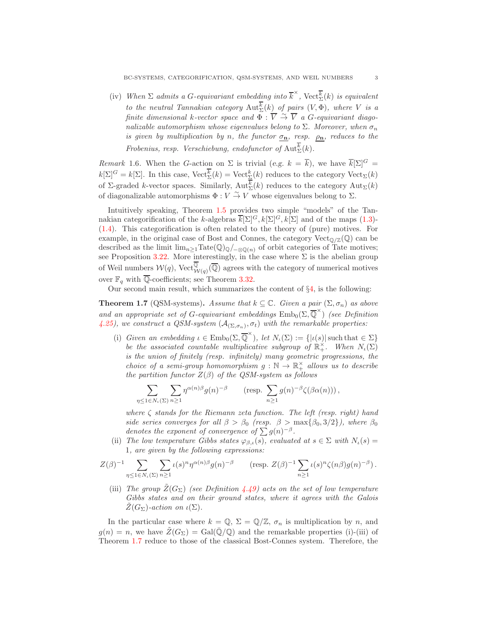(iv) When  $\Sigma$  admits a G-equivariant embedding into  $\overline{k}^{\times}$ , Vect $\overline{\overline{k}}(k)$  is equivalent to the neutral Tannakian category  ${\rm Aut}^k_\Sigma(k)$  of pairs  $(V,\Phi)$ , where V is a finite dimensional k-vector space and  $\Phi : \overline{V} \overset{\sim}{\to} \overline{V}$  a G-equivariant diagonalizable automorphism whose eigenvalues belong to  $\Sigma$ . Moreover, when  $\sigma_n$ is given by multiplication by n, the functor  $\sigma_{\mathbf{n}}$ , resp.  $\rho_{\mathbf{n}}$ , reduces to the Frobenius, resp. Verschiebung, endofunctor of  $\text{Aut}^k_{\Sigma}(k)$ .

Remark 1.6. When the G-action on  $\Sigma$  is trivial (e.g.  $k = \overline{k}$ ), we have  $\overline{k}[\Sigma]^G =$  $k[\Sigma]^G = k[\Sigma]$ . In this case,  $\text{Vect}_{\Sigma}^k(k) = \text{Vect}_{\Sigma}^k(k)$  reduces to the category  $\text{Vect}_{\Sigma}(k)$ of  $\Sigma$ -graded k-vector spaces. Similarly,  $\mathrm{Aut}^k_{\Sigma}(k)$  reduces to the category  $\mathrm{Aut}_{\Sigma}(k)$ of diagonalizable automorphisms  $\Phi : V \stackrel{\sim}{\to} V$  whose eigenvalues belong to  $\Sigma$ .

Intuitively speaking, Theorem 1.5 provides two simple "models" of the Tannakian categorification of the k-algebras  $\overline{k}[\Sigma]^G, k[\Sigma]^G, k[\Sigma]$  and of the maps [\(1.3\)](#page-1-0)-[\(1.4\)](#page-1-1). This categorification is often related to the theory of (pure) motives. For example, in the original case of Bost and Connes, the category  $Vect_{\mathbb{Q}}/\mathbb{Z}(\mathbb{Q})$  can be described as the limit  $\lim_{n\geq 1} \text{Tate}(\mathbb{Q})_{\mathbb{Q}}/\mathbb{Q}_{\mathbb{Q}(n)}$  of orbit categories of Tate motives; see Proposition [3.22.](#page-13-0) More interestingly, in the case where  $\Sigma$  is the abelian group of Weil numbers  $W(q)$ , Vect $_{W(q)}^{\mathbb{Q}}(\overline{\mathbb{Q}})$  agrees with the category of numerical motives over  $\mathbb{F}_q$  with  $\overline{\mathbb{Q}}$ -coefficients; see Theorem [3.32.](#page-14-0)

Our second main result, which summarizes the content of  $\S4$ , is the following:

<span id="page-2-0"></span>**Theorem 1.7** (QSM-systems). Assume that  $k \subseteq \mathbb{C}$ . Given a pair  $(\Sigma, \sigma_n)$  as above and an appropriate set of G-equivariant embeddings  $\mathrm{Emb}_0(\Sigma, \overline{\mathbb{Q}}^{\times})$  (see Definition [4.25\)](#page-20-0), we construct a QSM-system  $(A_{(\Sigma,\sigma_n)}, \sigma_t)$  with the remarkable properties:

(i) Given an embedding  $\iota \in \text{Emb}_0(\Sigma, \overline{\mathbb{Q}}^{\times})$ , let  $N_{\iota}(\Sigma) := \{ |\iota(s)| \text{ such that } \in \Sigma \}$ be the associated countable multiplicative subgroup of  $\mathbb{R}^{\times}_+$ . When  $N_{\iota}(\Sigma)$ is the union of finitely (resp. infinitely) many geometric progressions, the choice of a semi-group homomorphism  $g : \mathbb{N} \to \mathbb{R}^{\times}_{+}$  allows us to describe the partition functor  $Z(\beta)$  of the QSM-system as follows

$$
\sum_{\eta \leq 1 \in N_{\iota}(\Sigma)} \sum_{n \geq 1} \eta^{\alpha(n)\beta} g(n)^{-\beta} \qquad \text{(resp. } \sum_{n \geq 1} g(n)^{-\beta} \zeta(\beta \alpha(n))\text{)},
$$

where  $\zeta$  stands for the Riemann zeta function. The left (resp. right) hand side series converges for all  $\beta > \beta_0$  (resp.  $\beta > \max{\{\beta_0, 3/2\}}$ ), where  $\beta_0$ denotes the exponent of convergence of  $\sum g(n)^{-\beta}$ .

(ii) The low temperature Gibbs states  $\varphi_{\beta,\iota}(s)$ , evaluated at  $s \in \Sigma$  with  $N_{\iota}(s)$  = 1, are given by the following expressions:

$$
Z(\beta)^{-1} \sum_{\eta \leq 1 \in N_{\iota}(\Sigma)} \sum_{n \geq 1} \iota(s)^n \eta^{\alpha(n)\beta} g(n)^{-\beta} \qquad \text{(resp. } Z(\beta)^{-1} \sum_{n \geq 1} \iota(s)^n \zeta(n\beta) g(n)^{-\beta}\text{)}.
$$

(iii) The group  $\tilde{Z}(G_{\Sigma})$  (see Definition [4.49\)](#page-26-0) acts on the set of low temperature Gibbs states and on their ground states, where it agrees with the Galois  $Z(G_{\Sigma})$ -action on  $\iota(\Sigma)$ .

In the particular case where  $k = \mathbb{Q}, \Sigma = \mathbb{Q}/\mathbb{Z}, \sigma_n$  is multiplication by n, and  $g(n) = n$ , we have  $\bar{Z}(G_{\Sigma}) = \text{Gal}(\overline{\mathbb{Q}}/\mathbb{Q})$  and the remarkable properties (i)-(iii) of Theorem [1.7](#page-2-0) reduce to those of the classical Bost-Connes system. Therefore, the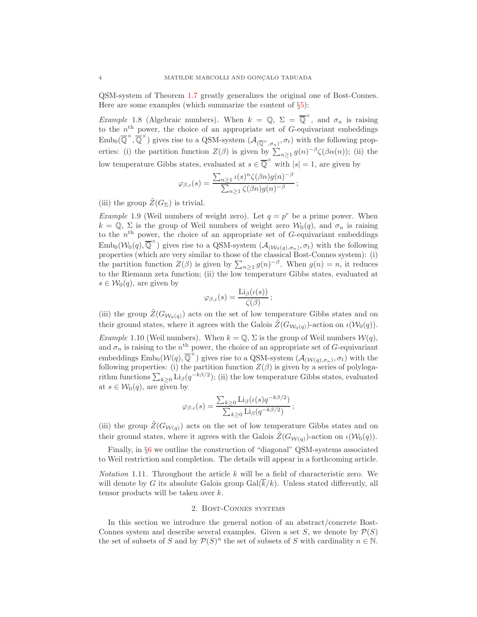QSM-system of Theorem [1.7](#page-2-0) greatly generalizes the original one of Bost-Connes. Here are some examples (which summarize the content of  $\S5$ ):

*Example* 1.8 (Algebraic numbers). When  $k = \mathbb{Q}, \Sigma = \overline{\mathbb{Q}}^{\times}$ , and  $\sigma_n$  is raising to the  $n<sup>th</sup>$  power, the choice of an appropriate set of G-equivariant embeddings  $\text{Emb}_0(\overline{\mathbb{Q}}^{\times}, \overline{\mathbb{Q}}^{\times})$  gives rise to a QSM-system  $(\mathcal{A}_{(\overline{\mathbb{Q}}^{\times}, \sigma_n)}, \sigma_t)$  with the following properties: (i) the partition function  $Z(\beta)$  is given by  $\sum_{n\geq 1} g(n)^{-\beta} \zeta(\beta \alpha(n))$ ; (ii) the low temperature Gibbs states, evaluated at  $s \in \overline{\mathbb{Q}}^{\times}$  with  $|s| = 1$ , are given by

$$
\varphi_{\beta,\iota}(s) = \frac{\sum_{n\geq 1} \iota(s)^n \zeta(\beta n) g(n)^{-\beta}}{\sum_{n\geq 1} \zeta(\beta n) g(n)^{-\beta}};
$$

(iii) the group  $\tilde{Z}(G_{\Sigma})$  is trivial.

*Example* 1.9 (Weil numbers of weight zero). Let  $q = p^r$  be a prime power. When  $k = \mathbb{Q}, \Sigma$  is the group of Weil numbers of weight zero  $\mathcal{W}_0(q)$ , and  $\sigma_n$  is raising to the  $n<sup>th</sup>$  power, the choice of an appropriate set of G-equivariant embeddings  $\text{Emb}_0(\mathcal{W}_0(q), \overline{\mathbb{Q}}^{\times})$  gives rise to a QSM-system  $(\mathcal{A}_{(\mathcal{W}_0(q), \sigma_n)}, \sigma_t)$  with the following properties (which are very similar to those of the classical Bost-Connes system): (i) the partition function  $Z(\beta)$  is given by  $\sum_{n\geq 1} g(n)^{-\beta}$ . When  $g(n) = n$ , it reduces to the Riemann zeta function; (ii) the low temperature Gibbs states, evaluated at  $s \in \mathcal{W}_0(q)$ , are given by

$$
\varphi_{\beta,\iota}(s) = \frac{\operatorname{Li}_{\beta}(\iota(s))}{\zeta(\beta)};
$$

(iii) the group  $\tilde{Z}(G_{W_0(q)})$  acts on the set of low temperature Gibbs states and on their ground states, where it agrees with the Galois  $\widetilde{Z}(G_{\mathcal{W}_0(q)})$ -action on  $\iota(\mathcal{W}_0(q))$ .

Example 1.10 (Weil numbers). When  $k = \mathbb{Q}, \Sigma$  is the group of Weil numbers  $\mathcal{W}(q)$ , and  $\sigma_n$  is raising to the  $n^{\text{th}}$  power, the choice of an appropriate set of G-equivariant embeddings  $\text{Emb}_0(\mathcal{W}(q), \overline{\mathbb{Q}}^{\times})$  gives rise to a QSM-system  $(\mathcal{A}_{(\mathcal{W}(q), \sigma_n)}, \sigma_t)$  with the following properties: (i) the partition function  $Z(\beta)$  is given by a series of polylogarithm functions  $\sum_{k\geq 0} \text{Li}_{\beta}(q^{-k\beta/2})$ ; (ii) the low temperature Gibbs states, evaluated at  $s \in W_0(q)$ , are given by

$$
\varphi_{\beta,\iota}(s) = \frac{\sum_{k\geq 0} \text{Li}_{\beta}(\iota(s)q^{-k\beta/2})}{\sum_{k\geq 0} \text{Li}_{\beta}(q^{-k\beta/2})};
$$

(iii) the group  $\tilde{Z}(G_{W(q)})$  acts on the set of low temperature Gibbs states and on their ground states, where it agrees with the Galois  $\tilde{Z}(G_{\mathcal{W}(q)})$ -action on  $\iota(\mathcal{W}_0(q))$ .

Finally, in §[6](#page-36-0) we outline the construction of "diagonal" QSM-systems associated to Weil restriction and completion. The details will appear in a forthcoming article.

*Notation* 1.11. Throughout the article  $k$  will be a field of characteristic zero. We will denote by G its absolute Galois group  $Gal(k/k)$ . Unless stated differently, all tensor products will be taken over k.

### 2. Bost-Connes systems

<span id="page-3-0"></span>In this section we introduce the general notion of an abstract/concrete Bost-Connes system and describe several examples. Given a set S, we denote by  $\mathcal{P}(S)$ the set of subsets of S and by  $P(S)^n$  the set of subsets of S with cardinality  $n \in \mathbb{N}$ .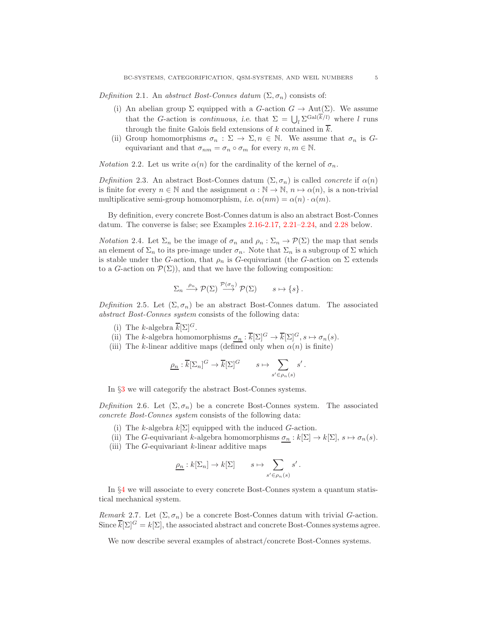<span id="page-4-0"></span>Definition 2.1. An abstract Bost-Connes datum  $(\Sigma, \sigma_n)$  consists of:

- (i) An abelian group  $\Sigma$  equipped with a G-action  $G \to \text{Aut}(\Sigma)$ . We assume that the G-action is *continuous*, i.e. that  $\Sigma = \bigcup_l \sum_{i=1}^{|\overline{K}/l|}$  where l runs through the finite Galois field extensions of k contained in  $\overline{k}$ .
- (ii) Group homomorphisms  $\sigma_n : \Sigma \to \Sigma, n \in \mathbb{N}$ . We assume that  $\sigma_n$  is Gequivariant and that  $\sigma_{nm} = \sigma_n \circ \sigma_m$  for every  $n, m \in \mathbb{N}$ .

*Notation* 2.2. Let us write  $\alpha(n)$  for the cardinality of the kernel of  $\sigma_n$ .

<span id="page-4-1"></span>Definition 2.3. An abstract Bost-Connes datum  $(\Sigma, \sigma_n)$  is called *concrete* if  $\alpha(n)$ is finite for every  $n \in \mathbb{N}$  and the assignment  $\alpha : \mathbb{N} \to \mathbb{N}$ ,  $n \mapsto \alpha(n)$ , is a non-trivial multiplicative semi-group homomorphism, i.e.  $\alpha(nm) = \alpha(n) \cdot \alpha(m)$ .

By definition, every concrete Bost-Connes datum is also an abstract Bost-Connes datum. The converse is false; see Examples [2.16-](#page-6-0)[2.17,](#page-6-1) [2.21–](#page-7-0)[2.24,](#page-7-1) and [2.28](#page-8-2) below.

*Notation* 2.4. Let  $\Sigma_n$  be the image of  $\sigma_n$  and  $\rho_n : \Sigma_n \to \mathcal{P}(\Sigma)$  the map that sends an element of  $\Sigma_n$  to its pre-image under  $\sigma_n$ . Note that  $\Sigma_n$  is a subgroup of  $\Sigma$  which is stable under the G-action, that  $\rho_n$  is G-equivariant (the G-action on  $\Sigma$  extends to a G-action on  $\mathcal{P}(\Sigma)$ , and that we have the following composition:

$$
\Sigma_n \xrightarrow{\rho_n} \mathcal{P}(\Sigma) \xrightarrow{\mathcal{P}(\sigma_n)} \mathcal{P}(\Sigma) \qquad s \mapsto \{s\}.
$$

Definition 2.5. Let  $(\Sigma, \sigma_n)$  be an abstract Bost-Connes datum. The associated abstract Bost-Connes system consists of the following data:

- (i) The k-algebra  $k[\Sigma]^G$ .
- (ii) The k-algebra homomorphisms  $\underline{\sigma_n} : \overline{k}[\Sigma]^G \to \overline{k}[\Sigma]^G, s \mapsto \sigma_n(s)$ .
- (iii) The k-linear additive maps (defined only when  $\alpha(n)$  is finite)

$$
\underline{\rho_n} : \overline{k}[\Sigma_n]^G \to \overline{k}[\Sigma]^G \qquad s \mapsto \sum_{s' \in \rho_n(s)} s'.
$$

In §[3](#page-8-0) we will categorify the abstract Bost-Connes systems.

<span id="page-4-2"></span>Definition 2.6. Let  $(\Sigma, \sigma_n)$  be a concrete Bost-Connes system. The associated concrete Bost-Connes system consists of the following data:

- (i) The k-algebra  $k[\Sigma]$  equipped with the induced G-action.
- (ii) The G-equivariant k-algebra homomorphisms  $\sigma_n : k[\Sigma] \to k[\Sigma]$ ,  $s \mapsto \sigma_n(s)$ .
- (iii) The  $G$ -equivariant  $k$ -linear additive maps

$$
\underline{\rho_n}:k[\Sigma_n]\to k[\Sigma]\qquad s\mapsto \sum_{s'\in\rho_n(s)}s'\,.
$$

In §[4](#page-15-0) we will associate to every concrete Bost-Connes system a quantum statistical mechanical system.

Remark 2.7. Let  $(\Sigma, \sigma_n)$  be a concrete Bost-Connes datum with trivial G-action. Since  $k[\Sigma]^G = k[\Sigma]$ , the associated abstract and concrete Bost-Connes systems agree.

We now describe several examples of abstract/concrete Bost-Connes systems.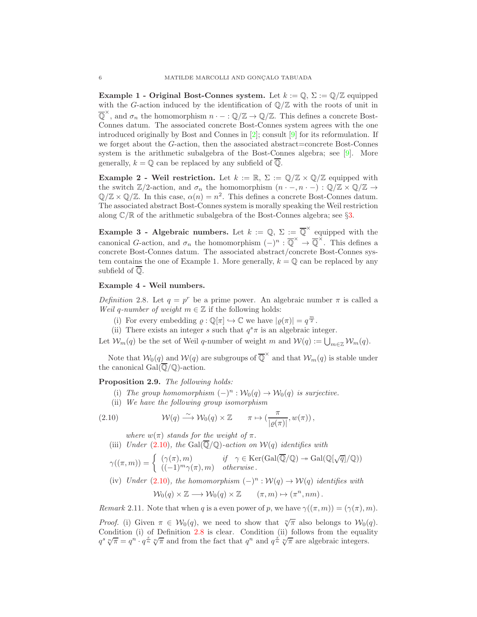Example 1 - Original Bost-Connes system. Let  $k := \mathbb{Q}, \Sigma := \mathbb{Q}/\mathbb{Z}$  equipped with the G-action induced by the identification of  $\mathbb{Q}/\mathbb{Z}$  with the roots of unit in  $\overline{\mathbb{Q}}^{\times}$ , and  $\sigma_n$  the homomorphism  $n \cdot - : \mathbb{Q}/\mathbb{Z} \to \mathbb{Q}/\mathbb{Z}$ . This defines a concrete Bost-Connes datum. The associated concrete Bost-Connes system agrees with the one introduced originally by Bost and Connes in  $[2]$ ; consult  $[9]$  for its reformulation. If we forget about the G-action, then the associated abstract=concrete Bost-Connes system is the arithmetic subalgebra of the Bost-Connes algebra; see [\[9\]](#page-39-6). More generally,  $k = \mathbb{Q}$  can be replaced by any subfield of  $\overline{\mathbb{Q}}$ .

Example 2 - Weil restriction. Let  $k := \mathbb{R}, \Sigma := \mathbb{Q}/\mathbb{Z} \times \mathbb{Q}/\mathbb{Z}$  equipped with the switch  $\mathbb{Z}/2$ -action, and  $\sigma_n$  the homomorphism  $(n \cdot -, n \cdot -): \mathbb{Q}/\mathbb{Z} \times \mathbb{Q}/\mathbb{Z} \to$  $\mathbb{Q}/\mathbb{Z} \times \mathbb{Q}/\mathbb{Z}$ . In this case,  $\alpha(n) = n^2$ . This defines a concrete Bost-Connes datum. The associated abstract Bost-Connes system is morally speaking the Weil restriction along  $\mathbb{C}/\mathbb{R}$  of the arithmetic subalgebra of the Bost-Connes algebra; see §[3.](#page-8-0)

**Example 3 - Algebraic numbers.** Let  $k := \mathbb{Q}, \Sigma := \overline{\mathbb{Q}}^{\times}$  equipped with the canonical G-action, and  $\sigma_n$  the homomorphism  $(-)^n : \overline{\mathbb{Q}}^{\times} \to \overline{\mathbb{Q}}^{\times}$ . This defines a concrete Bost-Connes datum. The associated abstract/concrete Bost-Connes system contains the one of Example 1. More generally,  $k = \mathbb{Q}$  can be replaced by any subfield of Q.

## Example 4 - Weil numbers.

<span id="page-5-1"></span>Definition 2.8. Let  $q = p^r$  be a prime power. An algebraic number  $\pi$  is called a Weil q-number of weight  $m \in \mathbb{Z}$  if the following holds:

- (i) For every embedding  $\varrho : \mathbb{Q}[\pi] \hookrightarrow \mathbb{C}$  we have  $|\varrho(\pi)| = q^{\frac{m}{2}}$ .
- (ii) There exists an integer s such that  $q^s \pi$  is an algebraic integer.

Let  $\mathcal{W}_m(q)$  be the set of Weil q-number of weight m and  $\mathcal{W}(q) := \bigcup_{m \in \mathbb{Z}} \mathcal{W}_m(q)$ .

Note that  $W_0(q)$  and  $W(q)$  are subgroups of  $\overline{\mathbb{Q}}^{\times}$  and that  $W_m(q)$  is stable under the canonical Gal $(\overline{\mathbb{Q}}/\mathbb{Q})$ -action.

<span id="page-5-2"></span>Proposition 2.9. The following holds:

- (i) The group homomorphism  $(-)^n : \mathcal{W}_0(q) \to \mathcal{W}_0(q)$  is surjective.
- (ii) We have the following group isomorphism

(2.10) 
$$
\mathcal{W}(q) \xrightarrow{\sim} \mathcal{W}_0(q) \times \mathbb{Z} \qquad \pi \mapsto \left(\frac{\pi}{|\varrho(\pi)|}, w(\pi)\right),
$$

<span id="page-5-0"></span>where  $w(\pi)$  stands for the weight of  $\pi$ .

(iii) Under [\(2.10\)](#page-5-0), the Gal( $\overline{\mathbb{Q}}/\mathbb{Q}$ )-action on  $\mathcal{W}(q)$  identifies with

$$
\gamma((\pi, m)) = \begin{cases}\n(\gamma(\pi), m) & \text{if } \gamma \in \text{Ker}(\text{Gal}(\overline{\mathbb{Q}}/\mathbb{Q}) \to \text{Gal}(\mathbb{Q}[\sqrt{q}]/\mathbb{Q})) \\
((-1)^m \gamma(\pi), m) & otherwise.\n\end{cases}
$$

(iv) Under [\(2.10\)](#page-5-0), the homomorphism  $(-)^n : \mathcal{W}(q) \to \mathcal{W}(q)$  identifies with

$$
\mathcal{W}_0(q) \times \mathbb{Z} \longrightarrow \mathcal{W}_0(q) \times \mathbb{Z} \qquad (\pi, m) \mapsto (\pi^n, nm) .
$$

Remark 2.11. Note that when q is a even power of p, we have  $\gamma((\pi, m)) = (\gamma(\pi), m)$ .

*Proof.* (i) Given  $\pi \in W_0(q)$ , we need to show that  $\sqrt[n]{\pi}$  also belongs to  $W_0(q)$ . Condition (i) of Definition [2.8](#page-5-1) is clear. Condition (ii) follows from the equality  $q^s \sqrt[n]{\pi} = q^{n} \cdot q^{\frac{s}{n}} \sqrt[n]{\pi}$  and from the fact that  $q^n$  and  $q^{\frac{s}{n}} \sqrt[n]{\pi}$  are algebraic integers.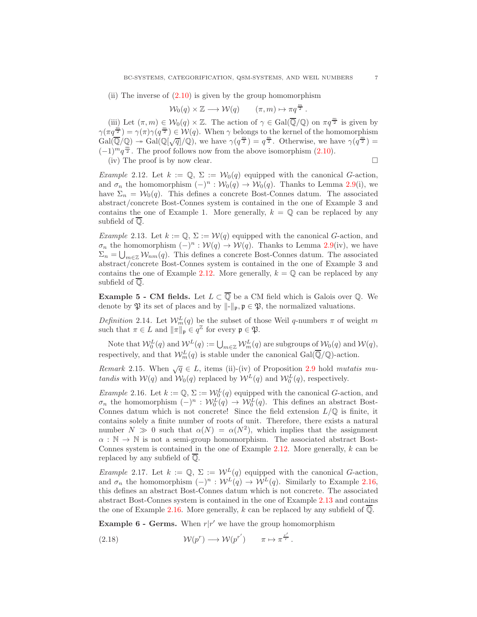(ii) The inverse of  $(2.10)$  is given by the group homomorphism

$$
\mathcal{W}_0(q) \times \mathbb{Z} \longrightarrow \mathcal{W}(q) \qquad (\pi, m) \mapsto \pi q^{\frac{m}{2}}.
$$

(iii) Let  $(\pi, m) \in \mathcal{W}_0(q) \times \mathbb{Z}$ . The action of  $\gamma \in \text{Gal}(\overline{\mathbb{Q}}/\mathbb{Q})$  on  $\pi q^{\frac{m}{2}}$  is given by  $\gamma(\pi q^{\frac{m}{2}}) = \gamma(\pi)\gamma(q^{\frac{m}{2}}) \in \mathcal{W}(q)$ . When  $\gamma$  belongs to the kernel of the homomorphism  $Gal(\overline{\mathbb{Q}}/\mathbb{Q}) \to Gal(\mathbb{Q}[\sqrt{q}]/\mathbb{Q})$ , we have  $\gamma(q^{\frac{m}{2}}) = q^{\frac{m}{2}}$ . Otherwise, we have  $\gamma(q^{\frac{m}{2}}) =$  $(-1)^mq^{\frac{m}{2}}$ . The proof follows now from the above isomorphism [\(2.10\)](#page-5-0). (iv) The proof is by now clear.  $\square$ 

<span id="page-6-2"></span>Example 2.12. Let  $k := \mathbb{Q}, \Sigma := \mathcal{W}_0(q)$  equipped with the canonical G-action, and  $\sigma_n$  the homomorphism  $(-)^n : \mathcal{W}_0(q) \to \mathcal{W}_0(q)$ . Thanks to Lemma [2.9\(](#page-5-2)i), we have  $\Sigma_n = \mathcal{W}_0(q)$ . This defines a concrete Bost-Connes datum. The associated abstract/concrete Bost-Connes system is contained in the one of Example 3 and contains the one of Example 1. More generally,  $k = \mathbb{Q}$  can be replaced by any subfield of Q.

<span id="page-6-3"></span>Example 2.13. Let  $k := \mathbb{Q}, \Sigma := \mathcal{W}(q)$  equipped with the canonical G-action, and  $\sigma_n$  the homomorphism  $(-)^n : \mathcal{W}(q) \to \mathcal{W}(q)$ . Thanks to Lemma [2.9\(](#page-5-2)iv), we have  $\Sigma_n = \bigcup_{m \in \mathbb{Z}} \mathcal{W}_{nm}(q)$ . This defines a concrete Bost-Connes datum. The associated abstract/concrete Bost-Connes system is contained in the one of Example 3 and contains the one of Example [2.12.](#page-6-2) More generally,  $k = \mathbb{Q}$  can be replaced by any subfield of  $\overline{\mathbb{Q}}$ .

**Example 5 - CM fields.** Let  $L \subset \overline{Q}$  be a CM field which is Galois over  $Q$ . We denote by  $\mathfrak P$  its set of places and by  $\|\cdot\|_{\mathfrak p}, \mathfrak p \in \mathfrak P$ , the normalized valuations.

Definition 2.14. Let  $W_m^L(q)$  be the subset of those Weil q-numbers  $\pi$  of weight m such that  $\pi \in L$  and  $\|\pi\|_{\mathfrak{p}} \in q^{\mathbb{Z}}$  for every  $\mathfrak{p} \in \mathfrak{P}$ .

Note that  $W_0^L(q)$  and  $W^L(q) := \bigcup_{m \in \mathbb{Z}} W_m^L(q)$  are subgroups of  $W_0(q)$  and  $W(q)$ , respectively, and that  $\mathcal{W}_m^L(q)$  is stable under the canonical  $Gal(\overline{\mathbb{Q}}/\mathbb{Q})$ -action.

<span id="page-6-5"></span>Remark 2.15. When  $\sqrt{q} \in L$ , items (ii)-(iv) of Proposition [2.9](#page-5-2) hold mutatis mutandis with  $W(q)$  and  $W_0(q)$  replaced by  $W^L(q)$  and  $W^L_0(q)$ , respectively.

<span id="page-6-0"></span>Example 2.16. Let  $k := \mathbb{Q}, \Sigma := \mathcal{W}_0^L(q)$  equipped with the canonical G-action, and  $\sigma_n$  the homomorphism  $(-)^n$ :  $\mathcal{W}_0^L(q) \to \mathcal{W}_0^L(q)$ . This defines an abstract Bost-Connes datum which is not concrete! Since the field extension  $L/\mathbb{Q}$  is finite, it contains solely a finite number of roots of unit. Therefore, there exists a natural number  $N \gg 0$  such that  $\alpha(N) = \alpha(N^2)$ , which implies that the assignment  $\alpha : \mathbb{N} \to \mathbb{N}$  is not a semi-group homomorphism. The associated abstract Bost-Connes system is contained in the one of Example [2.12.](#page-6-2) More generally,  $k$  can be replaced by any subfield of  $\overline{\mathbb{O}}$ .

<span id="page-6-1"></span>Example 2.17. Let  $k := \mathbb{Q}, \Sigma := \mathcal{W}^L(q)$  equipped with the canonical G-action, and  $\sigma_n$  the homomorphism  $(-)^n : \mathcal{W}^L(q) \to \mathcal{W}^L(q)$ . Similarly to Example [2.16,](#page-6-0) this defines an abstract Bost-Connes datum which is not concrete. The associated abstract Bost-Connes system is contained in the one of Example [2.13](#page-6-3) and contains the one of Example [2.16.](#page-6-0) More generally, k can be replaced by any subfield of  $\overline{Q}$ .

**Example 6 - Germs.** When  $r|r'$  we have the group homomorphism

<span id="page-6-4"></span>(2.18) 
$$
\mathcal{W}(p^r) \longrightarrow \mathcal{W}(p^{r'}) \qquad \pi \mapsto \pi^{\frac{r'}{r}}.
$$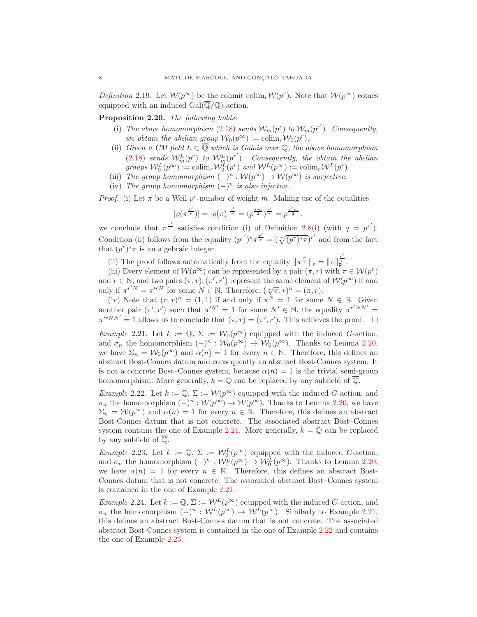Definition 2.19. Let  $W(p^{\infty})$  be the colimit colim<sub>r</sub>  $W(p^r)$ . Note that  $W(p^{\infty})$  comes equipped with an induced  $Gal(\overline{\mathbb{Q}}/\mathbb{Q})$ -action.

<span id="page-7-2"></span>Proposition 2.20. The following holds:

- (i) The above homomorphism [\(2.18\)](#page-6-4) sends  $\mathcal{W}_m(p^r)$  to  $\mathcal{W}_m(p^{r'})$ . Consequently, we obtain the abelian group  $\mathcal{W}_0(p^\infty) := \mathrm{colim}_r \mathcal{W}_0(p^r)$ .
- (ii) Given a CM field  $L \subset \overline{Q}$  which is Galois over  $Q$ , the above homomorphism [\(2.18\)](#page-6-4) sends  $W_m^L(p^r)$  to  $W_m^L(p^{r'})$ . Consequently, the obtain the abelian groups  $\mathcal{W}_0^L(p^{\infty}) := \operatorname{colim}_r \mathcal{W}_0^L(p^r)$  and  $\mathcal{W}^L(p^{\infty}) := \operatorname{colim}_r \mathcal{W}^L(p^r)$ .
- (iii) The group homomorphism  $(-)^n : \mathcal{W}(p^{\infty}) \to \mathcal{W}(p^{\infty})$  is surjective.
- (iv) The group homomorphism  $(-)^n$  is also injective.

*Proof.* (i) Let  $\pi$  be a Weil p<sup>r</sup>-number of weight m. Making use of the equalities

$$
|\varrho(\pi^{\frac{r'}{r}})| = |\varrho(\pi)|^{\frac{r'}{r}} = (p^{\frac{rm}{2}})^{\frac{r'}{r}} = p^{\frac{r'm}{2}},
$$

we conclude that  $\pi^{\frac{r'}{r}}$  satisfies condition (i) of Definition [2.8\(](#page-5-1)i) (with  $q = p^{r'}$ ). Condition (ii) follows from the equality  $(p^{r'})^s \pi^{\frac{r'}{r}} = (\sqrt[r]{(p^r)^s \pi})^{r'}$  and from the fact that  $(p^r)^s \pi$  is an algebraic integer.

(ii) The proof follows automatically from the equality  $\|\pi^{\frac{r'}{r}}\|_{\mathfrak{p}} = \|\pi\|_{\mathfrak{p}}^{\frac{r'}{r}}.$ 

(iii) Every element of  $\mathcal{W}(p^{\infty})$  can be represented by a pair  $(\pi, r)$  with  $\pi \in \mathcal{W}(p^r)$ and  $r \in \mathbb{N}$ , and two pairs  $(\pi, r)$ ,  $(\pi', r')$  represent the same element of  $\mathcal{W}(p^{\infty})$  if and only if  $\pi^{r'}N = \pi^{r}N$  for some  $N \in \mathbb{N}$ . Therefore,  $(\sqrt[n]{\pi}, r)^n = (\pi, r)$ .

(iv) Note that  $(\pi, r)^n = (1, 1)$  if and only if  $\pi^N = 1$  for some  $N \in \mathbb{N}$ . Given another pair  $(\pi', r')$  such that  $\pi'^{N'} = 1$  for some  $N' \in \mathbb{N}$ , the equality  $\pi^{r'NN'} =$  $\pi'^{rNN'} = 1$  allows us to conclude that  $(\pi, r) = (\pi', r')$ . This achieves the proof.  $\Box$ 

<span id="page-7-0"></span>Example 2.21. Let  $k := \mathbb{Q}, \Sigma := \mathcal{W}_0(p^\infty)$  equipped with the induced G-action, and  $\sigma_n$  the homomorphism  $(-)^n : \mathcal{W}_0(p^{\infty}) \to \mathcal{W}_0(p^{\infty})$ . Thanks to Lemma [2.20,](#page-7-2) we have  $\Sigma_n = \mathcal{W}_0(p^{\infty})$  and  $\alpha(n) = 1$  for every  $n \in \mathbb{N}$ . Therefore, this defines an abstract Bost-Connes datum and consequently an abstract Bost-Connes system. It is not a concrete Bost–Connes system, because  $\alpha(n) = 1$  is the trivial semi-group homomorphism. More generally,  $k = \mathbb{Q}$  can be replaced by any subfield of  $\overline{\mathbb{Q}}$ .

<span id="page-7-3"></span>Example 2.22. Let  $k := \mathbb{Q}, \Sigma := \mathcal{W}(p^{\infty})$  equipped with the induced G-action, and  $\sigma_n$  the homomorphism  $(-)^n : \mathcal{W}(p^{\infty}) \to \mathcal{W}(p^{\infty})$ . Thanks to Lemma [2.20,](#page-7-2) we have  $\Sigma_n = \mathcal{W}(p^{\infty})$  and  $\alpha(n) = 1$  for every  $n \in \mathbb{N}$ . Therefore, this defines an abstract Bost-Connes datum that is not concrete. The associated abstract Bost–Connes system contains the one of Example [2.21.](#page-7-0) More generally,  $k = \mathbb{Q}$  can be replaced by any subfield of Q.

<span id="page-7-4"></span>*Example* 2.23. Let  $k := \mathbb{Q}, \Sigma := \mathcal{W}_0^L(p^{\infty})$  equipped with the induced G-action, and  $\sigma_n$  the homomorphism  $(-)^n : \mathcal{W}_0^L(p^{\infty}) \to \mathcal{W}_0^L(p^{\infty})$ . Thanks to Lemma [2.20,](#page-7-2) we have  $\alpha(n) = 1$  for every  $n \in \mathbb{N}$ . Therefore, this defines an abstract Bost-Connes datum that is not concrete. The associated abstract Bost–Connes system is contained in the one of Example [2.21.](#page-7-0)

<span id="page-7-1"></span>Example 2.24. Let  $k := \mathbb{Q}, \Sigma := \mathcal{W}^L(p^\infty)$  equipped with the induced G-action, and  $\sigma_n$  the homomorphism  $(-)^n : \mathcal{W}^L(p^{\infty}) \to \mathcal{W}^L(p^{\infty})$ . Similarly to Example [2.21,](#page-7-0) this defines an abstract Bost-Connes datum that is not concrete. The associated abstract Bost-Connes system is contained in the one of Example [2.22](#page-7-3) and contains the one of Example [2.23.](#page-7-4)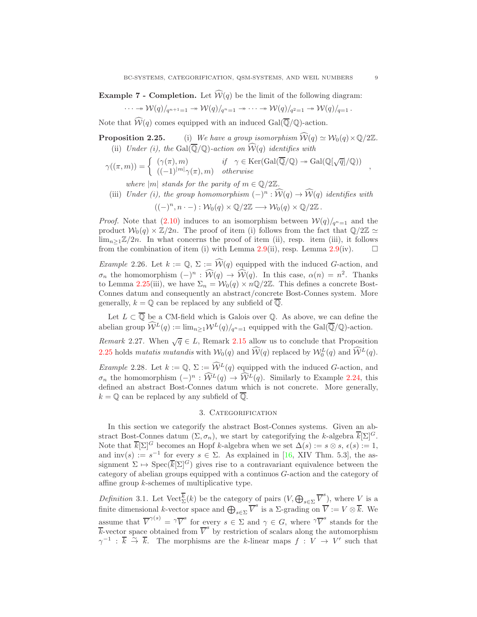**Example 7 - Completion.** Let  $\widehat{W}(q)$  be the limit of the following diagram:

$$
\cdots \twoheadrightarrow \mathcal{W}(q)/_{q^{n+1}=1} \twoheadrightarrow \mathcal{W}(q)/_{q^n=1} \twoheadrightarrow \cdots \twoheadrightarrow \mathcal{W}(q)/_{q^2=1} \twoheadrightarrow \mathcal{W}(q)/_{q=1}.
$$

Note that  $\widehat{\mathcal{W}}(q)$  comes equipped with an induced Gal( $\overline{\mathbb{Q}}/\mathbb{Q}$ )-action.

**Proposition 2.25.** (i) We have a group isomorphism  $\widehat{\mathcal{W}}(q) \simeq \mathcal{W}_0(q) \times \mathbb{Q}/2\mathbb{Z}$ . (ii) Under (i), the Gal( $\overline{\mathbb{Q}}/\mathbb{Q}$ )-action on  $\widehat{\mathcal{W}}(q)$  identifies with

$$
\gamma((\pi,m)) = \begin{cases}\n(\gamma(\pi),m) & \text{if } \gamma \in \text{Ker}(\text{Gal}(\overline{\mathbb{Q}}/\mathbb{Q}) \to \text{Gal}(\mathbb{Q}[\sqrt{q}]/\mathbb{Q})) \\
((-1)^{|m|}\gamma(\pi),m) & otherwise\n\end{cases}
$$

where  $|m|$  stands for the parity of  $m \in \mathbb{Q}/2\mathbb{Z}$ .

(iii) Under (i), the group homomorphism  $(-)^n : \mathcal{W}(q) \to \mathcal{W}(q)$  identifies with  $((-)^n, n \cdot -): \mathcal{W}_0(q) \times \mathbb{Q}/2\mathbb{Z} \longrightarrow \mathcal{W}_0(q) \times \mathbb{Q}/2\mathbb{Z}.$ 

*Proof.* Note that [\(2.10\)](#page-5-0) induces to an isomorphism between  $W(q)/_{q^{n}=1}$  and the product  $W_0(q) \times \mathbb{Z}/2n$ . The proof of item (i) follows from the fact that  $\mathbb{Q}/2\mathbb{Z} \simeq$  $\lim_{n>1}\mathbb{Z}/2n$ . In what concerns the proof of item (ii), resp. item (iii), it follows from the combination of item (i) with Lemma [2.9\(](#page-5-2)ii), resp. Lemma 2.9(iv).  $\square$ 

<span id="page-8-3"></span>Example 2.26. Let  $k := \mathbb{Q}, \Sigma := \widehat{\mathcal{W}}(q)$  equipped with the induced G-action, and  $\sigma_n$  the homomorphism  $(-)^n$ :  $\mathcal{W}(q) \to \mathcal{W}(q)$ . In this case,  $\alpha(n) = n^2$ . Thanks to Lemma 2.25(iii), we have  $\Sigma_n = \mathcal{W}_0(q) \times n\mathbb{Q}/2\mathbb{Z}$ . This defines a concrete Bost-Connes datum and consequently an abstract/concrete Bost-Connes system. More generally,  $k = \mathbb{Q}$  can be replaced by any subfield of  $\overline{\mathbb{Q}}$ .

Let  $L \subset \mathbb{Q}$  be a CM-field which is Galois over  $\mathbb{Q}$ . As above, we can define the abelian group  $\widehat{W}^L(q) := \lim_{n \geq 1} \mathcal{W}^L(q)/_{q^n=1}$  equipped with the Gal( $\overline{\mathbb{Q}}/\mathbb{Q}$ )-action.

Remark 2.27. When  $\sqrt{q} \in L$ , Remark [2.15](#page-6-5) allow us to conclude that Proposition 2.25 holds mutatis mutandis with  $W_0(q)$  and  $\widehat{W}(q)$  replaced by  $W_0^L(q)$  and  $\widehat{W}^L(q)$ .

<span id="page-8-2"></span>Example 2.28. Let  $k := \mathbb{Q}, \Sigma := \widehat{\mathcal{W}}^L(q)$  equipped with the induced G-action, and  $\sigma_n$  the homomorphism  $(-)^n : \widehat{W}^L(q) \to \widehat{W}^L(q)$ . Similarly to Example [2.24,](#page-7-1) this defined an abstract Bost-Connes datum which is not concrete. More generally,  $k = \mathbb{Q}$  can be replaced by any subfield of  $\overline{\mathbb{Q}}$ .

## 3. CATEGORIFICATION

<span id="page-8-0"></span>In this section we categorify the abstract Bost-Connes systems. Given an abstract Bost-Connes datum  $(\Sigma, \sigma_n)$ , we start by categorifying the k-algebra  $\overline{k}[\Sigma]^{G}$ . Note that  $\overline{k}[\Sigma]^G$  becomes an Hopf k-algebra when we set  $\Delta(s) := s \otimes s$ ,  $\epsilon(s) := 1$ , and inv(s) :=  $s^{-1}$  for every  $s \in \Sigma$ . As explained in [\[16,](#page-39-7) XIV Thm. 5.3], the assignment  $\Sigma \mapsto \text{Spec}(\overline{k}[\Sigma]^G)$  gives rise to a contravariant equivalence between the category of abelian groups equipped with a continuos G-action and the category of affine group k-schemes of multiplicative type.

<span id="page-8-1"></span>Definition 3.1. Let  $\text{Vect}_{\Sigma}^{\overline{k}}(k)$  be the category of pairs  $(V,\bigoplus_{s\in\Sigma}\overline{V}^s)$ , where V is a finite dimensional k-vector space and  $\bigoplus_{s\in\Sigma} \overline{V}^s$  is a  $\Sigma$ -grading on  $\overline{V} := V \otimes \overline{k}$ . We assume that  $\overline{V}^{\gamma(s)} = \gamma \overline{V}^s$  for every  $s \in \Sigma$  and  $\gamma \in G$ , where  $\gamma \overline{V}^s$  stands for the  $\overline{k}$ -vector space obtained from  $\overline{V}^s$  by restriction of scalars along the automorphism  $\gamma^{-1}$ :  $\overline{k} \stackrel{\sim}{\to} \overline{k}$ . The morphisms are the k-linear maps  $f : V \to V'$  such that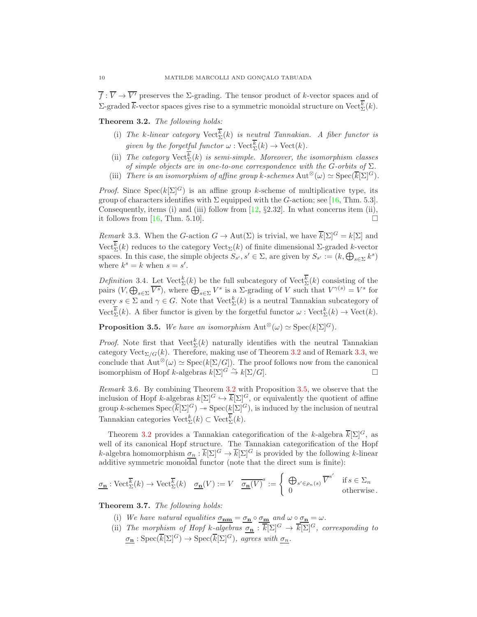$\overline{f}: \overline{V} \to \overline{V'}$  preserves the *Σ*-grading. The tensor product of *k*-vector spaces and of  $\Sigma$ -graded  $\overline{k}$ -vector spaces gives rise to a symmetric monoidal structure on Vect<sup>k</sup><sub>Σ</sub>(k).

<span id="page-9-1"></span>Theorem 3.2. The following holds:

- (i) The k-linear category  $\mathrm{Vect}_{\Sigma}^{k}(k)$  is neutral Tannakian. A fiber functor is given by the forgetful functor  $\omega : \text{Vect}_{\Sigma}^{k}(k) \to \text{Vect}(k)$ .
- (ii) The category  $\text{Vect}_{\Sigma}^{k}(k)$  is semi-simple. Moreover, the isomorphism classes of simple objects are in one-to-one correspondence with the G-orbits of  $\Sigma$ .
- (iii) There is an isomorphism of affine group k-schemes  $\text{Aut}^{\otimes}(\omega) \simeq \text{Spec}(\overline{k}[\Sigma]^G)$ .

*Proof.* Since  $Spec(k[\Sigma]^G)$  is an affine group k-scheme of multiplicative type, its group of characters identifies with  $\Sigma$  equipped with the G-action; see [\[16,](#page-39-7) Thm. 5.3]. Consequently, items (i) and (iii) follow from [\[12,](#page-39-8) §2.32]. In what concerns item (ii), it follows from [16, Thm, 5.10]. it follows from  $[16, Thm. 5.10]$ .

<span id="page-9-2"></span>Remark 3.3. When the G-action  $G \to \text{Aut}(\Sigma)$  is trivial, we have  $\overline{k}[\Sigma]^G = k[\Sigma]$  and  $\mathrm{Vect}_{\Sigma}^k(k)$  reduces to the category  $\mathrm{Vect}_{\Sigma}(k)$  of finite dimensional Σ-graded k-vector spaces. In this case, the simple objects  $S_{s'}, s' \in \Sigma$ , are given by  $S_{s'} := (k, \bigoplus_{s \in \Sigma} k^s)$ where  $k^s = k$  when  $s = s'$ .

<span id="page-9-0"></span>Definition 3.4. Let  $Vect^k_{\Sigma}(k)$  be the full subcategory of  $Vect^k_{\Sigma}(k)$  consisting of the pairs  $(V, \bigoplus_{s \in \Sigma} \overline{V^s})$ , where  $\bigoplus_{s \in \Sigma} V^s$  is a  $\Sigma$ -grading of V such that  $V^{\gamma(s)} = V^s$  for every  $s \in \Sigma$  and  $\gamma \in G$ . Note that  $\text{Vect}_{\Sigma}^{k}(k)$  is a neutral Tannakian subcategory of Vect<sup>k</sup><sub> $\Sigma$ </sub>(k). A fiber functor is given by the forgetful functor  $\omega$ : Vect<sup>k</sup><sub> $\Sigma$ </sub>(k)  $\rightarrow$  Vect(k).

<span id="page-9-3"></span>**Proposition 3.5.** We have an isomorphism  $\text{Aut}^{\otimes}(\omega) \simeq \text{Spec}(k[\Sigma]^G)$ .

*Proof.* Note first that  $Vect^k_{\Sigma}(k)$  naturally identifies with the neutral Tannakian category Vect $_{\Sigma/G}(k)$ . Therefore, making use of Theorem [3.2](#page-9-1) and of Remark [3.3,](#page-9-2) we conclude that  $\text{Aut}^{\otimes}(\omega) \simeq \text{Spec}(k[\Sigma/G])$ . The proof follows now from the canonical isomorphism of Hopf k-algebras  $k[\Sigma]^G \stackrel{\sim}{\to} k[\Sigma/G]$ .

Remark 3.6. By combining Theorem [3.2](#page-9-1) with Proposition [3.5,](#page-9-3) we observe that the inclusion of Hopf k-algebras  $k[\Sigma]^G \hookrightarrow \overline{k}[\Sigma]^G$ , or equivalently the quotient of affine group k-schemes  $Spec(\overline{k}[\Sigma]^G) \rightarrow Spec(k[\Sigma]^G)$ , is induced by the inclusion of neutral Tannakian categories  $\mathrm{Vect}_{\Sigma}^k(k) \subset \mathrm{Vect}_{\Sigma}^k(k)$ .

Theorem [3.2](#page-9-1) provides a Tannakian categorification of the k-algebra  $\overline{k}[\Sigma]^{G}$ , as well of its canonical Hopf structure. The Tannakian categorification of the Hopf k-algebra homomorphism  $\sigma_n : \overline{k}[\Sigma]^G \to \overline{k}[\Sigma]^G$  is provided by the following k-linear additive symmetric monoidal functor (note that the direct sum is finite):

$$
\underline{\sigma_{\mathbf{n}}} : \text{Vect}_{\Sigma}^{\overline{k}}(k) \to \text{Vect}_{\Sigma}^{\overline{k}}(k) \quad \underline{\sigma_{\mathbf{n}}}(V) := V \quad \overline{\underline{\sigma_{\mathbf{n}}}(V)}^{s} := \left\{ \begin{array}{ll} \bigoplus_{s' \in \rho_{n}(s)} \overline{V}^{s'} & \text{if } s \in \Sigma_{n} \\ 0 & \text{otherwise.} \end{array} \right.
$$

Theorem 3.7. The following holds:

- (i) We have natural equalities  $\sigma_{nm} = \sigma_n \circ \sigma_m$  and  $\omega \circ \sigma_n = \omega$ .
- (ii) The morphism of Hopf k-algebras  $\underline{\sigma_n} : \overline{k}[\Sigma]^G \to \overline{k}[\Sigma]^G$ , corresponding to  $\underline{\sigma_{\mathbf{n}}}: {\rm Spec}(\overline{k}[\Sigma]^G) \rightarrow {\rm Spec}(\overline{k}[\Sigma]^G), \,\, \overline{agrees \,\, with \,\, \underline{\sigma_{n}}}.$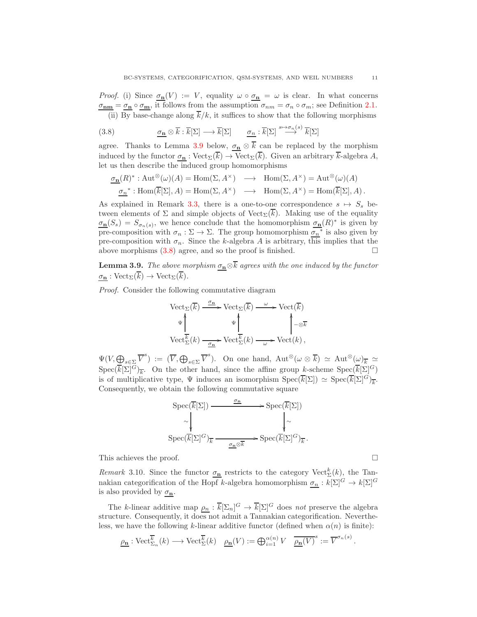*Proof.* (i) Since  $\sigma_{\mathbf{n}}(V) := V$ , equality  $\omega \circ \sigma_{\mathbf{n}} = \omega$  is clear. In what concerns  $\sigma_{nm} = \sigma_n \circ \sigma_m$ , it follows from the assumption  $\sigma_{nm} = \sigma_n \circ \sigma_m$ ; see Definition [2.1.](#page-4-0) (ii) By base-change along  $\overline{k}/k$ , it suffices to show that the following morphisms

<span id="page-10-1"></span>(3.8) 
$$
\underline{\sigma_{\mathbf{n}}} \otimes \overline{k} : \overline{k}[\Sigma] \longrightarrow \overline{k}[\Sigma] \qquad \underline{\sigma_{\mathbf{n}}} : \overline{k}[\Sigma] \stackrel{s \mapsto \sigma_{\mathbf{n}}(s)}{\longrightarrow} \overline{k}[\Sigma]
$$

agree. Thanks to Lemma [3.9](#page-10-0) below,  $\sigma_n \otimes \overline{k}$  can be replaced by the morphism induced by the functor  $\underline{\sigma_n}$ : Vect<sub> $\Sigma(\overline{k}) \to \text{Vect}_{\Sigma}(\overline{k})$ . Given an arbitrary  $\overline{k}$ -algebra A,</sub> let us then describe the induced group homomorphisms

$$
\begin{array}{rcl}\n\underline{\sigma_{\mathbf{n}}}(R)^{*}:\mathrm{Aut}^{\otimes}(\omega)(A)=\mathrm{Hom}(\Sigma,A^{\times})&\longrightarrow&\mathrm{Hom}(\Sigma,A^{\times})=\mathrm{Aut}^{\otimes}(\omega)(A)\\ \n\underline{\sigma_{n}}^{*}:\mathrm{Hom}(\overline{k}[\Sigma],A)=\mathrm{Hom}(\Sigma,A^{\times})&\longrightarrow&\mathrm{Hom}(\Sigma,A^{\times})=\mathrm{Hom}(\overline{k}[\Sigma],A)\,.\n\end{array}
$$

As explained in Remark [3.3,](#page-9-2) there is a one-to-one correspondence  $s \mapsto S_s$  between elements of  $\Sigma$  and simple objects of Vect<sub> $\Sigma(k)$ </sub>. Making use of the equality  $\sigma_{\mathbf{n}}(S_s) = S_{\sigma_n(s)}$ , we hence conclude that the homomorphism  $\sigma_{\mathbf{n}}(R)^*$  is given by pre-composition with  $\sigma_n : \Sigma \to \Sigma$ . The group homomorphism  $\sigma_n^*$  is also given by pre-composition with  $\sigma_n$ . Since the k-algebra A is arbitrary, this implies that the above morphisms  $(3.8)$  agree, and so the proof is finished.

<span id="page-10-0"></span>**Lemma 3.9.** The above morphism  $\sigma_n \otimes \overline{k}$  agrees with the one induced by the functor  $\sigma_{\mathbf{n}} : \text{Vect}_{\Sigma}(\overline{k}) \to \text{Vect}_{\Sigma}(\overline{k}).$ 

Proof. Consider the following commutative diagram

$$
\begin{aligned}\n\text{Vect}_{\Sigma}(\overline{k}) &\xrightarrow{\sigma_{\mathbf{n}}} \text{Vect}_{\Sigma}(\overline{k}) \xrightarrow{\omega} \text{Vect}(\overline{k}) \\
\downarrow^{\psi} &\downarrow^{\psi} &\downarrow^{\psi} \\
\text{Vect}_{\Sigma}^{\overline{k}}(k) &\xrightarrow{\sigma_{\mathbf{n}}} \text{Vect}_{\Sigma}^{\overline{k}}(k) \xrightarrow{\omega} \text{Vect}(k)\n\end{aligned}
$$

 $\Psi(V,\underbrace{\bigoplus}_{s\in\Sigma}\overline{V}^s) := (\overline{V},\bigoplus_{s\in\Sigma}\overline{V}^s)$ . On one hand,  $\mathrm{Aut}^{\otimes}(\omega\otimes\overline{k}) \simeq \mathrm{Aut}^{\otimes}(\omega)_{\overline{k}} \simeq$  $Spec(\overline{k}[\Sigma]^G)_{\overline{k}}$ . On the other hand, since the affine group k-scheme  $Spec(\overline{k}[\Sigma]^G)$ is of multiplicative type,  $\Psi$  induces an isomorphism  $Spec(\overline{k}[\Sigma]) \simeq Spec(\overline{k}[\Sigma]^G)_{\overline{k}}$ . Consequently, we obtain the following commutative square

$$
\operatorname{Spec}(\overline{k}[\Sigma]) \xrightarrow{\sigma_{\mathbf{n}}} \operatorname{Spec}(\overline{k}[\Sigma])
$$

$$
\sim \sqrt{\sum_{\sum_{\mathbf{p} \in \mathbb{C}} (\overline{k}[\Sigma]^G)_{\overline{k}}} \xrightarrow{\sigma_{\mathbf{n}} \otimes \overline{k}} \operatorname{Spec}(\overline{k}[\Sigma]^G)_{\overline{k}}}.
$$

This achieves the proof.  $\hfill \square$ 

Remark 3.10. Since the functor  $\sigma_{\mathbf{n}}$  restricts to the category Vect<sup>k</sup><sub>2</sub>(k), the Tannakian categorification of the Hopf k-algebra homomorphism  $\sigma_n : k[\Sigma]^G \to k[\Sigma]^G$ is also provided by  $\sigma_{\mathbf{n}}$ .

The k-linear additive map  $\rho_n : \overline{k}[\Sigma_n]^G \to \overline{k}[\Sigma]^G$  does not preserve the algebra structure. Consequently, it does not admit a Tannakian categorification. Nevertheless, we have the following k-linear additive functor (defined when  $\alpha(n)$  is finite):

$$
\underline{\rho_{\mathbf{n}}} : \mathrm{Vect}_{\Sigma_n}^{\overline{k}}(k) \longrightarrow \mathrm{Vect}_{\Sigma}^{\overline{k}}(k) \quad \underline{\rho_{\mathbf{n}}}(V) := \bigoplus_{i=1}^{\alpha(n)} V \quad \underline{\overline{\rho_{\mathbf{n}}}(V)}^s := \overline{V}^{\sigma_n(s)}
$$

.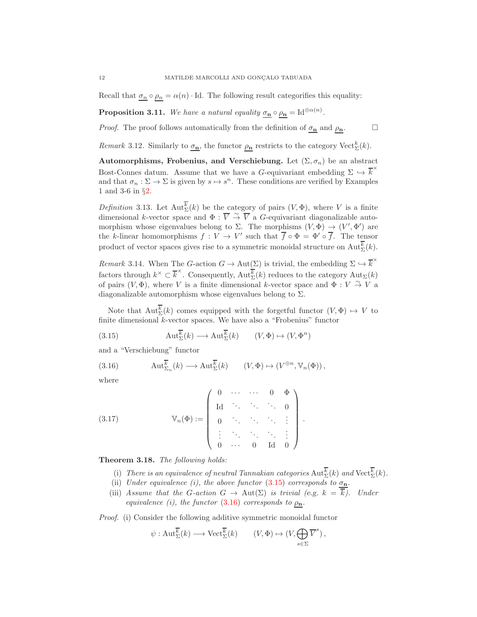Recall that  $\sigma_n \circ \rho_n = \alpha(n) \cdot \text{Id}$ . The following result categorifies this equality:

**Proposition 3.11.** We have a natural equality  $\sigma_{\mathbf{n}} \circ \rho_{\mathbf{n}} = \mathrm{Id}^{\oplus \alpha(n)}$ .

*Proof.* The proof follows automatically from the definition of  $\sigma_n$  and  $\rho_n$ .

Remark 3.12. Similarly to  $\sigma_{\mathbf{n}}$ , the functor  $\rho_{\mathbf{n}}$  restricts to the category Vect<sup>k</sup><sub> $\Sigma$ </sub>(k).

Automorphisms, Frobenius, and Verschiebung. Let  $(\Sigma, \sigma_n)$  be an abstract Bost-Connes datum. Assume that we have a G-equivariant embedding  $\Sigma \hookrightarrow \overline{k}^*$ and that  $\sigma_n : \Sigma \to \Sigma$  is given by  $s \mapsto s^n$ . These conditions are verified by Examples 1 and 3-6 in §[2.](#page-3-0)

*Definition* 3.13. Let  $\text{Aut}^k_{\Sigma}(k)$  be the category of pairs  $(V, \Phi)$ , where V is a finite dimensional k-vector space and  $\Phi : \overline{V} \overset{\sim}{\to} \overline{V}$  a G-equivariant diagonalizable automorphism whose eigenvalues belong to  $\Sigma$ . The morphisms  $(V, \Phi) \rightarrow (V', \Phi')$  are the k-linear homomorphisms  $f: V \to V'$  such that  $\overline{f} \circ \Phi = \Phi' \circ \overline{f}$ . The tensor product of vector spaces gives rise to a symmetric monoidal structure on  $\text{Aut}_{\Sigma}^{k}(k)$ .

Remark 3.14. When The G-action  $G \to \text{Aut}(\Sigma)$  is trivial, the embedding  $\Sigma \hookrightarrow \overline{k}^{\times}$ factors through  $k^{\times} \subset \overline{k}^{\times}$ . Consequently,  $\text{Aut}_{\Sigma}^{\overline{k}}(k)$  reduces to the category  $\text{Aut}_{\Sigma}(k)$ of pairs  $(V, \Phi)$ , where V is a finite dimensional k-vector space and  $\Phi : V \overset{\sim}{\to} V$  a diagonalizable automorphism whose eigenvalues belong to  $\Sigma$ .

Note that  $\text{Aut}^k_{\Sigma}(k)$  comes equipped with the forgetful functor  $(V, \Phi) \mapsto V$  to finite dimensional  $k$ -vector spaces. We have also a "Frobenius" functor

<span id="page-11-0"></span>(3.15) 
$$
\operatorname{Aut}^{\overline{k}}_{\Sigma}(k) \longrightarrow \operatorname{Aut}^{\overline{k}}_{\Sigma}(k) \qquad (V, \Phi) \mapsto (V, \Phi^n)
$$

and a "Verschiebung" functor

<span id="page-11-1"></span>(3.16) 
$$
\operatorname{Aut}_{\Sigma_n}^{\overline{k}}(k) \longrightarrow \operatorname{Aut}_{\Sigma}^{\overline{k}}(k) \qquad (V, \Phi) \mapsto (V^{\oplus n}, \mathbb{V}_n(\Phi)),
$$

where

(3.17) Vn(Φ) := 0 · · · · · · 0 Φ Id . . . . . . . . . 0 0 . . . . . . . . . . . . . . . . . . . . . . . . . . . 0 · · · 0 Id 0 .

## Theorem 3.18. The following holds:

- (i) There is an equivalence of neutral Tannakian categories  $\text{Aut}^k_{\Sigma}(k)$  and  $\text{Vect}^k_{\Sigma}(k)$ .
- (ii) Under equivalence (i), the above functor [\(3.15\)](#page-11-0) corresponds to  $\sigma_{\bf n}$ .
- (iii) Assume that the G-action  $G \to \text{Aut}(\Sigma)$  is trivial (e.g.  $k = \overline{k}$ ). Under equivalence (i), the functor [\(3.16\)](#page-11-1) corresponds to  $\rho_n$ .

Proof. (i) Consider the following additive symmetric monoidal functor

$$
\psi: \operatorname{Aut}_{\Sigma}^{\overline{k}}(k) \longrightarrow \operatorname{Vect}_{\Sigma}^{\overline{k}}(k) \qquad (V, \Phi) \mapsto (V, \bigoplus_{s \in \Sigma} \overline{V}^{s}),
$$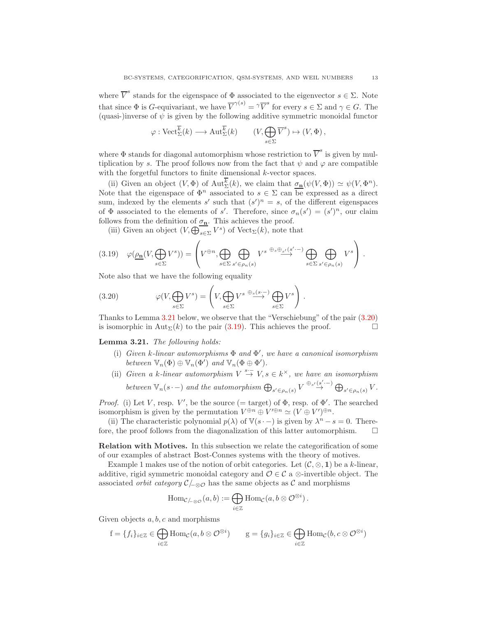where  $\overline{V}^s$  stands for the eigenspace of  $\Phi$  associated to the eigenvector  $s \in \Sigma$ . Note that since  $\Phi$  is *G*-equivariant, we have  $\overline{V}^{\gamma(s)} = \gamma \overline{V}^s$  for every  $s \in \Sigma$  and  $\gamma \in G$ . The (quasi-)inverse of  $\psi$  is given by the following additive symmetric monoidal functor

$$
\varphi : \mathrm{Vect}_{\Sigma}^{\overline{k}}(k) \longrightarrow \mathrm{Aut}_{\Sigma}^{\overline{k}}(k) \qquad (V, \bigoplus_{s \in \Sigma} \overline{V}^{s}) \mapsto (V, \Phi),
$$

where  $\Phi$  stands for diagonal automorphism whose restriction to  $\overline{V}^s$  is given by multiplication by s. The proof follows now from the fact that  $\psi$  and  $\varphi$  are compatible with the forgetful functors to finite dimensional k-vector spaces.

(ii) Given an object  $(V, \Phi)$  of  $\text{Aut}_{\Sigma}^{k}(k)$ , we claim that  $\sigma_{\mathbf{n}}(\psi(V, \Phi)) \simeq \psi(V, \Phi^{n})$ . Note that the eigenspace of  $\Phi^n$  associated to  $s \in \Sigma$  can be expressed as a direct sum, indexed by the elements s' such that  $(s')^n = s$ , of the different eigenspaces of  $\Phi$  associated to the elements of s'. Therefore, since  $\sigma_n(s') = (s')^n$ , our claim follows from the definition of  $\sigma_{\mathbf{n}}$ . This achieves the proof.

(iii) Given an object  $(V, \bigoplus_{s \in \Sigma} V^s)$  of  $Vect_{\Sigma}(k)$ , note that

<span id="page-12-2"></span>
$$
(3.19) \quad \varphi(\underline{\rho_{\mathbf{n}}}(V,\bigoplus_{s\in\Sigma}V^s))=\left(V^{\oplus n},\bigoplus_{s\in\Sigma}\bigoplus_{s'\in\rho_n(s)}V^{s\ \oplus_s\oplus_{s'}(s'\cdot-)}\bigoplus_{s\in\Sigma}\bigoplus_{s'\in\rho_n(s)}V^s\right)\,.
$$

Note also that we have the following equality

<span id="page-12-1"></span>(3.20) 
$$
\varphi(V, \bigoplus_{s \in \Sigma} V^s) = \left(V, \bigoplus_{s \in \Sigma} V^{s} \stackrel{\oplus_s (s, \dots)}{\longrightarrow} \bigoplus_{s \in \Sigma} V^s\right).
$$

Thanks to Lemma [3.21](#page-12-0) below, we observe that the "Verschiebung" of the pair [\(3.20\)](#page-12-1) is isomorphic in Aut<sub> $\Sigma(k)$ </sub> to the pair [\(3.19\)](#page-12-2). This achieves the proof.

<span id="page-12-0"></span>Lemma 3.21. The following holds:

- (i) Given k-linear automorphisms  $\Phi$  and  $\Phi'$ , we have a canonical isomorphism between  $\mathbb{V}_n(\Phi) \oplus \mathbb{V}_n(\Phi')$  and  $\mathbb{V}_n(\Phi \oplus \Phi')$ .
- (ii) Given a k-linear automorphism  $V \stackrel{s:-}{\to} V, s \in k^{\times}$ , we have an isomorphism between  $\mathbb{V}_n(s \cdot -)$  and the automorphism  $\bigoplus_{s' \in \rho_n(s)} V \stackrel{\oplus_{s'}(s' \cdot -)}{\rightarrow} \bigoplus_{s' \in \rho_n(s)} V$ .

*Proof.* (i) Let V, resp. V', be the source (= target) of  $\Phi$ , resp. of  $\Phi'$ . The searched isomorphism is given by the permutation  $V^{\oplus n} \oplus V'^{\oplus n} \simeq (V \oplus V')^{\oplus n}$ .

(ii) The characteristic polynomial  $p(\lambda)$  of  $\mathbb{V}(s \cdot -)$  is given by  $\lambda^n - s = 0$ . Therefore, the proof follows from the diagonalization of this latter automorphism.  $\Box$ 

Relation with Motives. In this subsection we relate the categorification of some of our examples of abstract Bost-Connes systems with the theory of motives.

Example 1 makes use of the notion of orbit categories. Let  $(C, \otimes, 1)$  be a k-linear, additive, rigid symmetric monoidal category and  $\mathcal{O} \in \mathcal{C}$  a ⊗-invertible object. The associated *orbit category*  $\mathcal{C}_{\alpha}$  has the same objects as  $\mathcal C$  and morphisms

$$
\mathrm{Hom}_{\mathcal{C}/\!\_\otimes\mathcal{O}}(a,b):=\bigoplus_{i\in\mathbb{Z}}\mathrm{Hom}_{\mathcal{C}}(a,b\otimes\mathcal{O}^{\otimes i})\,.
$$

Given objects  $a, b, c$  and morphisms

$$
f = \{f_i\}_{i \in \mathbb{Z}} \in \bigoplus_{i \in \mathbb{Z}} \text{Hom}_{\mathcal{C}}(a, b \otimes \mathcal{O}^{\otimes i}) \qquad g = \{g_i\}_{i \in \mathbb{Z}} \in \bigoplus_{i \in \mathbb{Z}} \text{Hom}_{\mathcal{C}}(b, c \otimes \mathcal{O}^{\otimes i})
$$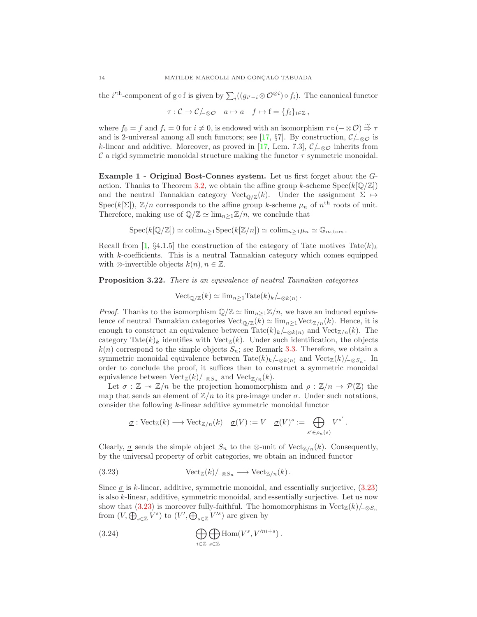the *i*<sup>'th</sup>-component of g∘f is given by  $\sum_i ((g_{i'-i} \otimes \mathcal{O}^{\otimes i}) \circ f_i)$ . The canonical functor

$$
\tau: \mathcal{C} \to \mathcal{C}/_{\mathcal{A} \otimes \mathcal{O}} \quad a \mapsto a \quad f \mapsto f = \{f_i\}_{i \in \mathbb{Z}},
$$

where  $f_0 = f$  and  $f_i = 0$  for  $i \neq 0$ , is endowed with an isomorphism  $\tau \circ (-\otimes \mathcal{O}) \stackrel{\sim}{\Rightarrow} \tau$ and is 2-universal among all such functors; see [\[17,](#page-39-9) §7]. By construction,  $\mathcal{C}/_{-\otimes\mathcal{O}}$  is k-linear and additive. Moreover, as proved in [\[17,](#page-39-9) Lem. 7.3],  $\mathcal{C}/_{-\otimes\mathcal{O}}$  inherits from C a rigid symmetric monoidal structure making the functor  $\tau$  symmetric monoidal.

Example 1 - Original Bost-Connes system. Let us first forget about the G-action. Thanks to Theorem [3.2,](#page-9-1) we obtain the affine group k-scheme  $Spec(k[\mathbb{Q}/\mathbb{Z}])$ and the neutral Tannakian category Vect<sub>Q/Z</sub>(k). Under the assignment  $\Sigma \mapsto$  $Spec(k[\Sigma])$ ,  $\mathbb{Z}/n$  corresponds to the affine group k-scheme  $\mu_n$  of  $n^{\text{th}}$  roots of unit. Therefore, making use of  $\mathbb{Q}/\mathbb{Z} \simeq \lim_{n>1}\mathbb{Z}/n$ , we conclude that

$$
Spec(k[\mathbb{Q}/\mathbb{Z}]) \simeq colim_{n \geq 1}Spec(k[\mathbb{Z}/n]) \simeq colim_{n \geq 1} \mu_n \simeq \mathbb{G}_{m,\text{tors}}.
$$

Recall from [\[1,](#page-39-10) §4.1.5] the construction of the category of Tate motives Tate(k)<sub>k</sub> with k-coefficients. This is a neutral Tannakian category which comes equipped with ⊗-invertible objects  $k(n), n \in \mathbb{Z}$ .

<span id="page-13-0"></span>Proposition 3.22. There is an equivalence of neutral Tannakian categories

 $\text{Vect}_{\mathbb{Q}/\mathbb{Z}}(k) \simeq \lim_{n \geq 1} \text{Tate}(k)_{k} /_{\neg \otimes k(n)}.$ 

*Proof.* Thanks to the isomorphism  $\mathbb{Q}/\mathbb{Z} \simeq \lim_{n>1}\mathbb{Z}/n$ , we have an induced equivalence of neutral Tannakian categories  $Vect_{\mathbb{Q}/\mathbb{Z}}(k) \simeq \lim_{n>1} \text{Vect}_{\mathbb{Z}/n}(k)$ . Hence, it is enough to construct an equivalence between Tate $(k)_k/_{\sim \otimes k(n)}$  and Vect<sub>Z/n</sub>(k). The category Tate(k)<sub>k</sub> identifies with Vect<sub>Z</sub>(k). Under such identification, the objects  $k(n)$  correspond to the simple objects  $S_n$ ; see Remark [3.3.](#page-9-2) Therefore, we obtain a symmetric monoidal equivalence between Tate $(k)_{k}/_{-\otimes k(n)}$  and Vect<sub> $\mathbb{Z}(k)/_{-\otimes S_n}$ . In</sub> order to conclude the proof, it suffices then to construct a symmetric monoidal equivalence between Vect<sub>Z</sub> $(k)$  –⊗ $S_n$  and Vect<sub>Z/n</sub> $(k)$ .

Let  $\sigma : \mathbb{Z} \to \mathbb{Z}/n$  be the projection homomorphism and  $\rho : \mathbb{Z}/n \to \mathcal{P}(\mathbb{Z})$  the map that sends an element of  $\mathbb{Z}/n$  to its pre-image under  $\sigma$ . Under such notations, consider the following k-linear additive symmetric monoidal functor

<span id="page-13-1"></span>
$$
\underline{\sigma} : \text{Vect}_{\mathbb{Z}}(k) \longrightarrow \text{Vect}_{\mathbb{Z}/n}(k) \quad \underline{\sigma}(V) := V \quad \underline{\sigma}(V)^s := \bigoplus_{s' \in \rho_n(s)} V^{s'}.
$$

Clearly,  $\sigma$  sends the simple object  $S_n$  to the ⊗-unit of Vect<sub> $\mathbb{Z}/n(k)$ </sub>. Consequently, by the universal property of orbit categories, we obtain an induced functor

(3.23) 
$$
\text{Vect}_{\mathbb{Z}}(k)/_{\text{--}\otimes S_n} \longrightarrow \text{Vect}_{\mathbb{Z}/n}(k).
$$

Since  $\sigma$  is k-linear, additive, symmetric monoidal, and essentially surjective, [\(3.23\)](#page-13-1) is also k-linear, additive, symmetric monoidal, and essentially surjective. Let us now show that [\(3.23\)](#page-13-1) is moreover fully-faithful. The homomorphisms in  $Vect_{\mathbb{Z}}(k)/_{-\otimes S_n}$ from  $(V, \bigoplus_{s \in \mathbb{Z}} V^s)$  to  $(V', \bigoplus_{s \in \mathbb{Z}} V'^s)$  are given by

<span id="page-13-2"></span>(3.24) 
$$
\bigoplus_{i \in \mathbb{Z}} \bigoplus_{s \in \mathbb{Z}} \text{Hom}(V^s, V'^{ni+s}).
$$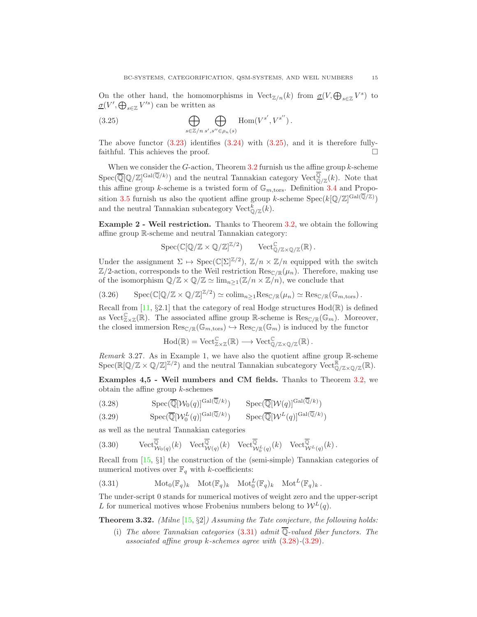On the other hand, the homomorphisms in  $\mathrm{Vect}_{\mathbb{Z}/n}(k)$  from  $\underline{\sigma}(V, \bigoplus_{s\in\mathbb{Z}}V^s)$  to  $\underline{\sigma}(V', \bigoplus_{s \in \mathbb{Z}} V'^s)$  can be written as

<span id="page-14-1"></span>(3.25) 
$$
\bigoplus_{s \in \mathbb{Z}/n} \bigoplus_{s',s'' \in \rho_n(s)} \text{Hom}(V^{s'},V^{s''})\,.
$$

The above functor  $(3.23)$  identifies  $(3.24)$  with  $(3.25)$ , and it is therefore fullyfaithful. This achieves the proof.

When we consider the  $G$ -action, Theorem [3.2](#page-9-1) furnish us the affine group  $k$ -scheme  $Spec(\overline{\mathbb{Q}}[\mathbb{Q}/\mathbb{Z}]^{\text{Gal}(\overline{\mathbb{Q}}/k)})$  and the neutral Tannakian category Vect $\mathbb{Q}_{\mathbb{Z}}(k)$ . Note that this affine group k-scheme is a twisted form of  $\mathbb{G}_{m,\text{tors}}$ . Definition [3.4](#page-9-0) and Propo-sition [3.5](#page-9-3) furnish us also the quotient affine group k-scheme  $Spec(k[\mathbb{Q}/\mathbb{Z}]^{\text{Gal}(\mathbb{Q}/\mathbb{Z})})$ and the neutral Tannakian subcategory  $\text{Vect}_{\mathbb{Q}/\mathbb{Z}}^k(k)$ .

Example 2 - Weil restriction. Thanks to Theorem [3.2,](#page-9-1) we obtain the following affine group R-scheme and neutral Tannakian category:

 $Spec(\mathbb{C}[\mathbb{Q}/\mathbb{Z}\times\mathbb{Q}/\mathbb{Z}]^{\mathbb{Z}/2})$   $Vect_{\mathbb{Q}/\mathbb{Z}\times\mathbb{Q}/\mathbb{Z}}(\mathbb{R})$ .

Under the assignment  $\Sigma \mapsto \text{Spec}(\mathbb{C}[\Sigma]^{\mathbb{Z}/2})$ ,  $\mathbb{Z}/n \times \mathbb{Z}/n$  equipped with the switch  $\mathbb{Z}/2$ -action, corresponds to the Weil restriction  $\text{Res}_{\mathbb{C}/\mathbb{R}}(\mu_n)$ . Therefore, making use of the isomorphism  $\mathbb{Q}/\mathbb{Z} \times \mathbb{Q}/\mathbb{Z} \simeq \lim_{n \geq 1} (\mathbb{Z}/n \times \mathbb{Z}/n)$ , we conclude that

$$
(3.26) \qquad \mathrm{Spec}(\mathbb{C}[\mathbb{Q}/\mathbb{Z}\times\mathbb{Q}/\mathbb{Z}]^{\mathbb{Z}/2})\simeq \mathrm{colim}_{n\geq 1}\mathrm{Res}_{\mathbb{C}/\mathbb{R}}(\mu_n)\simeq \mathrm{Res}_{\mathbb{C}/\mathbb{R}}(\mathbb{G}_{m,\mathrm{tors}}).
$$

Recall from [\[11,](#page-39-11) §2.1] that the category of real Hodge structures  $Hod(\mathbb{R})$  is defined as Vect $_{\mathbb{Z}\times\mathbb{Z}}^{\mathbb{C}}(\mathbb{R})$ . The associated affine group  $\mathbb{R}$ -scheme is  $\text{Res}_{\mathbb{C}/\mathbb{R}}(\mathbb{G}_m)$ . Moreover, the closed immersion  $\text{Res}_{\mathbb{C}/\mathbb{R}}(\mathbb{G}_{m,\text{tors}}) \hookrightarrow \text{Res}_{\mathbb{C}/\mathbb{R}}(\mathbb{G}_{m})$  is induced by the functor

$$
\mathrm{Hod}(\mathbb{R}) = \mathrm{Vect}_{\mathbb{Z} \times \mathbb{Z}}^{\mathbb{C}}(\mathbb{R}) \longrightarrow \mathrm{Vect}_{\mathbb{Q}/\mathbb{Z} \times \mathbb{Q}/\mathbb{Z}}^{\mathbb{C}}(\mathbb{R}).
$$

Remark 3.27. As in Example 1, we have also the quotient affine group R-scheme  $\mathrm{Spec}(\mathbb{R}[\mathbb{Q}/\mathbb{Z}\times\mathbb{Q}/\mathbb{Z}]^{\mathbb{Z}/2})$  and the neutral Tannakian subcategory  $\mathrm{Vect}_{\mathbb{Q}/\mathbb{Z}\times\mathbb{Q}/\mathbb{Z}}^{\mathbb{R}}(\mathbb{R})$ .

Examples 4,5 - Weil numbers and CM fields. Thanks to Theorem [3.2,](#page-9-1) we obtain the affine group  $k$ -schemes

(3.28) 
$$
\mathrm{Spec}(\overline{\mathbb{Q}}[\mathcal{W}_0(q)]^{\mathrm{Gal}(\mathbb{Q}/k)}) \quad \mathrm{Spec}(\overline{\mathbb{Q}}[\mathcal{W}(q)]^{\mathrm{Gal}(\mathbb{Q}/k)})
$$

<span id="page-14-3"></span>(3.29) 
$$
\mathrm{Spec}(\overline{\mathbb{Q}}[\mathcal{W}_0^L(q)]^{\mathrm{Gal}(\overline{\mathbb{Q}}/k)}) \qquad \mathrm{Spec}(\overline{\mathbb{Q}}[\mathcal{W}^L(q)]^{\mathrm{Gal}(\overline{\mathbb{Q}}/k)})
$$

as well as the neutral Tannakian categories

<span id="page-14-4"></span>(3.30) 
$$
\text{Vect}_{\mathcal{W}_0(q)}^{\overline{\mathbb{Q}}}(k) \quad \text{Vect}_{\mathcal{W}(q)}^{\overline{\mathbb{Q}}}(k) \quad \text{Vect}_{\mathcal{W}_0^L(q)}^{\overline{\mathbb{Q}}}(k) \quad \text{Vect}_{\mathcal{W}^L(q)}^{\overline{\mathbb{Q}}}(k).
$$

Recall from [\[15,](#page-39-12) §1] the construction of the (semi-simple) Tannakian categories of numerical motives over  $\mathbb{F}_q$  with k-coefficients:

<span id="page-14-2"></span>(3.31) 
$$
\text{Mot}_0(\mathbb{F}_q)_k \quad \text{Mot}(\mathbb{F}_q)_k \quad \text{Mot}_0^L(\mathbb{F}_q)_k \quad \text{Mot}^L(\mathbb{F}_q)_k.
$$

The under-script 0 stands for numerical motives of weight zero and the upper-script L for numerical motives whose Frobenius numbers belong to  $W^L(q)$ .

<span id="page-14-0"></span>**Theorem 3.32.** (Milne  $[15, \S2]$  $[15, \S2]$ ) Assuming the Tate conjecture, the following holds:

(i) The above Tannakian categories [\(3.31\)](#page-14-2) admit  $\overline{\mathbb{Q}}$ -valued fiber functors. The associated affine group  $k$ -schemes agree with  $(3.28)$ - $(3.29)$ .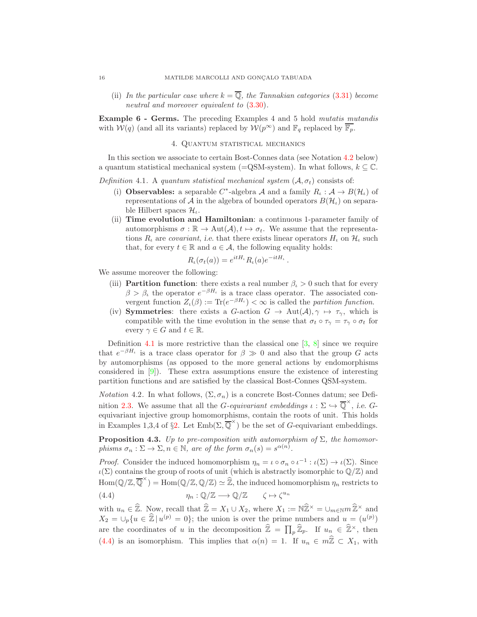(ii) In the particular case where  $k = \overline{Q}$ , the Tannakian categories [\(3.31\)](#page-14-2) become neutral and moreover equivalent to [\(3.30\)](#page-14-4).

<span id="page-15-0"></span>Example 6 - Germs. The preceding Examples 4 and 5 hold mutatis mutandis with  $W(q)$  (and all its variants) replaced by  $W(p^{\infty})$  and  $\mathbb{F}_q$  replaced by  $\overline{\mathbb{F}_p}$ .

#### 4. Quantum statistical mechanics

In this section we associate to certain Bost-Connes data (see Notation [4.2](#page-15-1) below) a quantum statistical mechanical system (=QSM-system). In what follows,  $k \subseteq \mathbb{C}$ .

<span id="page-15-2"></span>Definition 4.1. A quantum statistical mechanical system  $(A, \sigma_t)$  consists of:

- (i) **Observables:** a separable  $C^*$ -algebra A and a family  $R_t : A \to B(\mathcal{H}_t)$  of representations of A in the algebra of bounded operators  $B(\mathcal{H}_{\iota})$  on separable Hilbert spaces  $\mathcal{H}_{\iota}$ .
- (ii) Time evolution and Hamiltonian: a continuous 1-parameter family of automorphisms  $\sigma : \mathbb{R} \to \text{Aut}(\mathcal{A}), t \mapsto \sigma_t$ . We assume that the representations  $R_t$  are *covariant*, i.e. that there exists linear operators  $H_t$  on  $H_t$  such that, for every  $t \in \mathbb{R}$  and  $a \in \mathcal{A}$ , the following equality holds:

$$
R_{\iota}(\sigma_t(a)) = e^{itH_{\iota}} R_{\iota}(a) e^{-itH_{\iota}}.
$$

We assume moreover the following:

- (iii) **Partition function**: there exists a real number  $\beta_{\iota} > 0$  such that for every  $\beta > \beta_t$  the operator  $e^{-\beta H_t}$  is a trace class operator. The associated convergent function  $Z_{\iota}(\beta) := \text{Tr}(e^{-\beta H_{\iota}}) < \infty$  is called the partition function.
- (iv) Symmetries: there exists a G-action  $G \to \text{Aut}(\mathcal{A}), \gamma \mapsto \tau_{\gamma}$ , which is compatible with the time evolution in the sense that  $\sigma_t \circ \tau_\gamma = \tau_\gamma \circ \sigma_t$  for every  $\gamma \in G$  and  $t \in \mathbb{R}$ .

Definition [4.1](#page-15-2) is more restrictive than the classical one  $[3, 8]$  $[3, 8]$  since we require that  $e^{-\beta H_{\iota}}$  is a trace class operator for  $\beta \gg 0$  and also that the group G acts by automorphisms (as opposed to the more general actions by endomorphisms considered in  $[9]$ . These extra assumptions ensure the existence of interesting partition functions and are satisfied by the classical Bost-Connes QSM-system.

<span id="page-15-1"></span>*Notation* 4.2. In what follows,  $(\Sigma, \sigma_n)$  is a concrete Bost-Connes datum; see Defi-nition [2.3.](#page-4-1) We assume that all the *G*-equivariant embeddings  $\iota : \Sigma \hookrightarrow \overline{\mathbb{Q}}^{\times}$ , i.e. *G*equivariant injective group homomorphisms, contain the roots of unit. This holds in Examples 1,3,4 of §[2.](#page-3-0) Let  $\text{Emb}(\Sigma, \overline{\mathbb{Q}}^{\times})$  be the set of G-equivariant embeddings.

<span id="page-15-4"></span>**Proposition 4.3.** Up to pre-composition with automorphism of  $\Sigma$ , the homomorphisms  $\sigma_n : \Sigma \to \Sigma$ ,  $n \in \mathbb{N}$ , are of the form  $\sigma_n(s) = s^{\alpha(n)}$ .

*Proof.* Consider the induced homomorphism  $\eta_n = \iota \circ \sigma_n \circ \iota^{-1} : \iota(\Sigma) \to \iota(\Sigma)$ . Since  $\iota(\Sigma)$  contains the group of roots of unit (which is abstractly isomorphic to  $\mathbb{Q}/\mathbb{Z}$ ) and  $\text{Hom}(\mathbb{Q}/\mathbb{Z},\overline{\mathbb{Q}}^{\times}) = \text{Hom}(\mathbb{Q}/\mathbb{Z},\mathbb{Q}/\mathbb{Z}) \simeq \widehat{\mathbb{Z}}$ , the induced homomorphism  $\eta_n$  restricts to (4.4)  $\eta_n : \mathbb{Q}/\mathbb{Z} \longrightarrow \mathbb{Q}/\mathbb{Z} \qquad \zeta \mapsto \zeta^{u_n}$ 

<span id="page-15-3"></span>with  $u_n \in \widehat{\mathbb{Z}}$ . Now, recall that  $\widehat{\mathbb{Z}} = X_1 \cup X_2$ , where  $X_1 := \mathbb{N} \widehat{\mathbb{Z}}^{\times} = \cup_{m \in \mathbb{N}} m \widehat{\mathbb{Z}}^{\times}$  and  $X_2 = \bigcup_p \{u \in \hat{\mathbb{Z}} \mid u^{(p)} = 0\};\$  the union is over the prime numbers and  $u = (u^{(p)})$ are the coordinates of u in the decomposition  $\widehat{\mathbb{Z}} = \prod_p \widehat{\mathbb{Z}}_p$ . If  $u_n \in \widehat{\mathbb{Z}}^{\times}$ , then [\(4.4\)](#page-15-3) is an isomorphism. This implies that  $\alpha(n) = 1$ . If  $u_n \in m\hat{\mathbb{Z}} \subset X_1$ , with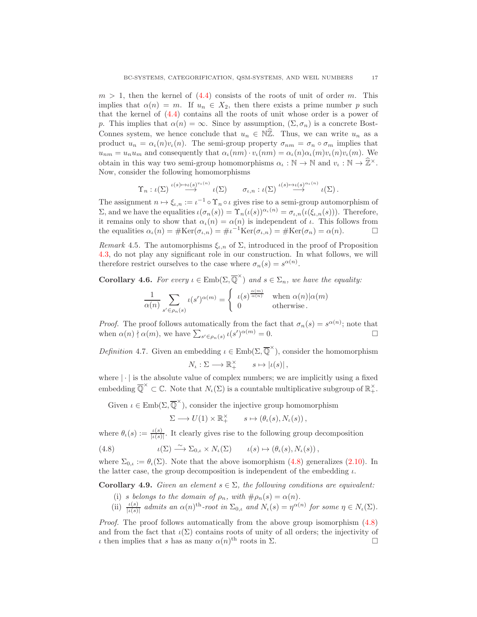$m > 1$ , then the kernel of  $(4.4)$  consists of the roots of unit of order m. This implies that  $\alpha(n) = m$ . If  $u_n \in X_2$ , then there exists a prime number p such that the kernel of [\(4.4\)](#page-15-3) contains all the roots of unit whose order is a power of p. This implies that  $\alpha(n) = \infty$ . Since by assumption,  $(\Sigma, \sigma_n)$  is a concrete Bost-Connes system, we hence conclude that  $u_n \in \mathbb{N} \mathbb{Z}$ . Thus, we can write  $u_n$  as a product  $u_n = \alpha_l(n)v_l(n)$ . The semi-group property  $\sigma_{nm} = \sigma_n \circ \sigma_m$  implies that  $u_{nm} = u_n u_m$  and consequently that  $\alpha_l(nm) \cdot v_l(nm) = \alpha_l(n) \alpha_l(m) v_l(n) v_l(m)$ . We obtain in this way two semi-group homomorphisms  $\alpha_i : \mathbb{N} \to \mathbb{N}$  and  $v_i : \mathbb{N} \to \mathbb{Z}^{\times}$ . Now, consider the following homomorphisms

$$
\Upsilon_n : \iota(\Sigma) \stackrel{\iota(s)\mapsto \iota(s)^{v_\iota(n)}}{\longrightarrow} \iota(\Sigma) \qquad \sigma_{\iota,n} : \iota(\Sigma) \stackrel{\iota(s)\mapsto \iota(s)^{\alpha_\iota(n)}}{\longrightarrow} \iota(\Sigma).
$$

The assignment  $n \mapsto \xi_{\iota,n} := \iota^{-1} \circ \Upsilon_n \circ \iota$  gives rise to a semi-group automorphism of  $\Sigma$ , and we have the equalities  $\iota(\sigma_n(s)) = \Upsilon_n(\iota(s))^{\alpha_\iota(n)} = \sigma_{\iota,n}(\iota(\xi_{\iota,n}(s))).$  Therefore, it remains only to show that  $\alpha_{\iota}(n) = \alpha(n)$  is independent of  $\iota$ . This follows from the equalities  $\alpha_{\iota}(n) = \#\text{Ker}(\sigma_{\iota,n}) = \#\iota^{-1}\text{Ker}(\sigma_{\iota,n}) = \#\text{Ker}(\sigma_n) = \alpha(n).$ 

Remark 4.5. The automorphisms  $\xi_{\iota,n}$  of  $\Sigma$ , introduced in the proof of Proposition [4.3,](#page-15-4) do not play any significant role in our construction. In what follows, we will therefore restrict ourselves to the case where  $\sigma_n(s) = s^{\alpha(n)}$ .

<span id="page-16-1"></span>**Corollary 4.6.** For every  $\iota \in \text{Emb}(\Sigma, \overline{\mathbb{Q}}^{\times})$  and  $s \in \Sigma_n$ , we have the equality:

$$
\frac{1}{\alpha(n)} \sum_{s' \in \rho_n(s)} \iota(s')^{\alpha(m)} = \begin{cases} \iota(s)^{\frac{\alpha(m)}{\alpha(n)}} & \text{when } \alpha(n) | \alpha(m) \\ 0 & \text{otherwise.} \end{cases}
$$

*Proof.* The proof follows automatically from the fact that  $\sigma_n(s) = s^{\alpha(n)}$ ; note that when  $\alpha(n) \nmid \alpha(m)$ , we have  $\sum_{s' \in \rho_n(s)} \iota(s')^{\alpha(m)} = 0$ .

Definition 4.7. Given an embedding  $\iota \in \text{Emb}(\Sigma, \overline{\mathbb{Q}}^{\times})$ , consider the homomorphism  $N_{\iota} : \Sigma \longrightarrow \mathbb{R}_+^{\times} \qquad s \mapsto |\iota(s)|$ ,

where  $|\cdot|$  is the absolute value of complex numbers; we are implicitly using a fixed embedding  $\overline{\mathbb{Q}}^{\times} \subset \mathbb{C}$ . Note that  $N_{\iota}(\Sigma)$  is a countable multiplicative subgroup of  $\mathbb{R}^{\times}_{+}$ .

Given  $\iota \in \text{Emb}(\Sigma, \overline{\mathbb{Q}}^{\times})$ , consider the injective group homomorphism  $\Sigma \longrightarrow U(1) \times \mathbb{R}_+^{\times} \qquad s \mapsto (\theta_{\iota}(s), N_{\iota}(s)),$ 

where  $\theta_{\iota}(s) := \frac{\iota(s)}{|\iota(s)|}$ . It clearly gives rise to the following group decomposition

<span id="page-16-0"></span>(4.8) 
$$
\iota(\Sigma) \xrightarrow{\sim} \Sigma_{0,\iota} \times N_{\iota}(\Sigma) \qquad \iota(s) \mapsto (\theta_{\iota}(s), N_{\iota}(s)),
$$

where  $\Sigma_{0,\iota} := \theta_{\iota}(\Sigma)$ . Note that the above isomorphism [\(4.8\)](#page-16-0) generalizes [\(2.10\)](#page-5-0). In the latter case, the group decomposition is independent of the embedding  $\iota$ .

<span id="page-16-2"></span>**Corollary 4.9.** Given an element  $s \in \Sigma$ , the following conditions are equivalent:

- (i) s belongs to the domain of  $\rho_n$ , with  $\#\rho_n(s) = \alpha(n)$ .
- (ii)  $\frac{\iota(s)}{|\iota(s)|}$  admits an  $\alpha(n)^{\text{th}}$ -root in  $\Sigma_{0,\iota}$  and  $N_{\iota}(s) = \eta^{\alpha(n)}$  for some  $\eta \in N_{\iota}(\Sigma)$ .

Proof. The proof follows automatically from the above group isomorphism  $(4.8)$ and from the fact that  $\iota(\Sigma)$  contains roots of unity of all orders; the injectivity of  $\iota$  then implies that s has as many  $\alpha(n)^{\text{th}}$  roots in  $\Sigma$ .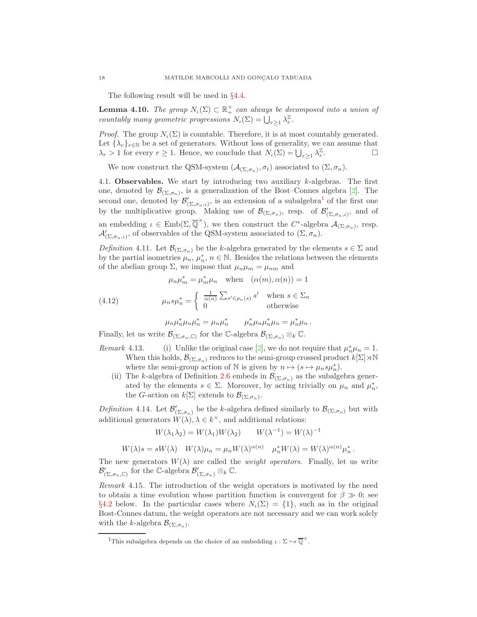The following result will be used in §[4.4.](#page-23-0)

**Lemma 4.10.** The group  $N_t(\Sigma) \subset \mathbb{R}_+^{\times}$  can always be decomposed into a union of countably many geometric progressions  $N_{\iota}(\Sigma) = \bigcup_{r \geq 1} \lambda_r^{\mathbb{Z}}$ .

*Proof.* The group  $N_{\iota}(\Sigma)$  is countable. Therefore, it is at most countably generated. Let  $\{\lambda_r\}_{r \in \mathbb{N}}$  be a set of generators. Without loss of generality, we can assume that  $\lambda_r > 1$  for every  $r > 1$ . Hence, we conclude that  $N_r(\Sigma) = 1$ ,  $\lambda^{\mathbb{Z}}$ .  $\lambda_r > 1$  for every  $r \geq 1$ . Hence, we conclude that  $N_{\iota}(\Sigma) = \bigcup_{r \geq 1} \lambda_r^{\mathbb{Z}}$ . — Первый проста в сервести в сервести в сервести в сервести в сервести в сервести в сервести в сервести в се<br>В сервести в сервести в сервести в сервести в сервести в сервести в сервести в сервести в сервести в сервести

We now construct the QSM-system  $(\mathcal{A}_{(\Sigma,\sigma_n)}, \sigma_t)$  associated to  $(\Sigma, \sigma_n)$ .

<span id="page-17-4"></span>4.1. **Observables.** We start by introducing two auxiliary  $k$ -algebras. The first one, denoted by  $\mathcal{B}_{(\Sigma,\sigma_n)}$ , is a generalization of the Bost–Connes algebra [\[2\]](#page-39-1). The second one, denoted by  $\mathcal{B}'_{(\Sigma,\sigma_n,\iota)},$  is an extension of a subalgebra<sup>[1](#page-17-0)</sup> of the first one by the multiplicative group. Making use of  $\mathcal{B}_{(\Sigma,\sigma_n)}$ , resp. of  $\mathcal{B}'_{(\Sigma,\sigma_n,\iota)}$ , and of an embedding  $\iota \in \text{Emb}(\Sigma, \overline{\mathbb{Q}}^{\times})$ , we then construct the  $C^*$ -algebra  $\mathcal{A}_{(\Sigma, \sigma_n)}$ , resp.  $\mathcal{A}'_{(\Sigma,\sigma_n,\iota)}$ , of observables of the QSM-system associated to  $(\Sigma,\sigma_n)$ .

<span id="page-17-1"></span>Definition 4.11. Let  $\mathcal{B}_{(\Sigma,\sigma_n)}$  be the k-algebra generated by the elements  $s \in \Sigma$  and by the partial isometries  $\mu_n$ ,  $\mu_n^*$ ,  $n \in \mathbb{N}$ . Besides the relations between the elements of the abelian group  $\Sigma$ , we impose that  $\mu_n\mu_m = \mu_{nm}$  and

<span id="page-17-3"></span>
$$
\mu_n \mu_m^* = \mu_m^* \mu_n \quad \text{when} \quad (\alpha(m), \alpha(n)) = 1
$$

(4.12) 
$$
\mu_n s \mu_n^* = \begin{cases} \frac{1}{\alpha(n)} \sum_{s' \in \rho_n(s)} s' & \text{when } s \in \Sigma_n \\ 0 & \text{otherwise} \end{cases}
$$

 $\mu_n \mu_n^* \mu_n \mu_n^* = \mu_n \mu_n^* \qquad \mu_n^* \mu_n \mu_n = \mu_n^* \mu_n \, .$ 

Finally, let us write  $\mathcal{B}_{(\Sigma,\sigma_n,\mathbb{C})}$  for the C-algebra  $\mathcal{B}_{(\Sigma,\sigma_n)} \otimes_k \mathbb{C}$ .

- Remark 4.13. (i) Unlike the original case [\[2\]](#page-39-1), we do not require that  $\mu_n^* \mu_n = 1$ . When this holds,  $\mathcal{B}_{(\Sigma,\sigma_n)}$  reduces to the semi-group crossed product  $k[\Sigma]\rtimes\mathbb{N}$ where the semi-group action of N is given by  $n \mapsto (s \mapsto \mu_n s \mu_n^*)$ .
	- (ii) The k-algebra of Definition [2.6](#page-4-2) embeds in  $\mathcal{B}_{(\Sigma,\sigma_n)}$  as the subalgebra generated by the elements  $s \in \Sigma$ . Moreover, by acting trivially on  $\mu_n$  and  $\mu_n^*$ , the *G*-action on  $k[\Sigma]$  extends to  $\mathcal{B}_{(\Sigma, \sigma_n)}$ .

<span id="page-17-2"></span>Definition 4.14. Let  $\mathcal{B}'_{(\Sigma,\sigma_n)}$  be the k-algebra defined similarly to  $\mathcal{B}_{(\Sigma,\sigma_n)}$  but with additional generators  $W(\lambda), \lambda \in k^{\times}$ , and additional relations:

$$
W(\lambda_1 \lambda_2) = W(\lambda_1)W(\lambda_2) \qquad W(\lambda^{-1}) = W(\lambda)^{-1}
$$

$$
W(\lambda)s = sW(\lambda) \quad W(\lambda)\mu_n = \mu_n W(\lambda)^{\alpha(n)} \quad \mu_n^* W(\lambda) = W(\lambda)^{\alpha(n)} \mu_n^* \, .
$$

The new generators  $W(\lambda)$  are called the *weight operators*. Finally, let us write  $\mathcal{B}'_{(\Sigma,\sigma_n,\mathbb{C})}$  for the C-algebra  $\mathcal{B}'_{(\Sigma,\sigma_n)} \otimes_k \mathbb{C}$ .

Remark 4.15. The introduction of the weight operators is motivated by the need to obtain a time evolution whose partition function is convergent for  $\beta \gg 0$ ; see §[4.2](#page-21-0) below. In the particular cases where  $N_{\iota}(\Sigma) = \{1\}$ , such as in the original Bost-Connes datum, the weight operators are not necessary and we can work solely with the k-algebra  $\mathcal{B}_{(\Sigma,\sigma_n)}$ .

<span id="page-17-0"></span><sup>&</sup>lt;sup>1</sup>This subalgebra depends on the choice of an embedding  $\iota : \Sigma \hookrightarrow \overline{\mathbb{Q}}^{\times}$ .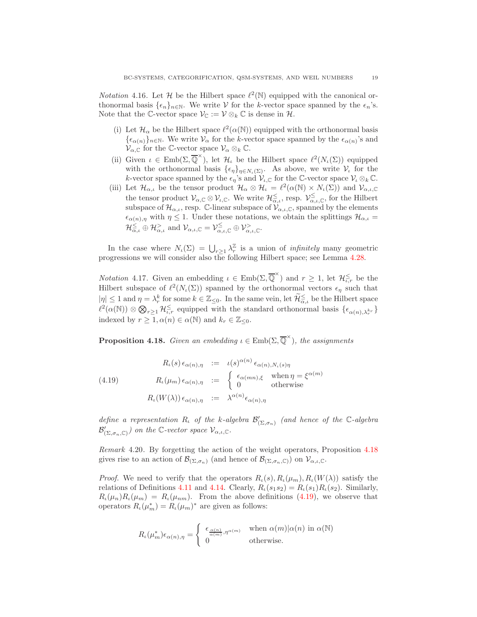*Notation* 4.16. Let  $\mathcal{H}$  be the Hilbert space  $\ell^2(\mathbb{N})$  equipped with the canonical orthonormal basis  $\{\epsilon_n\}_{n\in\mathbb{N}}$ . We write V for the k-vector space spanned by the  $\epsilon_n$ 's. Note that the C-vector space  $\mathcal{V}_{\mathbb{C}} := \mathcal{V} \otimes_k \mathbb{C}$  is dense in  $\mathcal{H}$ .

- (i) Let  $\mathcal{H}_{\alpha}$  be the Hilbert space  $\ell^2(\alpha(\mathbb{N}))$  equipped with the orthonormal basis  $\{\epsilon_{\alpha(n)}\}_n\in\mathbb{N}$ . We write  $\mathcal{V}_\alpha$  for the k-vector space spanned by the  $\epsilon_{\alpha(n)}$ 's and  $\mathcal{V}_{\alpha,\mathbb{C}}$  for the C-vector space  $\mathcal{V}_{\alpha\otimes k}\mathbb{C}$ .
- (ii) Given  $\iota \in \text{Emb}(\Sigma, \overline{\mathbb{Q}}^{\times})$ , let  $\mathcal{H}_{\iota}$  be the Hilbert space  $\ell^2(N_{\iota}(\Sigma))$  equipped with the orthonormal basis  $\{\epsilon_{\eta}\}_{\eta \in N_{\iota}(\Sigma)}$ . As above, we write  $\mathcal{V}_{\iota}$  for the k-vector space spanned by the  $\epsilon_{\eta}$ 's and  $\mathcal{V}_{\iota,\mathbb{C}}$  for the C-vector space  $\mathcal{V}_{\iota} \otimes_k \mathbb{C}$ .
- (iii) Let  $\mathcal{H}_{\alpha,\iota}$  be the tensor product  $\mathcal{H}_{\alpha} \otimes \mathcal{H}_{\iota} = \ell^2(\alpha(\mathbb{N}) \times N_{\iota}(\Sigma))$  and  $\mathcal{V}_{\alpha,\iota,\mathbb{C}}$ the tensor product  $\mathcal{V}_{\alpha,\mathbb{C}} \otimes \mathcal{V}_{\iota,\mathbb{C}}$ . We write  $\mathcal{H}_{\alpha,\iota}^{\leq}$ , resp.  $\mathcal{V}_{\alpha,\iota,\mathbb{C}}^{\leq}$ , for the Hilbert subspace of  $\mathcal{H}_{\alpha,\iota}$ , resp. C-linear subspace of  $\mathcal{V}_{\alpha,\iota,\mathbb{C}}$ , spanned by the elements  $\epsilon_{\alpha(n),\eta}$  with  $\eta \leq 1$ . Under these notations, we obtain the splittings  $\mathcal{H}_{\alpha,\iota}$  $\mathcal{H}_{\alpha,\iota}^{\leq} \oplus \mathcal{H}_{\alpha,\iota}^{\geq}$  and  $\mathcal{V}_{\alpha,\iota,\mathbb{C}} = \mathcal{V}_{\alpha,\iota,\mathbb{C}}^{\leq} \oplus \mathcal{V}_{\alpha,\iota,\mathbb{C}}^{\geq}$ .

In the case where  $N_{\iota}(\Sigma) = \bigcup_{r \geq 1} \lambda_r^{\mathbb{Z}}$  is a union of *infinitely* many geometric progressions we will consider also the following Hilbert space; see Lemma [4.28.](#page-21-1)

<span id="page-18-2"></span>*Notation* 4.17. Given an embedding  $\iota \in \text{Emb}(\Sigma, \overline{\mathbb{Q}}^{\times})$  and  $r \geq 1$ , let  $\mathcal{H}_{\iota,r}^{\leq}$  be the Hilbert subspace of  $\ell^2(N_\iota(\Sigma))$  spanned by the orthonormal vectors  $\epsilon_\eta$  such that  $|\eta| \leq 1$  and  $\eta = \lambda_r^k$  for some  $k \in \mathbb{Z}_{\leq 0}$ . In the same vein, let  $\mathcal{H}_{\alpha,\iota}^{\leq}$  be the Hilbert space  $\ell^2(\alpha(\mathbb{N}))\otimes \bigotimes_{r\geq 1}\mathcal{H}_{\iota,r}^{\leq}$  equipped with the standard orthonormal basis  $\{\epsilon_{\alpha(n),\lambda_r^{k_r}}\}$ indexed by  $r \geq 1, \alpha(n) \in \alpha(\mathbb{N})$  and  $k_r \in \mathbb{Z}_{\leq 0}$ .

<span id="page-18-0"></span>**Proposition 4.18.** Given an embedding  $\iota \in \text{Emb}(\Sigma, \overline{\mathbb{Q}}^{\times})$ , the assignments

<span id="page-18-1"></span>(4.19) 
$$
R_{\iota}(s) \epsilon_{\alpha(n),\eta} := \iota(s)^{\alpha(n)} \epsilon_{\alpha(n),N_{\iota}(s)\eta}
$$

$$
R_{\iota}(\mu_m) \epsilon_{\alpha(n),\eta} := \begin{cases} \epsilon_{\alpha(mn),\xi} & \text{when } \eta = \xi^{\alpha(m)} \\ 0 & \text{otherwise} \end{cases}
$$

$$
R_{\iota}(W(\lambda)) \epsilon_{\alpha(n),\eta} := \lambda^{\alpha(n)} \epsilon_{\alpha(n),\eta}
$$

define a representation  $R_t$  of the k-algebra  $\mathcal{B}'_{(\Sigma,\sigma_n)}$  (and hence of the C-algebra  $\mathcal{B}'_{(\Sigma,\sigma_n,\mathbb{C})}$  on the C-vector space  $\mathcal{V}_{\alpha,\iota,\mathbb{C}}$ .

Remark 4.20. By forgetting the action of the weight operators, Proposition [4.18](#page-18-0) gives rise to an action of  $\mathcal{B}_{(\Sigma,\sigma_n)}$  (and hence of  $\mathcal{B}_{(\Sigma,\sigma_n,\mathbb{C})}$ ) on  $\mathcal{V}_{\alpha,\iota,\mathbb{C}}$ .

*Proof.* We need to verify that the operators  $R_{\iota}(s), R_{\iota}(\mu_m), R_{\iota}(W(\lambda))$  satisfy the relations of Definitions [4.11](#page-17-1) and [4.14.](#page-17-2) Clearly,  $R_{\iota}(s_1s_2) = R_{\iota}(s_1)R_{\iota}(s_2)$ . Similarly,  $R_{\iota}(\mu_n)R_{\iota}(\mu_m) = R_{\iota}(\mu_{nm}).$  From the above definitions [\(4.19\)](#page-18-1), we observe that operators  $R_{\iota}(\mu_m^*) = R_{\iota}(\mu_m)^*$  are given as follows:

$$
R_{\iota}(\mu_m^*)\epsilon_{\alpha(n),\eta} = \begin{cases} \epsilon_{\frac{\alpha(n)}{\alpha(m)},\eta^{\alpha(m)}} & \text{when } \alpha(m)|\alpha(n) \text{ in } \alpha(\mathbb{N})\\ 0 & \text{otherwise.} \end{cases}
$$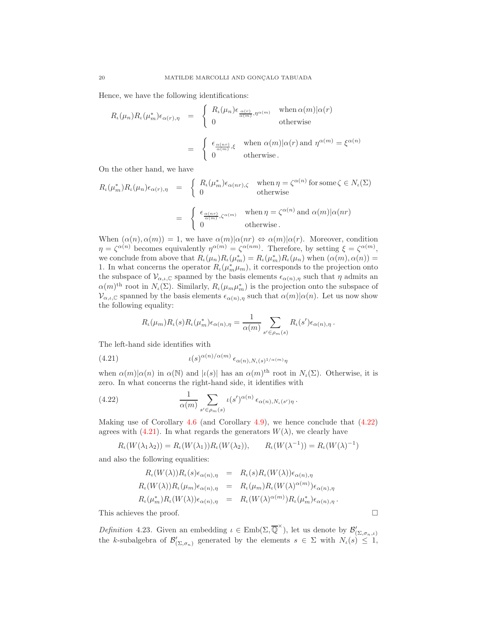Hence, we have the following identifications:

$$
R_{\iota}(\mu_n)R_{\iota}(\mu_m^*)\epsilon_{\alpha(r),\eta} = \begin{cases} R_{\iota}(\mu_n)\epsilon_{\frac{\alpha(r)}{\alpha(m)},\eta^{\alpha(m)}} & \text{when } \alpha(m)|\alpha(r) \\ 0 & \text{otherwise} \end{cases}
$$

$$
= \begin{cases} \epsilon_{\frac{\alpha(nr)}{\alpha(m)},\xi} & \text{when } \alpha(m)|\alpha(r) \text{ and } \eta^{\alpha(m)} = \xi^{\alpha(n)} \\ 0 & \text{otherwise.} \end{cases}
$$

On the other hand, we have

$$
R_{\iota}(\mu_m^*)R_{\iota}(\mu_n)\epsilon_{\alpha(r),\eta} = \begin{cases} R_{\iota}(\mu_m^*)\epsilon_{\alpha(nr),\zeta} & \text{when } \eta = \zeta^{\alpha(n)} \text{ for some } \zeta \in N_{\iota}(\Sigma) \\ 0 & \text{otherwise} \end{cases}
$$

$$
= \begin{cases} \epsilon_{\frac{\alpha(nr)}{\alpha(m)},\zeta^{\alpha(m)}} & \text{when } \eta = \zeta^{\alpha(n)} \text{ and } \alpha(m)|\alpha(nr) \\ 0 & \text{otherwise.} \end{cases}
$$

When  $(\alpha(n), \alpha(m)) = 1$ , we have  $\alpha(m) | \alpha(nr) \Leftrightarrow \alpha(m) | \alpha(r)$ . Moreover, condition  $\eta = \zeta^{\alpha(n)}$  becomes equivalently  $\eta^{\alpha(m)} = \zeta^{\alpha(nm)}$ . Therefore, by setting  $\xi = \zeta^{\alpha(m)}$ , we conclude from above that  $R_{\iota}(\mu_n)R_{\iota}(\mu_m^*) = R_{\iota}(\mu_m^*)R_{\iota}(\mu_n)$  when  $(\alpha(m), \alpha(n)) =$ 1. In what concerns the operator  $R_{\iota}(\mu_m^*\mu_m)$ , it corresponds to the projection onto the subspace of  $\mathcal{V}_{\alpha,\iota,\mathbb{C}}$  spanned by the basis elements  $\epsilon_{\alpha(n),\eta}$  such that  $\eta$  admits an  $\alpha(m)$ <sup>th</sup> root in  $N_{\iota}(\Sigma)$ . Similarly,  $R_{\iota}(\mu_m \mu_m^*)$  is the projection onto the subspace of  $\mathcal{V}_{\alpha,\iota,\mathbb{C}}$  spanned by the basis elements  $\epsilon_{\alpha(n),\eta}$  such that  $\alpha(m)|\alpha(n)$ . Let us now show the following equality:

<span id="page-19-1"></span>
$$
R_{\iota}(\mu_m)R_{\iota}(s)R_{\iota}(\mu_m^*)\epsilon_{\alpha(n),\eta} = \frac{1}{\alpha(m)}\sum_{s'\in\rho_m(s)}R_{\iota}(s')\epsilon_{\alpha(n),\eta}.
$$

The left-hand side identifies with

(4.21) 
$$
t(s)^{\alpha(n)/\alpha(m)} \epsilon_{\alpha(n),N_{\iota}(s)^{1/\alpha(m)}\eta}
$$

when  $\alpha(m)|\alpha(n)$  in  $\alpha(\mathbb{N})$  and  $|\iota(s)|$  has an  $\alpha(m)$ <sup>th</sup> root in  $N_{\iota}(\Sigma)$ . Otherwise, it is zero. In what concerns the right-hand side, it identifies with

(4.22) 
$$
\frac{1}{\alpha(m)} \sum_{s' \in \rho_m(s)} \iota(s')^{\alpha(n)} \epsilon_{\alpha(n),N_{\iota}(s')\eta}.
$$

Making use of Corollary [4.6](#page-16-1) (and Corollary [4.9\)](#page-16-2), we hence conclude that [\(4.22\)](#page-19-0) agrees with [\(4.21\)](#page-19-1). In what regards the generators  $W(\lambda)$ , we clearly have

<span id="page-19-0"></span>
$$
R_{\iota}(W(\lambda_1 \lambda_2)) = R_{\iota}(W(\lambda_1))R_{\iota}(W(\lambda_2)), \qquad R_{\iota}(W(\lambda^{-1})) = R_{\iota}(W(\lambda)^{-1})
$$

and also the following equalities:

$$
R_{\iota}(W(\lambda))R_{\iota}(s)\epsilon_{\alpha(n),\eta} = R_{\iota}(s)R_{\iota}(W(\lambda))\epsilon_{\alpha(n),\eta}
$$
  
\n
$$
R_{\iota}(W(\lambda))R_{\iota}(\mu_m)\epsilon_{\alpha(n),\eta} = R_{\iota}(\mu_m)R_{\iota}(W(\lambda)^{\alpha(m)})\epsilon_{\alpha(n),\eta}
$$
  
\n
$$
R_{\iota}(\mu_m^*)R_{\iota}(W(\lambda))\epsilon_{\alpha(n),\eta} = R_{\iota}(W(\lambda)^{\alpha(m)})R_{\iota}(\mu_m^*)\epsilon_{\alpha(n),\eta}.
$$

This achieves the proof.  $\Box$ 

<span id="page-19-2"></span>Definition 4.23. Given an embedding  $\iota \in \text{Emb}(\Sigma, \overline{\mathbb{Q}}^{\times})$ , let us denote by  $\mathcal{B}'_{(\Sigma, \sigma_n, \iota)}$ the k-subalgebra of  $\mathcal{B}'_{(\Sigma,\sigma_n)}$  generated by the elements  $s \in \Sigma$  with  $N_{\iota}(s) \leq 1$ ,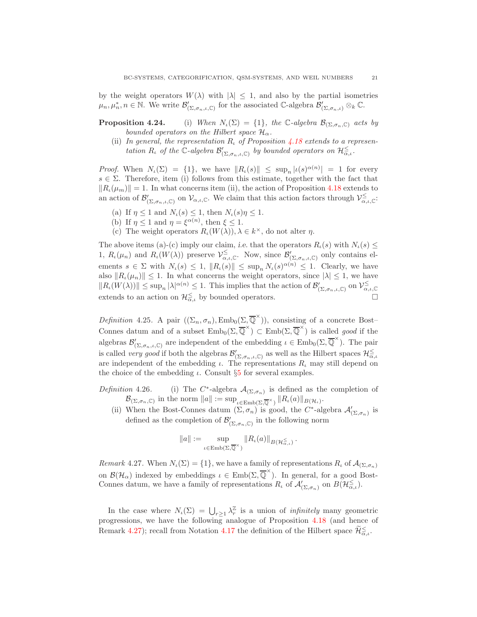by the weight operators  $W(\lambda)$  with  $|\lambda| \leq 1$ , and also by the partial isometries  $\mu_n, \mu_n^*, n \in \mathbb{N}$ . We write  $\mathcal{B}'_{(\Sigma,\sigma_n,\iota,\mathbb{C})}$  for the associated C-algebra  $\mathcal{B}'_{(\Sigma,\sigma_n,\iota)} \otimes_k \mathbb{C}$ .

- **Proposition 4.24.** (i) When  $N_{\iota}(\Sigma) = \{1\}$ , the C-algebra  $\mathcal{B}_{(\Sigma, \sigma_n, \mathbb{C})}$  acts by bounded operators on the Hilbert space  $\mathcal{H}_{\alpha}$ .
	- (ii) In general, the representation  $R_t$  of Proposition [4.18](#page-18-0) extends to a representation  $R_{\iota}$  of the C-algebra  $\mathcal{B}'_{(\Sigma,\sigma_n,\iota,\mathbb{C})}$  by bounded operators on  $\mathcal{H}_{\alpha,\iota}^{\le}$ .

*Proof.* When  $N_{\iota}(\Sigma) = \{1\}$ , we have  $||R_{\iota}(s)|| \leq \sup_n |\iota(s)^{\alpha(n)}| = 1$  for every  $s \in \Sigma$ . Therefore, item (i) follows from this estimate, together with the fact that  $||R_{\iota}(\mu_m)|| = 1$ . In what concerns item (ii), the action of Proposition [4.18](#page-18-0) extends to an action of  $\mathcal{B}'_{(\Sigma,\sigma_n,\iota,\mathbb{C})}$  on  $\mathcal{V}_{\alpha,\iota,\mathbb{C}}$ . We claim that this action factors through  $\mathcal{V}_{\alpha,\iota,\mathbb{C}}^{\leq}$ .

- (a) If  $\eta \leq 1$  and  $N_{\iota}(s) \leq 1$ , then  $N_{\iota}(s)\eta \leq 1$ .
- (b) If  $\eta \leq 1$  and  $\eta = \xi^{\alpha(n)}$ , then  $\xi \leq 1$ .
- (c) The weight operators  $R_{\iota}(W(\lambda)), \lambda \in k^{\times}$ , do not alter  $\eta$ .

The above items (a)-(c) imply our claim, i.e. that the operators  $R_{\iota}(s)$  with  $N_{\iota}(s) \leq$ 1,  $R_{\iota}(\mu_n)$  and  $R_{\iota}(W(\lambda))$  preserve  $\mathcal{V}_{\alpha,\iota,\mathbb{C}}^{\leq}$ . Now, since  $\mathcal{B}'_{(\Sigma,\sigma_n,\iota,\mathbb{C})}$  only contains elements  $s \in \Sigma$  with  $N_{\iota}(s) \leq 1$ ,  $||R_{\iota}(s)|| \leq \sup_n N_{\iota}(s)^{\alpha(n)} \leq 1$ . Clearly, we have also  $||R_{\iota}(\mu_n)|| \leq 1$ . In what concerns the weight operators, since  $|\lambda| \leq 1$ , we have  $||R_{\iota}(W(\lambda))|| \leq \sup_n |\lambda|^{\alpha(n)} \leq 1$ . This implies that the action of  $\mathcal{B}'_{(\Sigma,\sigma_n,\iota,\mathbb{C})}$  on  $\mathcal{V}_{\alpha,\iota,\mathbb{C}}^{\leq}$ extends to an action on  $\mathcal{H}_{\alpha,\iota}^{\leq}$  by bounded operators.

<span id="page-20-0"></span>Definition 4.25. A pair  $((\Sigma_n, \sigma_n), \text{Emb}_0(\Sigma, \overline{\mathbb{Q}}^{\times}))$ , consisting of a concrete Bost-Connes datum and of a subset  $\text{Emb}_0(\Sigma, \overline{\mathbb{Q}}^{\times}) \subset \text{Emb}(\Sigma, \overline{\mathbb{Q}}^{\times})$  is called *good* if the algebras  $\mathcal{B}'_{(\Sigma,\sigma_n,\iota,\mathbb{C})}$  are independent of the embedding  $\iota \in \text{Emb}_0(\Sigma,\overline{\mathbb{Q}}^{\times})$ . The pair is called *very good* if both the algebras  $\mathcal{B}'_{(\Sigma,\sigma_n,\iota,\mathbb{C})}$  as well as the Hilbert spaces  $\mathcal{H}_{\alpha,\iota}^{\leq}$ are independent of the embedding  $\iota$ . The representations  $R_{\iota}$  may still depend on the choice of the embedding  $\iota$ . Consult §[5](#page-28-0) for several examples.

- Definition  $4.26$ . \*-algebra  $\mathcal{A}_{(\Sigma,\sigma_n)}$  is defined as the completion of  $\mathcal{B}_{(\Sigma,\sigma_n,\mathbb{C})}$  in the norm  $||a|| := \sup_{\iota \in \text{Emb}(\Sigma,\overline{\mathbb{Q}}^{\times})} ||R_{\iota}(a)||_{B(\mathcal{H}_{\iota})}$ .
	- (ii) When the Bost-Connes datum  $(\Sigma, \sigma_n)$  is good, the C<sup>\*</sup>-algebra  $\mathcal{A}'_{(\Sigma, \sigma_n)}$  is defined as the completion of  $\mathcal{B}'_{(\Sigma,\sigma_n,\mathbb{C})}$  in the following norm

$$
||a|| := \sup_{\iota \in \text{Emb}(\Sigma, \overline{\mathbb{Q}}^{\times})} ||R_{\iota}(a)||_{B(\mathcal{H}_{\alpha,\iota}^{\leq})}.
$$

<span id="page-20-1"></span>Remark 4.27. When  $N_{\iota}(\Sigma) = \{1\}$ , we have a family of representations  $R_{\iota}$  of  $\mathcal{A}_{(\Sigma, \sigma_n)}$ on  $\mathcal{B}(\mathcal{H}_{\alpha})$  indexed by embeddings  $\iota \in \text{Emb}(\Sigma, \overline{\mathbb{Q}}^{\times})$ . In general, for a good Bost-Connes datum, we have a family of representations  $R_{\iota}$  of  $\mathcal{A}'_{(\Sigma,\sigma_n)}$  on  $B(\mathcal{H}_{\alpha,\iota}^{\le})$ .

In the case where  $N_{\iota}(\Sigma) = \bigcup_{r \geq 1} \lambda_r^{\mathbb{Z}}$  is a union of *infinitely* many geometric progressions, we have the following analogue of Proposition [4.18](#page-18-0) (and hence of Remark [4.27\)](#page-20-1); recall from Notation [4.17](#page-18-2) the definition of the Hilbert space  $\mathcal{H}_{\alpha,\iota}^{\leq}$ .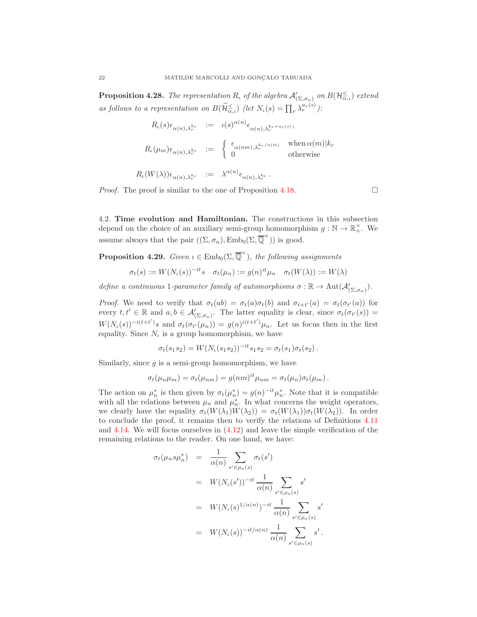<span id="page-21-1"></span>**Proposition 4.28.** The representation  $R_{\iota}$  of the algebra  $\mathcal{A}'_{(\Sigma,\sigma_n)}$  on  $B(\mathcal{H}_{\alpha,\iota}^{\le})$  extend as follows to a representation on  $B(\widetilde{\mathcal{H}}_{\alpha,\iota}^{\leq})$  (let  $N_{\iota}(s) = \prod_{r} \lambda_r^{\alpha_r(s)}$ ):

$$
R_{\iota}(s)\epsilon_{\alpha(n),\lambda_r^{k_r}} := \iota(s)^{\alpha(n)}\epsilon_{\alpha(n),\lambda_r^{k_r+a_r(s)}},
$$
  
\n
$$
R_{\iota}(\mu_m)\epsilon_{\alpha(n),\lambda_r^{k_r}} := \begin{cases} \epsilon_{\alpha(nm),\lambda_r^{k_r/\alpha(m)}} & \text{when } \alpha(m)|k_r \\ 0 & \text{otherwise} \end{cases}
$$
  
\n
$$
R_{\iota}(W(\lambda))\epsilon_{\alpha(n),\lambda_r^{k_r}} := \lambda^{\alpha(n)}\epsilon_{\alpha(n),\lambda_r^{k_r}}.
$$

*Proof.* The proof is similar to the one of Proposition [4.18.](#page-18-0)

<span id="page-21-0"></span>4.2. Time evolution and Hamiltonian. The constructions in this subsection depend on the choice of an auxiliary semi-group homomorphism  $g : \mathbb{N} \to \mathbb{R}_+^{\times}$ . We assume always that the pair  $((\Sigma, \sigma_n), \text{Emb}_0(\Sigma, \overline{\mathbb{Q}}^{\times}))$  is good.

<span id="page-21-2"></span>**Proposition 4.29.** Given  $\iota \in \text{Emb}_0(\Sigma, \overline{\mathbb{Q}}^{\times})$ , the following assignments

$$
\sigma_t(s) := W(N_t(s))^{-it} s \quad \sigma_t(\mu_n) := g(n)^{it} \mu_n \quad \sigma_t(W(\lambda)) := W(\lambda)
$$

define a continuous 1-parameter family of automorphisms  $\sigma : \mathbb{R} \to \text{Aut}(\mathcal{A}'_{(\Sigma, \sigma_n)})$ .

*Proof.* We need to verify that  $\sigma_t(ab) = \sigma_t(a)\sigma_t(b)$  and  $\sigma_{t+t'}(a) = \sigma_t(\sigma_{t'}(a))$  for every  $t, t' \in \mathbb{R}$  and  $a, b \in \mathcal{A}'_{(\Sigma, \sigma_n)}$ . The latter equality is clear, since  $\sigma_t(\sigma_{t'}(s)) =$  $W(N_{\iota}(s))^{-i(t+t')}s$  and  $\sigma_t(\sigma_{t'}(\mu_n)) = g(n)^{i(t+t')} \mu_n$ . Let us focus then in the first equality. Since  $N_t$  is a group homomorphism, we have

$$
\sigma_t(s_1s_2) = W(N_t(s_1s_2))^{-it} s_1 s_2 = \sigma_t(s_1) \sigma_t(s_2).
$$

Similarly, since  $g$  is a semi-group homomorphism, we have

$$
\sigma_t(\mu_n \mu_m) = \sigma_t(\mu_{nm}) = g(nm)^{it} \mu_{nm} = \sigma_t(\mu_n) \sigma_t(\mu_m).
$$

The action on  $\mu_n^*$  is then given by  $\sigma_t(\mu_n^*) = g(n)^{-it}\mu_n^*$ . Note that it is compatible with all the relations between  $\mu_n$  and  $\mu_n^*$ . In what concerns the weight operators, we clearly have the equality  $\sigma_t(W(\lambda_1)W(\lambda_2)) = \sigma_t(W(\lambda_1))\sigma_t(W(\lambda_2))$ . In order to conclude the proof, it remains then to verify the relations of Definitions [4.11](#page-17-1) and [4.14.](#page-17-2) We will focus ourselves in [\(4.12\)](#page-17-3) and leave the simple verification of the remaining relations to the reader. On one hand, we have:

$$
\sigma_t(\mu_n s \mu_n^*) = \frac{1}{\alpha(n)} \sum_{s' \in \rho_n(s)} \sigma_t(s')
$$
  
\n
$$
= W(N_t(s'))^{-it} \frac{1}{\alpha(n)} \sum_{s' \in \rho_n(s)} s'
$$
  
\n
$$
= W(N_t(s)^{1/\alpha(n)})^{-it} \frac{1}{\alpha(n)} \sum_{s' \in \rho_n(s)} s'
$$
  
\n
$$
= W(N_t(s))^{-it/\alpha(n)} \frac{1}{\alpha(n)} \sum_{s' \in \rho_n(s)} s'.
$$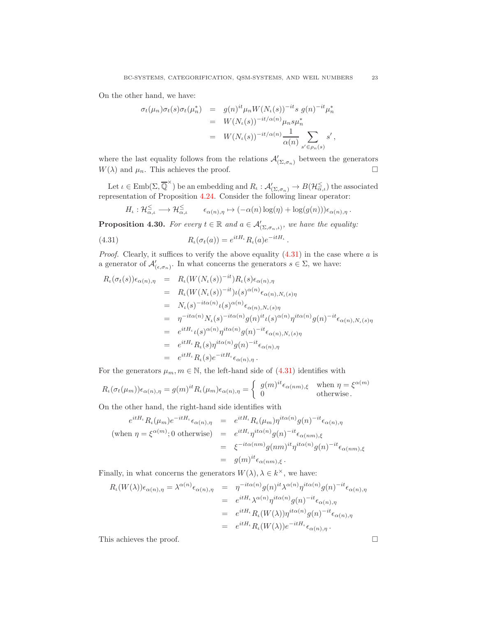On the other hand, we have:

$$
\sigma_t(\mu_n)\sigma_t(s)\sigma_t(\mu_n^*) = g(n)^{it}\mu_n W(N_t(s))^{-it} s g(n)^{-it}\mu_n^*
$$
  

$$
= W(N_t(s))^{-it/\alpha(n)}\mu_n s \mu_n^*
$$
  

$$
= W(N_t(s))^{-it/\alpha(n)} \frac{1}{\alpha(n)} \sum_{s' \in \rho_n(s)} s',
$$

where the last equality follows from the relations  $\mathcal{A}'_{(\Sigma,\sigma_n)}$  between the generators  $W(\lambda)$  and  $\mu_n$ . This achieves the proof.

Let  $\iota \in \text{Emb}(\Sigma, \overline{\mathbb{Q}}^{\times})$  be an embedding and  $R_{\iota}: \mathcal{A}'_{(\Sigma, \sigma_n)} \to B(\mathcal{H}_{\overline{\alpha}, \iota}^{\le})$  the associated representation of Proposition 4.24. Consider the following linear operator:

<span id="page-22-0"></span>
$$
H_{\iota}: \mathcal{H}_{\alpha,\iota}^{\leq} \longrightarrow \mathcal{H}_{\alpha,\iota}^{\leq} \qquad \epsilon_{\alpha(n),\eta} \mapsto (-\alpha(n) \log(\eta) + \log(g(n))) \epsilon_{\alpha(n),\eta}.
$$

<span id="page-22-1"></span>**Proposition 4.30.** For every  $t \in \mathbb{R}$  and  $a \in \mathcal{A}'_{(\Sigma, \sigma_n, \iota)},$  we have the equality:

(4.31) 
$$
R_{\iota}(\sigma_t(a)) = e^{itH_{\iota}} R_{\iota}(a) e^{-itH_{\iota}}.
$$

*Proof.* Clearly, it suffices to verify the above equality  $(4.31)$  in the case where a is a generator of  $\mathcal{A}'_{(\epsilon,\sigma_n)}$ . In what concerns the generators  $s \in \Sigma$ , we have:

$$
R_{\iota}(\sigma_{t}(s))\epsilon_{\alpha(n),\eta} = R_{\iota}(W(N_{\iota}(s))^{-it})R_{\iota}(s)\epsilon_{\alpha(n),\eta}
$$
  
\n
$$
= R_{\iota}(W(N_{\iota}(s))^{-it})\iota(s)^{\alpha(n)}\epsilon_{\alpha(n),N_{\iota}(s)\eta}
$$
  
\n
$$
= N_{\iota}(s)^{-it\alpha(n)}\iota(s)^{\alpha(n)}\epsilon_{\alpha(n),N_{\iota}(s)\eta}
$$
  
\n
$$
= \eta^{-it\alpha(n)}N_{\iota}(s)^{-it\alpha(n)}g(n)^{it}\iota(s)^{\alpha(n)}\eta^{it\alpha(n)}g(n)^{-it}\epsilon_{\alpha(n),N_{\iota}(s)\eta}
$$
  
\n
$$
= e^{itH_{\iota}}\iota(s)^{\alpha(n)}\eta^{it\alpha(n)}g(n)^{-it}\epsilon_{\alpha(n),N_{\iota}(s)\eta}
$$
  
\n
$$
= e^{itH_{\iota}}R_{\iota}(s)\eta^{it\alpha(n)}g(n)^{-it}\epsilon_{\alpha(n),\eta}
$$
  
\n
$$
= e^{itH_{\iota}}R_{\iota}(s)e^{-itH_{\iota}}\epsilon_{\alpha(n),\eta}.
$$

For the generators  $\mu_m, m \in \mathbb{N}$ , the left-hand side of  $(4.31)$  identifies with

$$
R_{\iota}(\sigma_{t}(\mu_{m}))\epsilon_{\alpha(n),\eta} = g(m)^{it}R_{\iota}(\mu_{m})\epsilon_{\alpha(n),\eta} = \begin{cases} g(m)^{it}\epsilon_{\alpha(nm),\xi} & \text{when } \eta = \xi^{\alpha(m)} \\ 0 & \text{otherwise.} \end{cases}
$$

On the other hand, the right-hand side identifies with

$$
e^{itH_{\iota}} R_{\iota}(\mu_m) e^{-itH_{\iota}} \epsilon_{\alpha(n),\eta} = e^{itH_{\iota}} R_{\iota}(\mu_m) \eta^{it\alpha(n)} g(n)^{-it} \epsilon_{\alpha(n),\eta}
$$
  
(when  $\eta = \xi^{\alpha(m)}; 0$  otherwise) =  $e^{itH_{\iota}} \eta^{it\alpha(n)} g(n)^{-it} \epsilon_{\alpha(nm),\xi}$   

$$
= \xi^{-it\alpha(nm)} g(nm)^{it} \eta^{it\alpha(n)} g(n)^{-it} \epsilon_{\alpha(nm),\xi}
$$
  

$$
= g(m)^{it} \epsilon_{\alpha(nm),\xi}.
$$

Finally, in what concerns the generators  $W(\lambda), \lambda \in k^{\times}$ , we have:

$$
R_{\iota}(W(\lambda))\epsilon_{\alpha(n),\eta} = \lambda^{\alpha(n)}\epsilon_{\alpha(n),\eta} = \eta^{-it\alpha(n)}g(n)^{it}\lambda^{\alpha(n)}\eta^{it\alpha(n)}g(n)^{-it}\epsilon_{\alpha(n),\eta}
$$
  
\n
$$
= e^{itH_{\iota}}\lambda^{\alpha(n)}\eta^{it\alpha(n)}g(n)^{-it}\epsilon_{\alpha(n),\eta}
$$
  
\n
$$
= e^{itH_{\iota}}R_{\iota}(W(\lambda))\eta^{it\alpha(n)}g(n)^{-it}\epsilon_{\alpha(n),\eta}
$$
  
\n
$$
= e^{itH_{\iota}}R_{\iota}(W(\lambda))e^{-itH_{\iota}}\epsilon_{\alpha(n),\eta}.
$$

This achieves the proof.  $\hfill \square$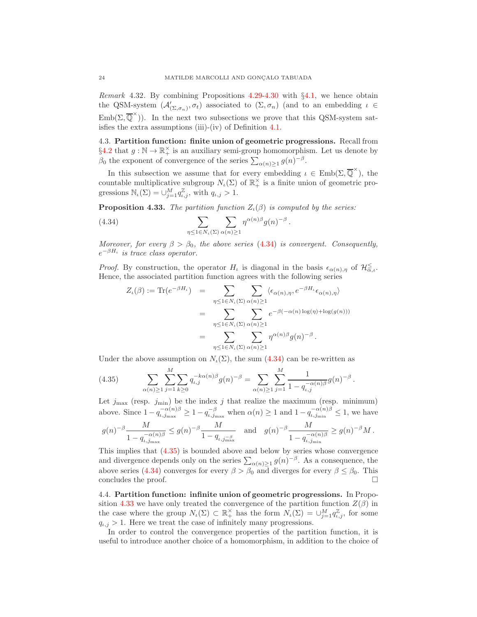Remark 4.32. By combining Propositions [4.29](#page-21-2)[-4.30](#page-22-1) with §[4.1,](#page-17-4) we hence obtain the QSM-system  $(\mathcal{A}'_{(\Sigma,\sigma_n)}, \sigma_t)$  associated to  $(\Sigma, \sigma_n)$  (and to an embedding  $\iota \in$  $\text{Emb}(\Sigma, \overline{\mathbb{Q}}^{\times})$ ). In the next two subsections we prove that this QSM-system satisfies the extra assumptions (iii)-(iv) of Definition [4.1.](#page-15-2)

4.3. Partition function: finite union of geometric progressions. Recall from  $\S4.2$  $\S4.2$  that  $g : \mathbb{N} \to \mathbb{R}_+^{\times}$  is an auxiliary semi-group homomorphism. Let us denote by  $\beta_0$  the exponent of convergence of the series  $\sum_{\alpha(n)\geq 1} g(n)^{-\beta}$ .

In this subsection we assume that for every embedding  $\iota \in \text{Emb}(\Sigma, \overline{\mathbb{Q}}^{\times})$ , the countable multiplicative subgroup  $N_t(\Sigma)$  of  $\mathbb{R}^{\times}_+$  is a finite union of geometric progressions  $\mathbb{N}_{\iota}(\Sigma) = \cup_{j=1}^{M} q_{\iota,j}^{\mathbb{Z}}$ , with  $q_{\iota,j} > 1$ .

<span id="page-23-3"></span>**Proposition 4.33.** The partition function  $Z_{\iota}(\beta)$  is computed by the series:

<span id="page-23-1"></span>(4.34) 
$$
\sum_{\eta \leq 1 \in N_{\iota}(\Sigma)} \sum_{\alpha(n)\geq 1} \eta^{\alpha(n)\beta} g(n)^{-\beta}
$$

Moreover, for every  $\beta > \beta_0$ , the above series [\(4.34\)](#page-23-1) is convergent. Consequently,  $e^{-\beta H_{\iota}}$  is trace class operator.

.

.

*Proof.* By construction, the operator  $H_{\iota}$  is diagonal in the basis  $\epsilon_{\alpha(n),\eta}$  of  $\mathcal{H}_{\alpha,\iota}^{\leq}$ . Hence, the associated partition function agrees with the following series

$$
Z_{\iota}(\beta) := \text{Tr}(e^{-\beta H_{\iota}}) = \sum_{\eta \leq 1 \in N_{\iota}(\Sigma)} \sum_{\alpha(n) \geq 1} \langle \epsilon_{\alpha(n), \eta}, e^{-\beta H_{\iota}} \epsilon_{\alpha(n), \eta} \rangle
$$
  

$$
= \sum_{\eta \leq 1 \in N_{\iota}(\Sigma)} \sum_{\alpha(n) \geq 1} e^{-\beta (-\alpha(n) \log(\eta) + \log(g(n)))}
$$
  

$$
= \sum_{\eta \leq 1 \in N_{\iota}(\Sigma)} \sum_{\alpha(n) \geq 1} \eta^{\alpha(n) \beta} g(n)^{-\beta}.
$$

Under the above assumption on  $N_{\iota}(\Sigma)$ , the sum [\(4.34\)](#page-23-1) can be re-written as

<span id="page-23-2"></span>(4.35) 
$$
\sum_{\alpha(n)\geq 1} \sum_{j=1}^{M} \sum_{k\geq 0} q_{i,j}^{-k\alpha(n)\beta} g(n)^{-\beta} = \sum_{\alpha(n)\geq 1} \sum_{j=1}^{M} \frac{1}{1 - q_{i,j}^{-\alpha(n)\beta}} g(n)^{-\beta}
$$

Let  $j_{\text{max}}$  (resp.  $j_{\text{min}}$ ) be the index j that realize the maximum (resp. minimum) above. Since  $1 - q_{\iota,j_{\max}}^{-\alpha(n)\beta} \ge 1 - q_{\iota,j_{\max}}^{-\beta}$  when  $\alpha(n) \ge 1$  and  $1 - q_{\iota,j_{\min}}^{-\alpha(n)\beta} \le 1$ , we have

$$
g(n)^{-\beta} \frac{M}{1-q_{\iota,j_{\max}}^{-\alpha(n)\beta}} \leq g(n)^{-\beta} \frac{M}{1-q_{\iota,j_{\max}}^{-\beta}} \quad \text{and} \quad g(n)^{-\beta} \frac{M}{1-q_{\iota,j_{\min}}^{-\alpha(n)\beta}} \geq g(n)^{-\beta}M \,.
$$

This implies that [\(4.35\)](#page-23-2) is bounded above and below by series whose convergence and divergence depends only on the series  $\sum_{\alpha(n)\geq 1} g(n)^{-\beta}$ . As a consequence, the above series [\(4.34\)](#page-23-1) converges for every  $\beta > \beta_0$  and diverges for every  $\beta \leq \beta_0$ . This concludes the proof concludes the proof.

<span id="page-23-0"></span>4.4. Partition function: infinite union of geometric progressions. In Propo-sition [4.33](#page-23-3) we have only treated the convergence of the partition function  $Z(\beta)$  in the case where the group  $N_{\iota}(\Sigma) \subset \mathbb{R}^{\times}_{+}$  has the form  $N_{\iota}(\Sigma) = \bigcup_{j=1}^{M} q_{\iota,j}^{\mathbb{Z}}$ , for some  $q_{i,j} > 1$ . Here we treat the case of infinitely many progressions.

In order to control the convergence properties of the partition function, it is useful to introduce another choice of a homomorphism, in addition to the choice of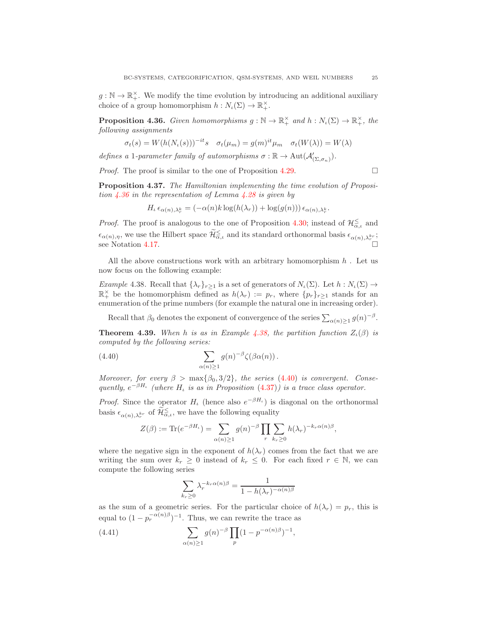$g: \mathbb{N} \to \mathbb{R}_+^{\times}$ . We modify the time evolution by introducing an additional auxiliary choice of a group homomorphism  $h: N_{\iota}(\Sigma) \to \mathbb{R}_{+}^{\times}$ .

<span id="page-24-0"></span>**Proposition 4.36.** Given homomorphisms  $g : \mathbb{N} \to \mathbb{R}_+^\times$  and  $h : N_\iota(\Sigma) \to \mathbb{R}_+^\times$ , the following assignments

$$
\sigma_t(s) = W(h(N_t(s)))^{-it} s \quad \sigma_t(\mu_m) = g(m)^{it} \mu_m \quad \sigma_t(W(\lambda)) = W(\lambda)
$$

defines a 1-parameter family of automorphisms  $\sigma : \mathbb{R} \to \text{Aut}(\mathcal{A}'_{(\Sigma, \sigma_n)})$ .

*Proof.* The proof is similar to the one of Proposition [4.29.](#page-21-2)

<span id="page-24-3"></span>Proposition 4.37. The Hamiltonian implementing the time evolution of Proposition  $\angle 4.36$  $\angle 4.36$  in the representation of Lemma  $\angle 4.28$  $\angle 4.28$  is given by

$$
H_{\iota} \epsilon_{\alpha(n),\lambda_r^k} = (-\alpha(n)k \log(h(\lambda_r)) + \log(g(n))) \epsilon_{\alpha(n),\lambda_r^k}.
$$

*Proof.* The proof is analogous to the one of Proposition [4.30;](#page-22-1) instead of  $\mathcal{H}_{\alpha,\iota}^{\le}$  and  $\epsilon_{\alpha(n),\eta}$ , we use the Hilbert space  $\mathcal{H}_{\alpha,\iota}^{\leq}$  and its standard orthonormal basis  $\epsilon_{\alpha(n),\lambda_r^{k_r}}$ ; see Notation [4.17.](#page-18-2)

All the above constructions work with an arbitrary homomorphism  $h$ . Let us now focus on the following example:

<span id="page-24-1"></span>Example 4.38. Recall that  $\{\lambda_r\}_{r>1}$  is a set of generators of  $N_\iota(\Sigma)$ . Let  $h: N_\iota(\Sigma) \to$  $\mathbb{R}^{\times}_+$  be the homomorphism defined as  $h(\lambda_r) := p_r$ , where  $\{p_r\}_{r \geq 1}$  stands for an enumeration of the prime numbers (for example the natural one in increasing order).

Recall that  $\beta_0$  denotes the exponent of convergence of the series  $\sum_{\alpha(n)\geq 1} g(n)^{-\beta}$ .

<span id="page-24-5"></span>**Theorem 4.39.** When h is as in Example [4.38,](#page-24-1) the partition function  $Z_{\iota}(\beta)$  is computed by the following series:

(4.40) 
$$
\sum_{\alpha(n)\geq 1} g(n)^{-\beta} \zeta(\beta \alpha(n)).
$$

Moreover, for every  $\beta > \max{\{\beta_0, 3/2\}}$ , the series [\(4.40\)](#page-24-2) is convergent. Consequently,  $e^{-\beta H_{\iota}}$  (where  $H_{\iota}$  is as in Proposition [\(4.37\)](#page-24-3)) is a trace class operator.

*Proof.* Since the operator  $H_l$  (hence also  $e^{-\beta H_l}$ ) is diagonal on the orthonormal basis  $\epsilon_{\alpha(n),\lambda_r^{k_r}}$  of  $\widetilde{\mathcal{H}}_{\alpha,\iota}^{\leq}$ , we have the following equality

<span id="page-24-2"></span>
$$
Z(\beta) := \text{Tr}(e^{-\beta H_t}) = \sum_{\alpha(n)\geq 1} g(n)^{-\beta} \prod_r \sum_{k_r\geq 0} h(\lambda_r)^{-k_r \alpha(n)\beta},
$$

where the negative sign in the exponent of  $h(\lambda_r)$  comes from the fact that we are writing the sum over  $k_r \geq 0$  instead of  $k_r \leq 0$ . For each fixed  $r \in \mathbb{N}$ , we can compute the following series

<span id="page-24-4"></span>
$$
\sum_{k_r\geq 0} \lambda_r^{-k_r \alpha(n)\beta} = \frac{1}{1 - h(\lambda_r)^{-\alpha(n)\beta}}
$$

as the sum of a geometric series. For the particular choice of  $h(\lambda_r) = p_r$ , this is equal to  $(1 - p_r^{-\alpha(n)\beta})^{-1}$ . Thus, we can rewrite the trace as

(4.41) 
$$
\sum_{\alpha(n)\geq 1} g(n)^{-\beta} \prod_{p} (1 - p^{-\alpha(n)\beta})^{-1},
$$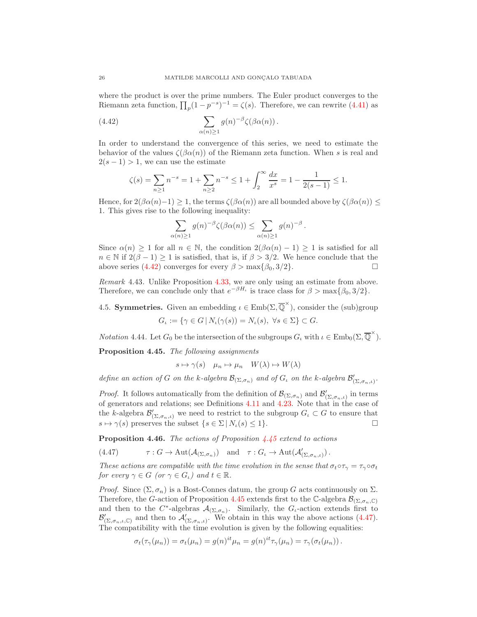where the product is over the prime numbers. The Euler product converges to the Riemann zeta function,  $\prod_p (1 - p^{-s})^{-1} = \zeta(s)$ . Therefore, we can rewrite [\(4.41\)](#page-24-4) as

(4.42) 
$$
\sum_{\alpha(n)\geq 1} g(n)^{-\beta} \zeta(\beta \alpha(n)).
$$

In order to understand the convergence of this series, we need to estimate the behavior of the values  $\zeta(\beta\alpha(n))$  of the Riemann zeta function. When s is real and  $2(s-1) > 1$ , we can use the estimate

<span id="page-25-0"></span>
$$
\zeta(s) = \sum_{n\geq 1} n^{-s} = 1 + \sum_{n\geq 2} n^{-s} \leq 1 + \int_2^{\infty} \frac{dx}{x^s} = 1 - \frac{1}{2(s-1)} \leq 1.
$$

Hence, for  $2(\beta\alpha(n)-1) \geq 1$ , the terms  $\zeta(\beta\alpha(n))$  are all bounded above by  $\zeta(\beta\alpha(n)) \leq$ 1. This gives rise to the following inequality:

$$
\sum_{\alpha(n)\geq 1} g(n)^{-\beta} \zeta(\beta \alpha(n)) \leq \sum_{\alpha(n)\geq 1} g(n)^{-\beta}.
$$

Since  $\alpha(n) \geq 1$  for all  $n \in \mathbb{N}$ , the condition  $2(\beta \alpha(n) - 1) \geq 1$  is satisfied for all  $n \in \mathbb{N}$  if  $2(\beta - 1) \ge 1$  is satisfied, that is, if  $\beta > 3/2$ . We hence conclude that the above series  $(4.42)$  converges for every  $\beta > \max{\beta_0, 3/2}$ . above series [\(4.42\)](#page-25-0) converges for every  $\beta > \max{\beta_0, 3/2}$ .

Remark 4.43. Unlike Proposition [4.33,](#page-23-3) we are only using an estimate from above. Therefore, we can conclude only that  $e^{-\beta H_{\iota}}$  is trace class for  $\beta > \max{\beta_0, 3/2}$ .

4.5. **Symmetries.** Given an embedding  $\iota \in \text{Emb}(\Sigma, \overline{\mathbb{Q}}^{\times})$ , consider the (sub)group

$$
G_{\iota} := \{ \gamma \in G \, | \, N_{\iota}(\gamma(s)) = N_{\iota}(s), \ \forall s \in \Sigma \} \subset G.
$$

<span id="page-25-3"></span>*Notation* 4.44. Let  $G_0$  be the intersection of the subgroups  $G_\iota$  with  $\iota \in \text{Emb}_0(\Sigma, \overline{\mathbb{Q}}^{\times})$ .

<span id="page-25-1"></span>Proposition 4.45. The following assignments

 $s \mapsto \gamma(s) \quad \mu_n \mapsto \mu_n \quad W(\lambda) \mapsto W(\lambda)$ 

define an action of G on the k-algebra  $\mathcal{B}_{(\Sigma,\sigma_n)}$  and of  $G_\iota$  on the k-algebra  $\mathcal{B}'_{(\Sigma,\sigma_n,\iota)}$ .

*Proof.* It follows automatically from the definition of  $\mathcal{B}_{(\Sigma,\sigma_n)}$  and  $\mathcal{B}'_{(\Sigma,\sigma_n,\iota)}$  in terms of generators and relations; see Definitions [4.11](#page-17-1) and [4.23.](#page-19-2) Note that in the case of the k-algebra  $\mathcal{B}'_{(\Sigma,\sigma_n,\iota)}$  we need to restrict to the subgroup  $G_{\iota} \subset G$  to ensure that  $s \mapsto \gamma(s)$  preserves the subset  $\{s \in \Sigma \mid N_{\iota}(s) \leq 1\}.$ 

<span id="page-25-4"></span>**Proposition 4.46.** The actions of Proposition  $\frac{4.45}{1.45}$  $\frac{4.45}{1.45}$  $\frac{4.45}{1.45}$  extend to actions

<span id="page-25-2"></span>(4.47) 
$$
\qquad \tau: G \to \text{Aut}(\mathcal{A}_{(\Sigma,\sigma_n)}) \text{ and } \tau: G_\iota \to \text{Aut}(\mathcal{A}'_{(\Sigma,\sigma_n,\iota)})
$$
.

These actions are compatible with the time evolution in the sense that  $\sigma_t \circ \tau_\gamma = \tau_\gamma \circ \sigma_t$ for every  $\gamma \in G$  (or  $\gamma \in G_{\iota}$ ) and  $t \in \mathbb{R}$ .

*Proof.* Since  $(\Sigma, \sigma_n)$  is a Bost-Connes datum, the group G acts continuously on  $\Sigma$ . Therefore, the G-action of Proposition [4.45](#page-25-1) extends first to the C-algebra  $\mathcal{B}_{(\Sigma,\sigma_n,\mathbb{C})}$ and then to the  $C^*$ -algebras  $\mathcal{A}_{(\Sigma,\sigma_n)}$ . Similarly, the  $G_t$ -action extends first to  $\mathcal{B}'_{(\Sigma,\sigma_n,\iota,\mathbb{C})}$  and then to  $\mathcal{A}'_{(\Sigma,\sigma_n,\iota)}$ . We obtain in this way the above actions [\(4.47\)](#page-25-2). The compatibility with the time evolution is given by the following equalities:

$$
\sigma_t(\tau_\gamma(\mu_n)) = \sigma_t(\mu_n) = g(n)^{it} \mu_n = g(n)^{it} \tau_\gamma(\mu_n) = \tau_\gamma(\sigma_t(\mu_n)).
$$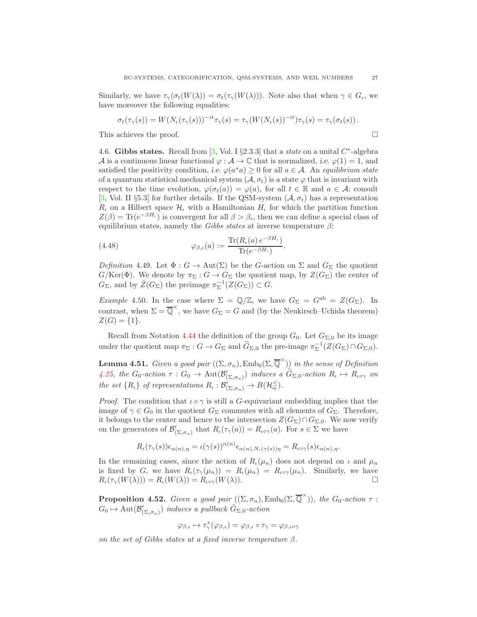Similarly, we have  $\tau_{\gamma}(\sigma_t(W(\lambda))) = \sigma_t(\tau_{\gamma}(W(\lambda))).$  Note also that when  $\gamma \in G_t$ , we have moreover the following equalities:

$$
\sigma_t(\tau_\gamma(s)) = W(N_\iota(\tau_\gamma(s)))^{-it}\tau_\gamma(s) = \tau_\gamma(W(N_\iota(s))^{-it})\tau_\gamma(s) = \tau_\gamma(\sigma_t(s)).
$$

This achieves the proof.

4.6. Gibbs states. Recall from [\[3,](#page-39-13) Vol. I §2.3.3] that a *state* on a unital  $C^*$ -algebra A is a continuous linear functional  $\varphi : \mathcal{A} \to \mathbb{C}$  that is normalized, i.e.  $\varphi(1) = 1$ , and satisfied the positivity condition, i.e.  $\varphi(a^*a) \geq 0$  for all  $a \in \mathcal{A}$ . An equilibrium state of a quantum statistical mechanical system  $(\mathcal{A}, \sigma_t)$  is a state  $\varphi$  that is invariant with respect to the time evolution,  $\varphi(\sigma_t(a)) = \varphi(a)$ , for all  $t \in \mathbb{R}$  and  $a \in \mathcal{A}$ ; consult [\[3,](#page-39-13) Vol. II §5.3] for further details. If the QSM-system  $(\mathcal{A}, \sigma_t)$  has a representation  $R_{\iota}$  on a Hilbert space  $\mathcal{H}_{\iota}$  with a Hamiltonian  $H_{\iota}$  for which the partition function  $Z(\beta) = \text{Tr}(e^{-\beta H_{\iota}})$  is convergent for all  $\beta > \beta_{\iota}$ , then we can define a special class of equilibrium states, namely the Gibbs states at inverse temperature  $\beta$ :

(4.48) 
$$
\varphi_{\beta,\iota}(a) := \frac{\text{Tr}(R_{\iota}(a) e^{-\beta H_{\iota}})}{\text{Tr}(e^{-\beta H_{\iota}})}.
$$

<span id="page-26-0"></span>Definition 4.49. Let  $\Phi : G \to \text{Aut}(\Sigma)$  be the G-action on  $\Sigma$  and  $G_{\Sigma}$  the quotient  $G/\text{Ker}(\Phi)$ . We denote by  $\pi_{\Sigma}: G \to G_{\Sigma}$  the quotient map, by  $Z(G_{\Sigma})$  the center of  $G_{\Sigma}$ , and by  $\widetilde{Z}(G_{\Sigma})$  the preimage  $\pi_{\Sigma}^{-1}(Z(G_{\Sigma})) \subset G$ .

<span id="page-26-2"></span>Example 4.50. In the case where  $\Sigma = \mathbb{Q}/\mathbb{Z}$ , we have  $G_{\Sigma} = G^{ab} = Z(G_{\Sigma})$ . In contrast, when  $\Sigma = \overline{\mathbb{Q}}^{\times}$ , we have  $G_{\Sigma} = G$  and (by the Neukirsch–Uchida theorem)  $Z(G) = \{1\}.$ 

Recall from Notation [4.44](#page-25-3) the definition of the group  $G_0$ . Let  $G_{\Sigma,0}$  be its image under the quotient map  $\pi_{\Sigma}: G \to G_{\Sigma}$  and  $\widetilde{G}_{\Sigma,0}$  the pre-image  $\pi_{\Sigma}^{-1}(Z(G_{\Sigma}) \cap G_{\Sigma,0}).$ 

<span id="page-26-1"></span>**Lemma 4.51.** Given a good pair  $((\Sigma, \sigma_n), \text{Emb}_0(\Sigma, \overline{\mathbb{Q}}^{\times}))$  in the sense of Definition [4.25,](#page-20-0) the  $G_0$ -action  $\tau: G_0 \to \text{Aut}(\mathcal{B}'_{(\Sigma, \sigma_n)})$  induces a  $\widetilde{G}_{\Sigma,0}$ -action  $R_\iota \mapsto R_{\iota \circ \gamma}$  on the set  $\{R_{\iota}\}\$  of representations  $R_{\iota} : \mathcal{B}'_{(\Sigma, \sigma_n)} \to B(\mathcal{H}_{\alpha}^{\leq}).$ 

*Proof.* The condition that  $\iota \circ \gamma$  is still a G-equivariant embedding implies that the image of  $\gamma \in G_0$  in the quotient  $G_\Sigma$  commutes with all elements of  $G_\Sigma$ . Therefore, it belongs to the center and hence to the intersection  $Z(G_{\Sigma}) \cap G_{\Sigma,0}$ . We now verify on the generators of  $\mathcal{B}'_{(\Sigma, \sigma_n)}$  that  $R_{\iota}(\tau_\gamma(a)) = R_{\iota \circ \gamma}(a)$ . For  $s \in \Sigma$  we have

$$
R_{\iota}(\tau_{\gamma}(s))\epsilon_{\alpha(n),\eta} = \iota(\gamma(s))^{\alpha(n)}\epsilon_{\alpha(n),N_{\iota}(\gamma(s))\eta} = R_{\iota\circ\gamma}(s)\epsilon_{\alpha(n),\eta}.
$$

In the remaining cases, since the action of  $R_l(\mu_n)$  does not depend on  $\iota$  and  $\mu_n$ is fixed by G, we have  $R_{\iota}(\tau_{\gamma}(\mu_n)) = R_{\iota}(\mu_n) = R_{\iota}(\mu_n)$ . Similarly, we have  $R_{\iota}(\tau_{\gamma}(W(\lambda))) = R_{\iota}(W(\lambda)) = R_{\iota\circ\gamma}(W(\lambda)).$ 

<span id="page-26-3"></span>**Proposition 4.52.** Given a good pair  $((\Sigma, \sigma_n), \text{Emb}_0(\Sigma, \overline{\mathbb{Q}}^{\times}))$ , the  $G_0$ -action  $\tau$ :  $G_0 \mapsto \text{Aut}(\mathcal{B}'_{(\Sigma,\sigma_n)})$  induces a pullback  $\tilde{G}_{\Sigma,0}$ -action

$$
\varphi_{\beta,\iota} \mapsto \tau_\gamma^*(\varphi_{\beta,\iota}) = \varphi_{\beta,\iota} \circ \tau_\gamma = \varphi_{\beta,\iota \circ \gamma}
$$

on the set of Gibbs states at a fixed inverse temperature  $\beta$ .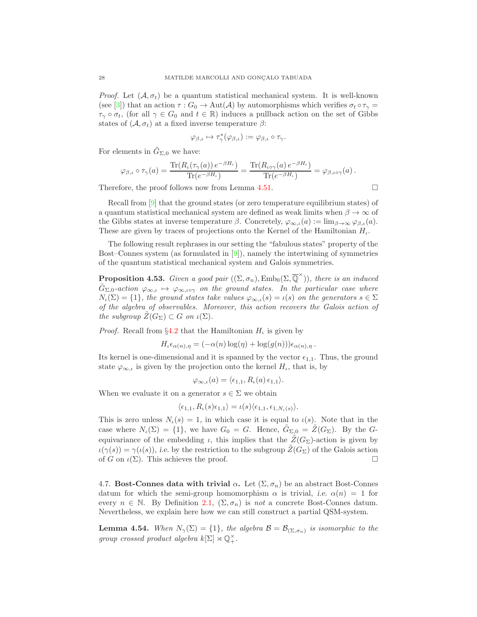*Proof.* Let  $(A, \sigma_t)$  be a quantum statistical mechanical system. It is well-known (see [\[3\]](#page-39-13)) that an action  $\tau : G_0 \to \text{Aut}(\mathcal{A})$  by automorphisms which verifies  $\sigma_t \circ \tau_\gamma =$  $\tau_{\gamma} \circ \sigma_t$ , (for all  $\gamma \in G_0$  and  $t \in \mathbb{R}$ ) induces a pullback action on the set of Gibbs states of  $(\mathcal{A}, \sigma_t)$  at a fixed inverse temperature  $\beta$ :

$$
\varphi_{\beta,\iota} \mapsto \tau_{\gamma}^*(\varphi_{\beta,\iota}) := \varphi_{\beta,\iota} \circ \tau_{\gamma}.
$$

For elements in  $\tilde{G}_{\Sigma,0}$  we have:

$$
\varphi_{\beta,\iota}\circ\tau_\gamma(a)=\frac{\text{Tr}(R_\iota(\tau_\gamma(a))\,e^{-\beta H_\iota})}{\text{Tr}(e^{-\beta H_\iota})}=\frac{\text{Tr}(R_{\iota\circ\gamma}(a)\,e^{-\beta H_\iota})}{\text{Tr}(e^{-\beta H_\iota})}=\varphi_{\beta,\iota\circ\gamma}(a)\,.
$$

Therefore, the proof follows now from Lemma [4.51.](#page-26-1)  $\Box$ 

Recall from [\[9\]](#page-39-6) that the ground states (or zero temperature equilibrium states) of a quantum statistical mechanical system are defined as weak limits when  $\beta \to \infty$  of the Gibbs states at inverse temperature  $\beta$ . Concretely,  $\varphi_{\infty,\iota}(a) := \lim_{\beta \to \infty} \varphi_{\beta,\iota}(a)$ . These are given by traces of projections onto the Kernel of the Hamiltonian  $H_{\iota}$ .

The following result rephrases in our setting the "fabulous states" property of the Bost–Connes system (as formulated in [\[9\]](#page-39-6)), namely the intertwining of symmetries of the quantum statistical mechanical system and Galois symmetries.

<span id="page-27-1"></span>**Proposition 4.53.** Given a good pair  $((\Sigma, \sigma_n), \text{Emb}_0(\Sigma, \overline{\mathbb{Q}}^{\times}))$ , there is an induced  $\tilde{G}_{\Sigma,0}$ -action  $\varphi_{\infty,\iota} \mapsto \varphi_{\infty,\iota \circ \gamma}$  on the ground states. In the particular case where  $N_{\iota}(\Sigma) = \{1\}$ , the ground states take values  $\varphi_{\infty,\iota}(s) = \iota(s)$  on the generators  $s \in \Sigma$ of the algebra of observables. Moreover, this action recovers the Galois action of the subgroup  $Z(G_{\Sigma}) \subset G$  on  $\iota(\Sigma)$ .

*Proof.* Recall from  $\S4.2$  $\S4.2$  that the Hamiltonian  $H<sub>l</sub>$  is given by

$$
H_{\iota}\epsilon_{\alpha(n),\eta} = (-\alpha(n)\log(\eta) + \log(g(n)))\epsilon_{\alpha(n),\eta}.
$$

Its kernel is one-dimensional and it is spanned by the vector  $\epsilon_{1,1}$ . Thus, the ground state  $\varphi_{\infty,\iota}$  is given by the projection onto the kernel  $H_{\iota}$ , that is, by

$$
\varphi_{\infty,\iota}(a) = \langle \epsilon_{1,1}, R_{\iota}(a) \epsilon_{1,1} \rangle.
$$

When we evaluate it on a generator  $s \in \Sigma$  we obtain

$$
\langle \epsilon_{1,1}, R_{\iota}(s) \epsilon_{1,1} \rangle = \iota(s) \langle \epsilon_{1,1}, \epsilon_{1,N_{\iota}(s)} \rangle.
$$

This is zero unless  $N_{\iota}(s) = 1$ , in which case it is equal to  $\iota(s)$ . Note that in the case where  $N_{\iota}(\Sigma) = \{1\}$ , we have  $G_0 = G$ . Hence,  $G_{\Sigma,0} = Z(G_{\Sigma})$ . By the Gequivariance of the embedding  $\iota$ , this implies that the  $\tilde{Z}(G_{\Sigma})$ -action is given by  $u(\gamma(s)) = \gamma(\iota(s))$ , i.e. by the restriction to the subgroup  $\tilde{Z}(G_{\Sigma})$  of the Galois action of G on  $\iota(\Sigma)$ . This achieves the proof.

<span id="page-27-2"></span>4.7. Bost-Connes data with trivial  $\alpha$ . Let  $(\Sigma, \sigma_n)$  be an abstract Bost-Connes datum for which the semi-group homomorphism  $\alpha$  is trivial, *i.e.*  $\alpha(n) = 1$  for every  $n \in \mathbb{N}$ . By Definition [2.1,](#page-4-0)  $(\Sigma, \sigma_n)$  is not a concrete Bost-Connes datum. Nevertheless, we explain here how we can still construct a partial QSM-system.

<span id="page-27-0"></span>**Lemma 4.54.** When  $N_{\gamma}(\Sigma) = \{1\}$ , the algebra  $\mathcal{B} = \mathcal{B}_{(\Sigma, \sigma_n)}$  is isomorphic to the group crossed product algebra  $k[\Sigma] \rtimes \mathbb{Q}_+^{\times}$ .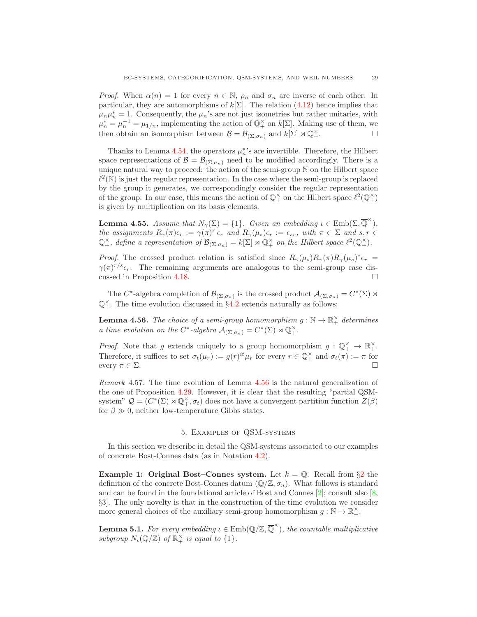*Proof.* When  $\alpha(n) = 1$  for every  $n \in \mathbb{N}$ ,  $\rho_n$  and  $\sigma_n$  are inverse of each other. In particular, they are automorphisms of  $k[\Sigma]$ . The relation [\(4.12\)](#page-17-3) hence implies that  $\mu_n \mu_n^* = 1$ . Consequently, the  $\mu_n$ 's are not just isometries but rather unitaries, with  $\mu_n^* = \mu_n^{-1} = \mu_{1/n}$ , implementing the action of  $\mathbb{Q}_+^{\times}$  on  $k[\Sigma]$ . Making use of them, we then obtain an isomorphism between  $\mathcal{B} = \mathcal{B}_{(\Sigma, \sigma_n)}$  and  $k[\Sigma] \rtimes \mathbb{Q}^{\times}_+$ .  $\begin{matrix} \times \\ + \end{matrix}$ .

Thanks to Lemma [4.54,](#page-27-0) the operators  $\mu_n^*$ 's are invertible. Therefore, the Hilbert space representations of  $\mathcal{B} = \mathcal{B}_{(\Sigma, \sigma_n)}$  need to be modified accordingly. There is a unique natural way to proceed: the action of the semi-group N on the Hilbert space  $\ell^2(\mathbb{N})$  is just the regular representation. In the case where the semi-group is replaced by the group it generates, we correspondingly consider the regular representation of the group. In our case, this means the action of  $\mathbb{Q}_+^{\times}$  on the Hilbert space  $\ell^2(\mathbb{Q}_+^{\times})$ is given by multiplication on its basis elements.

**Lemma 4.55.** Assume that  $N_{\gamma}(\Sigma) = \{1\}$ . Given an embedding  $\iota \in \text{Emb}(\Sigma, \overline{\mathbb{Q}}^{\times})$ , the assignments  $R_{\gamma}(\pi)\epsilon_r := \gamma(\pi)^r \epsilon_r$  and  $R_{\gamma}(\mu_s)\epsilon_r := \epsilon_{sr}$ , with  $\pi \in \Sigma$  and  $s, r \in$  $\mathbb{Q}^{\times}_+$ , define a representation of  $\mathcal{B}_{(\Sigma,\sigma_n)} = k[\Sigma] \rtimes \mathbb{Q}^{\times}_+$  on the Hilbert space  $\ell^2(\mathbb{Q}^{\times}_+)$ .

*Proof.* The crossed product relation is satisfied since  $R_{\gamma}(\mu_s)R_{\gamma}(\pi)R_{\gamma}(\mu_s)^*\epsilon_r =$  $\gamma(\pi)^{r/s}\epsilon_r$ . The remaining arguments are analogous to the semi-group case discussed in Proposition [4.18.](#page-18-0)

The  $C^*$ -algebra completion of  $\mathcal{B}_{(\Sigma,\sigma_n)}$  is the crossed product  $\mathcal{A}_{(\Sigma,\sigma_n)} = C^*(\Sigma) \rtimes$  $\mathbb{Q}^{\times}_+$ . The time evolution discussed in §[4.2](#page-21-0) extends naturally as follows:

<span id="page-28-1"></span>**Lemma 4.56.** The choice of a semi-group homomorphism  $g : \mathbb{N} \to \mathbb{R}_+^{\times}$  determines a time evolution on the C<sup>\*</sup>-algebra  $\mathcal{A}_{(\Sigma,\sigma_n)} = C^*(\Sigma) \rtimes \mathbb{Q}_+^{\times}$ .

*Proof.* Note that g extends uniquely to a group homomorphism  $g: \mathbb{Q}_+^{\times} \to \mathbb{R}_+^{\times}$ . Therefore, it suffices to set  $\sigma_t(\mu_r) := g(r)^{it} \mu_r$  for every  $r \in \mathbb{Q}_+^\times$  and  $\sigma_t(\pi) := \pi$  for every  $\pi \in \Sigma$ .

Remark 4.57. The time evolution of Lemma [4.56](#page-28-1) is the natural generalization of the one of Proposition [4.29.](#page-21-2) However, it is clear that the resulting "partial QSMsystem"  $\mathcal{Q} = (C^*(\Sigma) \rtimes \mathbb{Q}^{\times}_+, \sigma_t)$  does not have a convergent partition function  $Z(\beta)$ for  $\beta \gg 0$ , neither low-temperature Gibbs states.

## 5. Examples of QSM-systems

<span id="page-28-0"></span>In this section we describe in detail the QSM-systems associated to our examples of concrete Bost-Connes data (as in Notation [4.2\)](#page-15-1).

**Example 1: Original Bost–Connes system.** Let  $k = \mathbb{Q}$ . Recall from §[2](#page-3-0) the definition of the concrete Bost-Connes datum  $(\mathbb{Q}/\mathbb{Z}, \sigma_n)$ . What follows is standard and can be found in the foundational article of Bost and Connes [\[2\]](#page-39-1); consult also [\[8,](#page-39-5) §3]. The only novelty is that in the construction of the time evolution we consider more general choices of the auxiliary semi-group homomorphism  $g : \mathbb{N} \to \mathbb{R}_+^{\times}$ .

**Lemma 5.1.** For every embedding  $\iota \in \text{Emb}(\mathbb{Q}/\mathbb{Z}, \overline{\mathbb{Q}}^{\times})$ , the countable multiplicative subgroup  $N_{\iota}(\mathbb{Q}/\mathbb{Z})$  of  $\mathbb{R}_+^{\times}$  is equal to  $\{1\}.$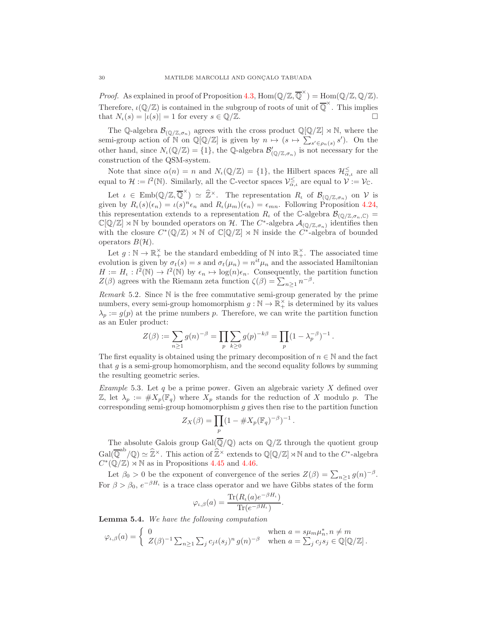*Proof.* As explained in proof of Proposition [4.3,](#page-15-4)  $\text{Hom}(\mathbb{Q}/\mathbb{Z}, \overline{\mathbb{Q}}^{\times}) = \text{Hom}(\mathbb{Q}/\mathbb{Z}, \mathbb{Q}/\mathbb{Z})$ . Therefore,  $\iota(\mathbb{Q}/\mathbb{Z})$  is contained in the subgroup of roots of unit of  $\overline{\mathbb{Q}}^{\times}$ . This implies that  $N_{\iota}(s) = |\iota(s)| = 1$  for every  $s \in \mathbb{Q}/\mathbb{Z}$ .

The Q-algebra  $\mathcal{B}_{(\mathbb{Q}/\mathbb{Z},\sigma_n)}$  agrees with the cross product  $\mathbb{Q}[\mathbb{Q}/\mathbb{Z}] \rtimes \mathbb{N}$ , where the semi-group action of N on  $\mathbb{Q}[\mathbb{Q}/\mathbb{Z}]$  is given by  $n \mapsto (s \mapsto \sum_{s' \in \rho_n(s)} s')$ . On the other hand, since  $N_{\iota}(\mathbb{Q}/\mathbb{Z}) = \{1\}$ , the Q-algebra  $\mathcal{B}'_{(\mathbb{Q}/\mathbb{Z}, \sigma_n)}$  is not necessary for the construction of the QSM-system.

Note that since  $\alpha(n) = n$  and  $N_{\iota}(\mathbb{Q}/\mathbb{Z}) = \{1\}$ , the Hilbert spaces  $\mathcal{H}_{\alpha,\iota}^{\leq}$  are all equal to  $\mathcal{H} := l^2(\mathbb{N})$ . Similarly, all the C-vector spaces  $\mathcal{V}_{\alpha,\iota}^{\leq}$  are equal to  $\mathcal{V} := \mathcal{V}_{\mathbb{C}}$ .

Let  $\iota \in \text{Emb}(\mathbb{Q}/\mathbb{Z}, \overline{\mathbb{Q}}^{\times}) \simeq \widehat{\mathbb{Z}}^{\times}$ . The representation  $R_{\iota}$  of  $\mathcal{B}_{(\mathbb{Q}/\mathbb{Z}, \sigma_n)}$  on  $\mathcal{V}$  is given by  $R_{\iota}(s)(\epsilon_n) = \iota(s)^n \epsilon_n$  and  $R_{\iota}(\mu_m)(\epsilon_n) = \epsilon_{mn}$ . Following Proposition 4.24, this representation extends to a representation  $R_t$  of the C-algebra  $\mathcal{B}_{(\mathbb{Q}/\mathbb{Z},\sigma_n,\mathbb{C})}$  $\mathbb{C}[\mathbb{Q}/\mathbb{Z}] \rtimes \mathbb{N}$  by bounded operators on H. The  $C^*$ -algebra  $\mathcal{A}_{(\mathbb{Q}/\mathbb{Z}, \sigma_n)}$  identifies then with the closure  $C^*(\mathbb{Q}/\mathbb{Z}) \rtimes \mathbb{N}$  of  $\mathbb{C}[\mathbb{Q}/\mathbb{Z}] \rtimes \mathbb{N}$  inside the  $C^*$ -algebra of bounded operators  $B(H)$ .

Let  $g : \mathbb{N} \to \mathbb{R}_+^{\times}$  be the standard embedding of  $\mathbb{N}$  into  $\mathbb{R}_+^{\times}$ . The associated time evolution is given by  $\sigma_t(s) = s$  and  $\sigma_t(\mu_n) = n^{it} \mu_n$  and the associated Hamiltonian  $H := H_{\iota}: l^2(\mathbb{N}) \to l^2(\mathbb{N})$  by  $\epsilon_n \mapsto \log(n)\epsilon_n$ . Consequently, the partition function  $Z(\beta)$  agrees with the Riemann zeta function  $\zeta(\beta) = \sum_{n \geq 1} n^{-\beta}$ .

Remark 5.2. Since N is the free commutative semi-group generated by the prime numbers, every semi-group homomorphism  $g : \mathbb{N} \to \mathbb{R}_+^{\times}$  is determined by its values  $\lambda_p := g(p)$  at the prime numbers p. Therefore, we can write the partition function as an Euler product:

$$
Z(\beta) := \sum_{n \ge 1} g(n)^{-\beta} = \prod_p \sum_{k \ge 0} g(p)^{-k\beta} = \prod_p (1 - \lambda_p^{-\beta})^{-1}.
$$

The first equality is obtained using the primary decomposition of  $n \in \mathbb{N}$  and the fact that  $g$  is a semi-group homomorphism, and the second equality follows by summing the resulting geometric series.

*Example* 5.3. Let  $q$  be a prime power. Given an algebraic variety  $X$  defined over Z, let  $\lambda_p := \#X_p(\mathbb{F}_q)$  where  $X_p$  stands for the reduction of X modulo p. The corresponding semi-group homomorphism  $g$  gives then rise to the partition function

$$
Z_X(\beta) = \prod_p (1 - \# X_p(\mathbb{F}_q)^{-\beta})^{-1}
$$

.

The absolute Galois group  $Gal(\overline{\mathbb{Q}}/\mathbb{Q})$  acts on  $\mathbb{Q}/\mathbb{Z}$  through the quotient group  $Gal(\overline{\mathbb{Q}}^{ab}/\mathbb{Q}) \simeq \widehat{\mathbb{Z}}^{\times}$ . This action of  $\widehat{\mathbb{Z}}^{\times}$  extends to  $\mathbb{Q}[\mathbb{Q}/\mathbb{Z}] \rtimes \mathbb{N}$  and to the  $C^*$ -algebra  $C^*(\mathbb{Q}/\mathbb{Z}) \rtimes \mathbb{N}$  as in Propositions [4.45](#page-25-1) and [4.46.](#page-25-4)

Let  $\beta_0 > 0$  be the exponent of convergence of the series  $Z(\beta) = \sum_{n \geq 1} g(n)^{-\beta}$ . For  $\beta > \beta_0$ ,  $e^{-\beta H_{\iota}}$  is a trace class operator and we have Gibbs states of the form

$$
\varphi_{\iota,\beta}(a) = \frac{\text{Tr}(R_{\iota}(a)e^{-\beta H_{\iota}})}{\text{Tr}(e^{-\beta H_{\iota}})}.
$$

Lemma 5.4. We have the following computation

$$
\varphi_{\iota,\beta}(a) = \begin{cases} 0 & \text{when } a = s\mu_m\mu_n^*, n \neq m \\ Z(\beta)^{-1} \sum_{n \geq 1} \sum_j c_j \iota(s_j)^n g(n)^{-\beta} & \text{when } a = \sum_j c_j s_j \in \mathbb{Q}[\mathbb{Q}/\mathbb{Z}]. \end{cases}
$$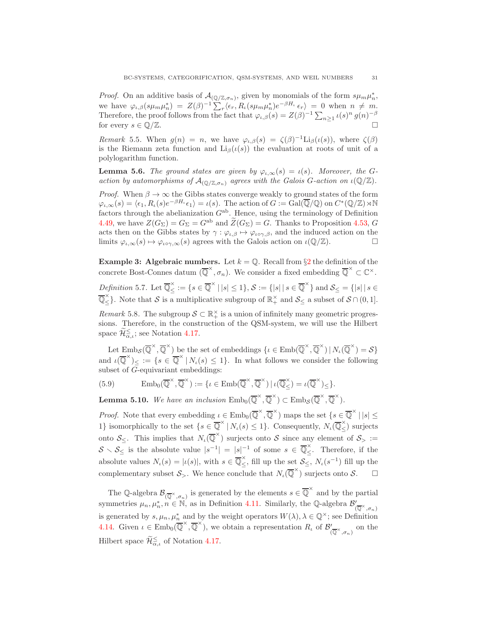*Proof.* On an additive basis of  $\mathcal{A}_{(\mathbb{Q}/\mathbb{Z}, \sigma_n)}$ , given by monomials of the form  $s\mu_m\mu_n^*$ , we have  $\varphi_{\iota,\beta}(s\mu_m\mu_n^*) = Z(\beta)^{-1} \sum_r \langle \epsilon_r, R_{\iota}(s\mu_m\mu_n^*)e^{-\beta H_{\iota}} \epsilon_r \rangle = 0$  when  $n \neq m$ . Therefore, the proof follows from the fact that  $\varphi_{\iota,\beta}(s) = Z(\beta)^{-1} \sum_{n \geq 1} \iota(s)^n g(n)^{-\beta}$ for every  $s \in \mathbb{Q}/\mathbb{Z}$ .

Remark 5.5. When  $g(n) = n$ , we have  $\varphi_{\iota,\beta}(s) = \zeta(\beta)^{-1} \text{Li}_{\beta}(\iota(s))$ , where  $\zeta(\beta)$ is the Riemann zeta function and  $\text{Li}_\beta(\iota(s))$  the evaluation at roots of unit of a polylogarithm function.

**Lemma 5.6.** The ground states are given by  $\varphi_{\iota,\infty}(s) = \iota(s)$ . Moreover, the Gaction by automorphisms of  $\mathcal{A}_{(\mathbb{Q}/\mathbb{Z},\sigma_n)}$  agrees with the Galois G-action on  $\iota(\mathbb{Q}/\mathbb{Z})$ .

*Proof.* When  $\beta \to \infty$  the Gibbs states converge weakly to ground states of the form  $\varphi_{\iota,\infty}(s) = \langle \epsilon_1, R_{\iota}(s)e^{-\beta H_{\iota}} \epsilon_1 \rangle = \iota(s)$ . The action of  $G := \text{Gal}(\overline{\mathbb{Q}}/\mathbb{Q})$  on  $C^*(\mathbb{Q}/\mathbb{Z}) \rtimes \mathbb{N}$ factors through the abelianization  $G^{ab}$ . Hence, using the terminology of Definition [4.49,](#page-26-0) we have  $Z(G_{\Sigma}) = G_{\Sigma} = G^{ab}$  and  $\widetilde{Z}(G_{\Sigma}) = G$ . Thanks to Proposition [4.53,](#page-27-1) G acts then on the Gibbs states by  $\gamma : \varphi_{\iota,\beta} \mapsto \varphi_{\iota \circ \gamma,\beta}$ , and the induced action on the limits  $\varphi_{\iota,\infty}(s) \mapsto \varphi_{\iota \circ \gamma,\infty}(s)$  agrees with the Galois action on  $\iota(\mathbb{Q}/\mathbb{Z})$ . limits  $\varphi_{\iota,\infty}(s) \mapsto \varphi_{\iota\circ\gamma,\infty}(s)$  agrees with the Galois action on  $\iota(\mathbb{Q}/\mathbb{Z})$ .

**Example 3: Algebraic numbers.** Let  $k = \mathbb{Q}$ . Recall from §[2](#page-3-0) the definition of the concrete Bost-Connes datum  $(\overline{\mathbb{Q}}^{\times}, \sigma_n)$ . We consider a fixed embedding  $\overline{\mathbb{Q}}^{\times} \subset \mathbb{C}^{\times}$ . Definition 5.7. Let  $\overline{\mathbb{Q}}_{\leq}^{\times} := \{s \in \overline{\mathbb{Q}}^{\times} \mid |s| \leq 1\}, \mathcal{S} := \{|s| \mid s \in \overline{\mathbb{Q}}^{\times}\}\$  and  $\mathcal{S}_{\leq} = \{|s| \mid s \in \mathbb{Q}\}$ 

 $\overline{\mathbb{Q}}_{\leq}^{\times}$ . Note that S is a multiplicative subgroup of  $\mathbb{R}_{+}^{\times}$  and  $\mathcal{S}_{\leq}$  a subset of  $S \cap (0,1]$ .

Remark 5.8. The subgroup  $S \subset \mathbb{R}^\times_+$  is a union of infinitely many geometric progressions. Therefore, in the construction of the QSM-system, we will use the Hilbert space  $\mathcal{H}_{\alpha,\iota}^{\leq}$ ; see Notation [4.17.](#page-18-2)

Let  $\text{Emb}_{\mathcal{S}}(\overline{\mathbb{Q}}^{\times}, \overline{\mathbb{Q}}^{\times})$  be the set of embeddings  $\{\iota \in \text{Emb}(\overline{\mathbb{Q}}^{\times}, \overline{\mathbb{Q}}^{\times}) | N_{\iota}(\overline{\mathbb{Q}}^{\times}) = \mathcal{S}\}\$ and  $\iota(\overline{\mathbb{Q}}^{\times})_{\leq} := \{s \in \overline{\mathbb{Q}}^{\times} \mid N_{\iota}(s) \leq 1\}.$  In what follows we consider the following subset of G-equivariant embeddings:

(5.9) 
$$
\operatorname{Emb}_0(\overline{\mathbb{Q}}^{\times}, \overline{\mathbb{Q}}^{\times}) := \{ \iota \in \operatorname{Emb}(\overline{\mathbb{Q}}^{\times}, \overline{\mathbb{Q}}^{\times}) \mid \iota(\overline{\mathbb{Q}}^{\times}) = \iota(\overline{\mathbb{Q}}^{\times}) \leq \}.
$$

<span id="page-30-0"></span>**Lemma 5.10.** We have an inclusion  $\text{Emb}_0(\overline{\mathbb{Q}}^{\times}, \overline{\mathbb{Q}}^{\times}) \subset \text{Emb}_S(\overline{\mathbb{Q}}^{\times}, \overline{\mathbb{Q}}^{\times})$ .

*Proof.* Note that every embedding  $\iota \in \text{Emb}_0(\overline{\mathbb{Q}}^{\times}, \overline{\mathbb{Q}}^{\times})$  maps the set  $\{s \in \overline{\mathbb{Q}}^{\times} \mid |s| \leq s \}$ 1} isomorphically to the set  $\{s \in \overline{\mathbb{Q}}^{\times} \mid N_{\iota}(s) \leq 1\}$ . Consequently,  $N_{\iota}(\overline{\mathbb{Q}}_{\leq}^{\times})$  surjects onto  $S_{\leq}$ . This implies that  $N_{\iota}(\overline{\mathbb{Q}}^{\times})$  surjects onto S since any element of  $S_{>} :=$  $S \setminus S \subseteq$  is the absolute value  $|s^{-1}| = |s|^{-1}$  of some  $s \in \overline{\mathbb{Q}} \times$ . Therefore, if the absolute values  $N_t(s) = |\iota(s)|$ , with  $s \in \overline{\mathbb{Q}}_{\leq}^{\times}$ , fill up the set  $\mathcal{S}_{\leq}$ ,  $N_t(s^{-1})$  fill up the complementary subset  $S_>$ . We hence conclude that  $N_{\iota}(\overline{\mathbb{Q}}^{\times})$  surjects onto  $S$ .  $\square$ 

The Q-algebra  $\mathcal{B}_{(\overline{Q}^\times,\sigma_n)}$  is generated by the elements  $s \in \overline{Q}^\times$  and by the partial symmetries  $\mu_n, \mu_n^*, n \in \mathbb{N}$ , as in Definition [4.11.](#page-17-1) Similarly, the Q-algebra  $\mathcal{B}'$  $(\overline{\mathbb{Q}}^{\times}, \sigma_n)$ is generated by  $s, \mu_n, \mu_n^*$  and by the weight operators  $W(\lambda), \lambda \in \mathbb{Q}^{\times}$ ; see Definition [4.14.](#page-17-2) Given  $\iota \in \text{Emb}_0(\overline{\mathbb{Q}}^{\times}, \overline{\mathbb{Q}}^{\times})$ , we obtain a representation  $R_{\iota}$  of  $\mathcal{B}'_{\iota}$  $\sqrt{\overline{\mathbb{Q}}^{\times}, \sigma_n}$  on the Hilbert space  $\mathcal{H}_{\alpha,\iota}^{\leq}$  of Notation [4.17.](#page-18-2)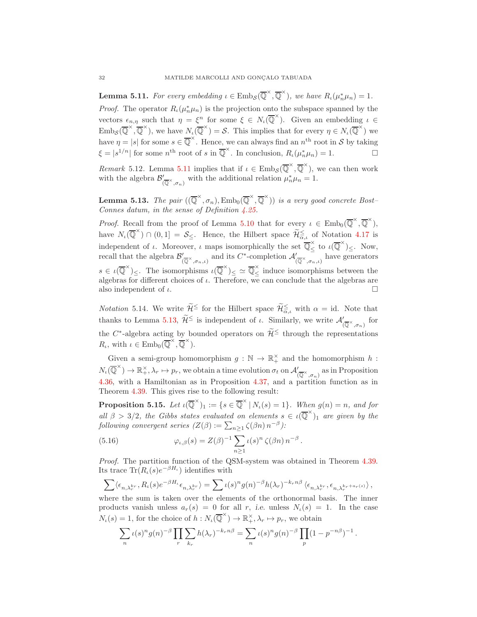<span id="page-31-0"></span>**Lemma 5.11.** For every embedding  $\iota \in \text{Emb}_{\mathcal{S}}(\overline{\mathbb{Q}}^{\times}, \overline{\mathbb{Q}}^{\times})$ , we have  $R_{\iota}(\mu_n^* \mu_n) = 1$ . *Proof.* The operator  $R_{\iota}(\mu_n^*\mu_n)$  is the projection onto the subspace spanned by the vectors  $\epsilon_{n,\eta}$  such that  $\eta = \xi^n$  for some  $\xi \in N_\iota(\overline{\mathbb{Q}}^\times)$ . Given an embedding  $\iota \in$  $\text{Emb}_{\mathcal{S}}(\overline{\mathbb{Q}}^{\times}, \overline{\mathbb{Q}}^{\times})$ , we have  $N_{\iota}(\overline{\mathbb{Q}}^{\times}) = \mathcal{S}$ . This implies that for every  $\eta \in N_{\iota}(\overline{\mathbb{Q}}^{\times})$  we have  $\eta = |s|$  for some  $s \in \overline{\mathbb{Q}}^{\times}$ . Hence, we can always find an  $n^{\text{th}}$  root in S by taking  $\xi = |s^{1/n}|$  for some  $n^{\text{th}}$  root of s in  $\overline{\mathbb{Q}}^{\times}$ . In conclusion,  $R_{\iota}(\mu_n^* \mu_n) = 1$ .

Remark 5.12. Lemma [5.11](#page-31-0) implies that if  $\iota \in \text{Emb}_{\mathcal{S}}(\overline{\mathbb{Q}}^{\times}, \overline{\mathbb{Q}}^{\times})$ , we can then work with the algebra  $\mathcal{B}'_0$  $\int_{(\overline{Q}^{\times}, \sigma_n)}^{\prime}$  with the additional relation  $\mu_n^* \mu_n = 1$ .

<span id="page-31-1"></span>**Lemma 5.13.** The pair  $((\overline{\mathbb{Q}}^{\times}, \sigma_n), \text{Emb}_0(\overline{\mathbb{Q}}^{\times}, \overline{\mathbb{Q}}^{\times}))$  is a very good concrete Bost-Connes datum, in the sense of Definition [4.25.](#page-20-0)

*Proof.* Recall from the proof of Lemma [5.10](#page-30-0) that for every  $\iota \in \text{Emb}_0(\overline{\mathbb{Q}}^{\times}, \overline{\mathbb{Q}}^{\times})$ , have  $N_{\iota}(\overline{\mathbb{Q}}^{\times}) \cap (0,1] = \mathcal{S}_{\leq}$ . Hence, the Hilbert space  $\widetilde{\mathcal{H}}_{\alpha,\iota} \leq \widetilde{\mathcal{H}}_{\alpha,\iota}$  of Notation [4.17](#page-18-2) is independent of  $\iota$ . Moreover,  $\iota$  maps isomorphically the set  $\overline{\mathbb{Q}}_{\leq}^{\times}$  to  $\iota(\overline{\mathbb{Q}}^{\times})_{\leq}$ . Now, recall that the algebra  $\mathcal{B}'_1$  $\int'_{(\overline{\mathbb{Q}}^\times,\sigma_n,\iota)}$  and its  $C^*$ -completion  $\mathcal{A}'_{(\overline{\mathbb{Q}}^\times,\sigma_n,\iota)}$  have generators  $s \in \iota(\overline{\mathbb{Q}}^{\times})_{\leq}$ . The isomorphisms  $\iota(\overline{\mathbb{Q}}^{\times})_{\leq} \simeq \overline{\mathbb{Q}}_{\leq}^{\times}$  induce isomorphisms between the algebras for different choices of  $\iota$ . Therefore, we can conclude that the algebras are also independent of  $\iota$ .

*Notation* 5.14. We write  $\widetilde{\mathcal{H}} \leq$  for the Hilbert space  $\widetilde{\mathcal{H}}_{\alpha,\iota} \leq \widetilde{\mathcal{H}}_{\alpha,\iota} \leq \widetilde{\mathcal{H}}$ thanks to Lemma [5.13,](#page-31-1)  $\mathcal{H}^{\leq}$  is independent of  $\iota$ . Similarly, we write  $\mathcal{A}'_{(\overline{\mathbb{Q}}^{\times}, \sigma_n)}$  for the C<sup>\*</sup>-algebra acting by bounded operators on  $\widetilde{\mathcal{H}} \leq$  through the representations  $R_{\iota}$ , with  $\iota \in \text{Emb}_0(\overline{\mathbb{Q}}^{\times}, \overline{\mathbb{Q}}^{\times})$ .

Given a semi-group homomorphism  $g : \mathbb{N} \to \mathbb{R}_+^{\times}$  and the homomorphism  $h$ :  $N_t(\overline{\mathbb{Q}}^{\times}) \to \mathbb{R}^{\times}_{+}, \lambda_r \mapsto p_r$ , we obtain a time evolution  $\sigma_t$  on  $\mathcal{A}'_{(\overline{\mathbb{Q}}^{\times}, \sigma_n)}$  as in Proposition [4.36,](#page-24-0) with a Hamiltonian as in Proposition [4.37,](#page-24-3) and a partition function as in Theorem [4.39.](#page-24-5) This gives rise to the following result:

**Proposition 5.15.** Let  $\iota(\overline{\mathbb{Q}}^{\times})_1 := \{ s \in \overline{\mathbb{Q}}^{\times} \mid N_{\iota}(s) = 1 \}.$  When  $g(n) = n$ , and for all  $\beta > 3/2$ , the Gibbs states evaluated on elements  $s \in \iota(\overline{Q}^{\times})_1$  are given by the following convergent series  $(Z(\beta) := \sum_{n \geq 1} \zeta(\beta n) n^{-\beta})$ :

(5.16) 
$$
\varphi_{\iota,\beta}(s) = Z(\beta)^{-1} \sum_{n \ge 1} \iota(s)^n \zeta(\beta n) n^{-\beta}.
$$

Proof. The partition function of the QSM-system was obtained in Theorem [4.39.](#page-24-5) Its trace  $\text{Tr}(R_{\iota}(s)e^{-\beta H_{\iota}})$  identifies with

$$
\sum \langle \epsilon_{n,\lambda_r^{kr}}, R_\iota(s) e^{-\beta H_\iota} \epsilon_{n,\lambda_r^{kr}} \rangle = \sum \iota(s)^n g(n)^{-\beta} h(\lambda_r)^{-k_r n \beta} \langle \epsilon_{n,\lambda_r^{kr}}, \epsilon_{n,\lambda_r^{kr+a_r(s)}} \rangle,
$$

where the sum is taken over the elements of the orthonormal basis. The inner products vanish unless  $a_r(s) = 0$  for all r, i.e. unless  $N_i(s) = 1$ . In the case  $N_{\iota}(s) = 1$ , for the choice of  $h: N_{\iota}(\overline{\mathbb{Q}}^{\times}) \to \mathbb{R}^{\times}_{+}, \lambda_{r} \mapsto p_{r}$ , we obtain

$$
\sum_{n} \iota(s)^n g(n)^{-\beta} \prod_{r} \sum_{k_r} h(\lambda_r)^{-k_r n \beta} = \sum_{n} \iota(s)^n g(n)^{-\beta} \prod_{p} (1 - p^{-n\beta})^{-1}.
$$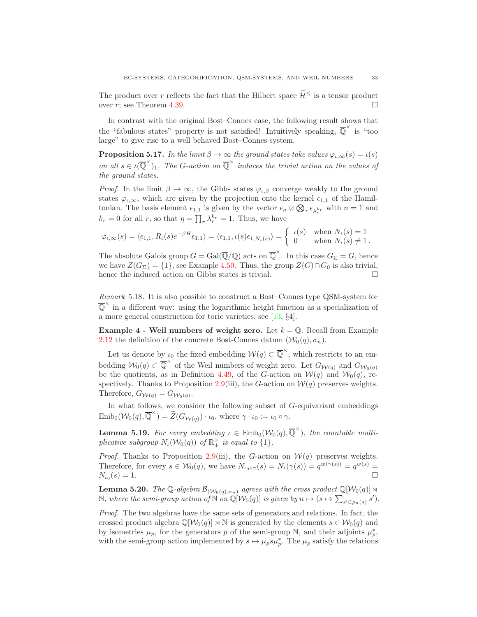The product over r reflects the fact that the Hilbert space  $\widetilde{\mathcal{H}}^{\leq}$  is a tensor product over r; see Theorem [4.39.](#page-24-5)

In contrast with the original Bost–Connes case, the following result shows that the "fabulous states" property is not satisfied! Intuitively speaking,  $\overline{Q}^{\times}$  is "too large" to give rise to a well behaved Bost–Connes system.

**Proposition 5.17.** In the limit  $\beta \to \infty$  the ground states take values  $\varphi_{\iota,\infty}(s) = \iota(s)$ on all  $s \in \iota(\overline{\mathbb{Q}}^{\times})_1$ . The G-action on  $\overline{\mathbb{Q}}^{\times}$  induces the trivial action on the values of the ground states.

*Proof.* In the limit  $\beta \to \infty$ , the Gibbs states  $\varphi_{i,\beta}$  converge weakly to the ground states  $\varphi_{\iota,\infty}$ , which are given by the projection onto the kernel  $\epsilon_{1,1}$  of the Hamiltonian. The basis element  $\epsilon_{1,1}$  is given by the vector  $\epsilon_n \otimes \bigotimes_r \epsilon_{\lambda_r^{k_r}}$  with  $n = 1$  and  $k_r = 0$  for all r, so that  $\eta = \prod_r \lambda_r^{k_r} = 1$ . Thus, we have

$$
\varphi_{\iota,\infty}(s) = \langle \epsilon_{1,1}, R_{\iota}(s)e^{-\beta H}\epsilon_{1,1} \rangle = \langle \epsilon_{1,1}, \iota(s)\epsilon_{1,N_{\iota}(s)} \rangle = \begin{cases} \iota(s) & \text{when } N_{\iota}(s) = 1 \\ 0 & \text{when } N_{\iota}(s) \neq 1. \end{cases}
$$

The absolute Galois group  $G = \text{Gal}(\overline{\mathbb{Q}}/\mathbb{Q})$  acts on  $\overline{\mathbb{Q}}^{\times}$ . In this case  $G_{\Sigma} = G$ , hence we have  $Z(G_{\Sigma}) = \{1\}$ , see Example [4.50.](#page-26-2) Thus, the group  $Z(G) \cap G_0$  is also trivial, hence the induced action on Gibbs states is trivial hence the induced action on Gibbs states is trivial.

Remark 5.18. It is also possible to construct a Bost–Connes type QSM-system for  $\overline{Q}^{\times}$  in a different way: using the logarithmic height function as a specialization of a more general construction for toric varieties; see [\[13,](#page-39-14) §4].

<span id="page-32-0"></span>Example 4 - Weil numbers of weight zero. Let  $k = \mathbb{Q}$ . Recall from Example [2.12](#page-6-2) the definition of the concrete Bost-Connes datum  $(\mathcal{W}_0(q), \sigma_n)$ .

Let us denote by  $\iota_0$  the fixed embedding  $\mathcal{W}(q) \subset \overline{\mathbb{Q}}^{\times}$ , which restricts to an embedding  $W_0(q) \subset \overline{\mathbb{Q}}^{\times}$  of the Weil numbers of weight zero. Let  $G_{\mathcal{W}(q)}$  and  $G_{\mathcal{W}_0(q)}$ be the quotients, as in Definition [4.49,](#page-26-0) of the G-action on  $W(q)$  and  $W_0(q)$ , re-spectively. Thanks to Proposition [2.9\(](#page-5-2)iii), the G-action on  $\mathcal{W}(q)$  preserves weights. Therefore,  $G_{\mathcal{W}(q)} = G_{\mathcal{W}_0(q)}$ .

In what follows, we consider the following subset of G-equivariant embeddings  $\text{Emb}_0(\mathcal{W}_0(q), \overline{\mathbb{Q}}^{\times}) = \widetilde{Z}(G_{\mathcal{W}(q)}) \cdot \iota_0, \text{ where } \gamma \cdot \iota_0 := \iota_0 \circ \gamma.$ 

**Lemma 5.19.** For every embedding  $\iota \in \text{Emb}_0(\mathcal{W}_0(q), \overline{\mathbb{Q}}^{\times})$ , the countable multiplicative subgroup  $N_{\iota}(\mathcal{W}_0(q))$  of  $\mathbb{R}_+^{\times}$  is equal to  $\{1\}$ .

*Proof.* Thanks to Proposition [2.9\(](#page-5-2)iii), the G-action on  $W(q)$  preserves weights. Therefore, for every  $s \in W_0(q)$ , we have  $N_{\iota_0 \circ \gamma}(s) = N_{\iota}(\gamma(s)) = q^{w(\gamma(s))} = q^{w(s)} =$  $N_{\iota_0}(s) = 1.$  $(s) = 1.$ 

**Lemma 5.20.** The Q-algebra  $\mathcal{B}_{(\mathcal{W}_0(q),\sigma_n)}$  agrees with the cross product  $\mathbb{Q}[\mathcal{W}_0(q)] \rtimes$ N, where the semi-group action of N on  $\mathbb{Q}[W_0(q)]$  is given by  $n \mapsto (s \mapsto \sum_{s' \in \rho_n(s)} s')$ .

Proof. The two algebras have the same sets of generators and relations. In fact, the crossed product algebra  $\mathbb{Q}[\mathcal{W}_0(q)] \rtimes \mathbb{N}$  is generated by the elements  $s \in \mathcal{W}_0(q)$  and by isometries  $\mu_p$ , for the generators p of the semi-group N, and their adjoints  $\mu_p^*$ , with the semi-group action implemented by  $s \mapsto \mu_p s \mu_p^*$ . The  $\mu_p$  satisfy the relations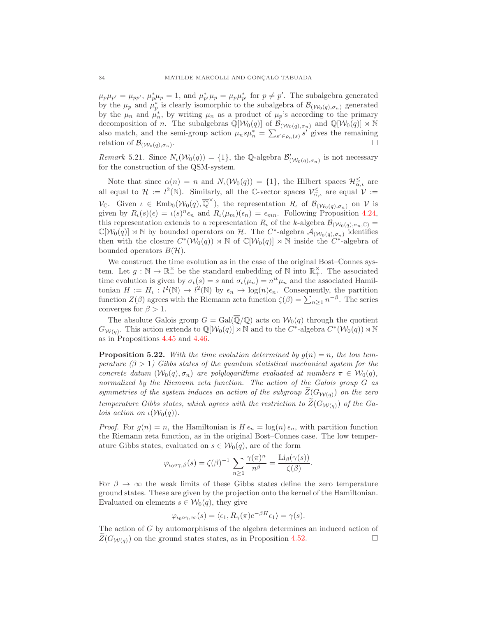$\mu_p\mu_{p'} = \mu_{pp'}, \ \mu_p^*\mu_p = 1$ , and  $\mu_{p'}^*\mu_p = \mu_p\mu_{p'}^*$  for  $p \neq p'$ . The subalgebra generated by the  $\mu_p$  and  $\mu_p^*$  is clearly isomorphic to the subalgebra of  $\mathcal{B}_{(\mathcal{W}_0(q), \sigma_n)}$  generated by the  $\mu_n$  and  $\mu_n^*$ , by writing  $\mu_n$  as a product of  $\mu_p$ 's according to the primary decomposition of n. The subalgebras  $\mathbb{Q}[\mathcal{W}_0(q)]$  of  $\mathcal{B}_{(\mathcal{W}_0(q),\sigma_n)}$  and  $\mathbb{Q}[\mathcal{W}_0(q)] \rtimes \mathbb{N}$ also match, and the semi-group action  $\mu_n s \mu_n^* = \sum_{s' \in \rho_n(s)} s'$  gives the remaining relation of  $\mathcal{B}_{(\mathcal{W}_0(q), \sigma_n)}$ .  $\sum_{r=1}^{n}$ 

Remark 5.21. Since  $N_{\iota}(\mathcal{W}_0(q)) = \{1\}$ , the Q-algebra  $\mathcal{B}'_{(\mathcal{W}_0(q), \sigma_n)}$  is not necessary for the construction of the QSM-system.

Note that since  $\alpha(n) = n$  and  $N_{\iota}(\mathcal{W}_0(q)) = \{1\}$ , the Hilbert spaces  $\mathcal{H}_{\alpha,\iota}^{\leq}$  are all equal to  $\mathcal{H} := l^2(\mathbb{N})$ . Similarly, all the C-vector spaces  $\mathcal{V}_{\alpha,\iota}^{\leq}$  are equal  $\mathcal{V} :=$ V<sub>C</sub>. Given  $\iota \in \text{Emb}_0(\mathcal{W}_0(q), \overline{\mathbb{Q}}^{\times})$ , the representation  $R_{\iota}$  of  $\mathcal{B}_{(\mathcal{W}_0(q), \sigma_n)}$  on V is given by  $R_{\iota}(s)(\epsilon) = \iota(s)^n \epsilon_n$  and  $R_{\iota}(\mu_m)(\epsilon_n) = \epsilon_{mn}$ . Following Proposition 4.24, this representation extends to a representation  $R_t$  of the k-algebra  $\mathcal{B}_{(\mathcal{W}_0(q),\sigma_n,\mathbb{C})}$  $\mathbb{C}[\mathcal{W}_0(q)] \rtimes \mathbb{N}$  by bounded operators on H. The C<sup>\*</sup>-algebra  $\mathcal{A}_{(\mathcal{W}_0(q), \sigma_n)}$  identifies then with the closure  $C^*(\mathcal{W}_0(q)) \rtimes \mathbb{N}$  of  $\mathbb{C}[\mathcal{W}_0(q)] \rtimes \mathbb{N}$  inside the  $C^*$ -algebra of bounded operators  $B(\mathcal{H})$ .

We construct the time evolution as in the case of the original Bost–Connes system. Let  $g : \mathbb{N} \to \mathbb{R}_+^{\times}$  be the standard embedding of  $\mathbb{N}$  into  $\mathbb{R}_+^{\times}$ . The associated time evolution is given by  $\sigma_t(s) = s$  and  $\sigma_t(\mu_n) = n^{it} \mu_n$  and the associated Hamiltonian  $H := H_{\iota}: l^2(\mathbb{N}) \to l^2(\mathbb{N})$  by  $\epsilon_n \mapsto \log(n)\epsilon_n$ . Consequently, the partition function  $Z(\beta)$  agrees with the Riemann zeta function  $\zeta(\beta) = \sum_{n>1} n^{-\beta}$ . The series converges for  $\beta > 1$ .

The absolute Galois group  $G = \text{Gal}(\overline{\mathbb{Q}}/\mathbb{Q})$  acts on  $\mathcal{W}_0(q)$  through the quotient  $G_{W(q)}$ . This action extends to  $\mathbb{Q}[W_0(q)] \rtimes \mathbb{N}$  and to the  $C^*$ -algebra  $C^*(W_0(q)) \rtimes \mathbb{N}$ as in Propositions [4.45](#page-25-1) and [4.46.](#page-25-4)

**Proposition 5.22.** With the time evolution determined by  $g(n) = n$ , the low temperature  $(\beta > 1)$  Gibbs states of the quantum statistical mechanical system for the concrete datum  $(\mathcal{W}_0(q), \sigma_n)$  are polylogarithms evaluated at numbers  $\pi \in \mathcal{W}_0(q)$ , normalized by the Riemann zeta function. The action of the Galois group G as symmetries of the system induces an action of the subgroup  $Z(G_{\mathcal{W}(\mathfrak{g})})$  on the zero temperature Gibbs states, which agrees with the restriction to  $\widetilde{Z}(G_{W(a)})$  of the Ga*lois action on*  $\iota(\mathcal{W}_0(q))$ .

*Proof.* For  $g(n) = n$ , the Hamiltonian is  $H \epsilon_n = \log(n) \epsilon_n$ , with partition function the Riemann zeta function, as in the original Bost–Connes case. The low temperature Gibbs states, evaluated on  $s \in \mathcal{W}_0(q)$ , are of the form

$$
\varphi_{\iota_0 \circ \gamma, \beta}(s) = \zeta(\beta)^{-1} \sum_{n \geq 1} \frac{\gamma(\pi)^n}{n^{\beta}} = \frac{\mathrm{Li}_{\beta}(\gamma(s))}{\zeta(\beta)}.
$$

For  $\beta \to \infty$  the weak limits of these Gibbs states define the zero temperature ground states. These are given by the projection onto the kernel of the Hamiltonian. Evaluated on elements  $s \in W_0(q)$ , they give

$$
\varphi_{\iota_0 \circ \gamma, \infty}(s) = \langle \epsilon_1, R_\gamma(\pi) e^{-\beta H} \epsilon_1 \rangle = \gamma(s).
$$

The action of G by automorphisms of the algebra determines an induced action of  $Z(G_{W(q)})$  on the ground states states, as in Proposition [4.52.](#page-26-3)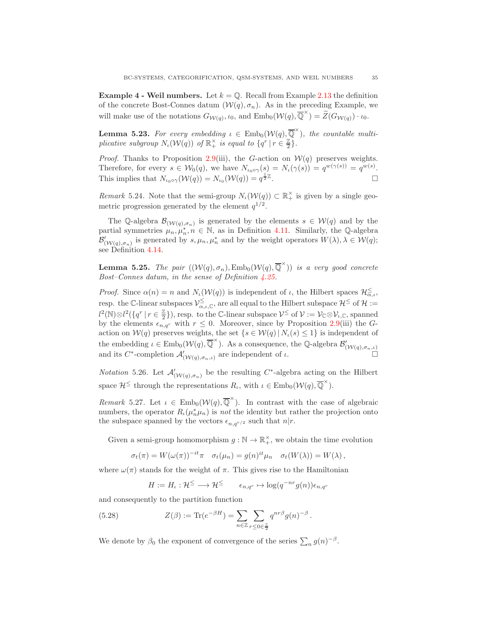**Example 4 - Weil numbers.** Let  $k = \mathbb{Q}$ . Recall from Example [2.13](#page-6-3) the definition of the concrete Bost-Connes datum  $(W(q), \sigma_n)$ . As in the preceding Example, we will make use of the notations  $G_{\mathcal{W}(q)}, \iota_0$ , and  $\text{Emb}_0(\mathcal{W}(q), \overline{\mathbb{Q}}^{\times}) = \widetilde{Z}(G_{\mathcal{W}(q)}) \cdot \iota_0$ .

**Lemma 5.23.** For every embedding  $\iota \in \text{Emb}_0(\mathcal{W}(q), \overline{\mathbb{Q}}^{\times})$ , the countable multiplicative subgroup  $N_{\iota}(\mathcal{W}(q))$  of  $\mathbb{R}^{\times}_{+}$  is equal to  $\{q^{r} | r \in \frac{\mathbb{Z}}{2}\}.$ 

*Proof.* Thanks to Proposition [2.9\(](#page-5-2)iii), the G-action on  $W(q)$  preserves weights. Therefore, for every  $s \in W_0(q)$ , we have  $N_{\iota_0 \circ \gamma}(s) = N_{\iota}(\gamma(s)) = q^{w(\gamma(s))} = q^{w(s)}$ . This implies that  $N_{\iota_0 \circ \gamma}(\mathcal{W}(q)) = N_{\iota_0}(\mathcal{W}(q)) = q^{\frac{1}{2}\mathbb{Z}}$ . В последните последните и последните и последните и последните и последните и последните и последните и посл<br>В последните и последните и последните и последните и последните и последните и последните и последните и посл

*Remark* 5.24. Note that the semi-group  $N_{\iota}(\mathcal{W}(q)) \subset \mathbb{R}_+^{\times}$  is given by a single geometric progression generated by the element  $q^{1/2}$ .

The Q-algebra  $\mathcal{B}_{(\mathcal{W}(q),\sigma_n)}$  is generated by the elements  $s \in \mathcal{W}(q)$  and by the partial symmetries  $\mu_n, \mu_n^*, n \in \mathbb{N}$ , as in Definition [4.11.](#page-17-1) Similarly, the Q-algebra  $\mathcal{B}'_{(\mathcal{W}(q), \sigma_n)}$  is generated by  $s, \mu_n, \mu_n^*$  and by the weight operators  $W(\lambda), \lambda \in \mathcal{W}(q)$ ; see Definition [4.14.](#page-17-2)

**Lemma 5.25.** The pair  $((\mathcal{W}(q), \sigma_n), \text{Emb}_0(\mathcal{W}(q), \overline{\mathbb{Q}}^{\times}))$  is a very good concrete Bost–Connes datum, in the sense of Definition [4.25.](#page-20-0)

*Proof.* Since  $\alpha(n) = n$  and  $N_{\iota}(\mathcal{W}(q))$  is independent of  $\iota$ , the Hilbert spaces  $\mathcal{H}_{\alpha,\iota}^{\leq}$ , resp. the C-linear subspaces  $\mathcal{V}^{\leq}_{\alpha,\iota,\mathbb{C}}$ , are all equal to the Hilbert subspace  $\mathcal{H}^{\leq}$  of  $\mathcal{H}:=$  $l^2(\mathbb{N})\otimes l^2(\lbrace q^r \mid r \in \frac{\mathbb{Z}}{2} \rbrace)$ , resp. to the C-linear subspace  $\mathcal{V} \leq \text{of } \mathcal{V} := \mathcal{V}_{\mathbb{C}} \otimes \mathcal{V}_{\iota,\mathbb{C}}$ , spanned by the elements  $\epsilon_{n,q^r}$  with  $r \leq 0$ . Moreover, since by Proposition [2.9\(](#page-5-2)iii) the Gaction on  $\mathcal{W}(q)$  preserves weights, the set  $\{s \in \mathcal{W}(q) | N_{\iota}(s) \leq 1\}$  is independent of the embedding  $\iota \in \text{Emb}_0(\mathcal{W}(q), \overline{\mathbb{Q}}^{\times})$ . As a consequence, the Q-algebra  $\mathcal{B}'_{(\mathcal{W}(q), \sigma_n, \iota)}$ and its  $C^*$ -completion  $\mathcal{A}'_{(\mathcal{W}(q), \sigma_n, \iota)}$  are independent of  $\iota$ .

*Notation* 5.26. Let  $\mathcal{A}'_{(\mathcal{W}(q),\sigma_n)}$  be the resulting C<sup>\*</sup>-algebra acting on the Hilbert space  $\mathcal{H}^{\leq}$  through the representations  $R_{\iota}$ , with  $\iota \in \text{Emb}_0(\mathcal{W}(q), \overline{\mathbb{Q}}^{\times})$ .

Remark 5.27. Let  $\iota \in \text{Emb}_0(\mathcal{W}(q), \overline{\mathbb{Q}}^{\times})$ . In contrast with the case of algebraic numbers, the operator  $R_{\iota}(\mu_n^* \mu_n)$  is *not* the identity but rather the projection onto the subspace spanned by the vectors  $\epsilon_{n,q^{r/2}}$  such that  $n|r$ .

Given a semi-group homomorphism  $g : \mathbb{N} \to \mathbb{R}_+^{\times}$ , we obtain the time evolution

$$
\sigma_t(\pi) = W(\omega(\pi))^{-it}\pi \quad \sigma_t(\mu_n) = g(n)^{it}\mu_n \quad \sigma_t(W(\lambda)) = W(\lambda),
$$

where  $\omega(\pi)$  stands for the weight of  $\pi$ . This gives rise to the Hamiltonian

<span id="page-34-0"></span>
$$
H := H_{\iota} : \mathcal{H}^{\leq} \longrightarrow \mathcal{H}^{\leq} \qquad \epsilon_{n,q^r} \mapsto \log(q^{-nr}g(n))\epsilon_{n,q^r}
$$

and consequently to the partition function

(5.28) 
$$
Z(\beta) := \text{Tr}(e^{-\beta H}) = \sum_{n \in \mathbb{Z}} \sum_{r \le 0 \in \frac{\mathbb{Z}}{2}} q^{nr\beta} g(n)^{-\beta}.
$$

We denote by  $\beta_0$  the exponent of convergence of the series  $\sum_n g(n)^{-\beta}$ .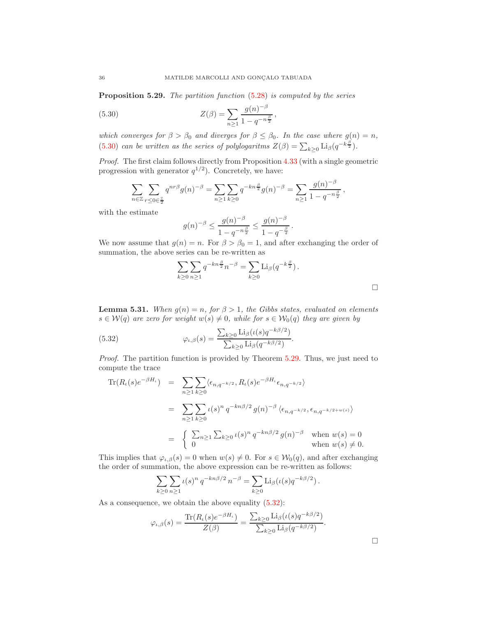<span id="page-35-1"></span>Proposition 5.29. The partition function  $(5.28)$  is computed by the series

(5.30) 
$$
Z(\beta) = \sum_{n\geq 1} \frac{g(n)^{-\beta}}{1 - q^{-n\frac{\beta}{2}}},
$$

which converges for  $\beta > \beta_0$  and diverges for  $\beta \leq \beta_0$ . In the case where  $g(n) = n$ , [\(5.30\)](#page-35-0) can be written as the series of polylogaritms  $Z(\beta) = \sum_{k \geq 0} \text{Li}_{\beta}(q^{-k\frac{\beta}{2}})$ .

Proof. The first claim follows directly from Proposition [4.33](#page-23-3) (with a single geometric progression with generator  $q^{1/2}$ ). Concretely, we have:

<span id="page-35-0"></span>
$$
\sum_{n \in \mathbb{Z}} \sum_{r \le 0 \in \frac{\pi}{2}} q^{nr\beta} g(n)^{-\beta} = \sum_{n \ge 1} \sum_{k \ge 0} q^{-kn\frac{\beta}{2}} g(n)^{-\beta} = \sum_{n \ge 1} \frac{g(n)^{-\beta}}{1 - q^{-n\frac{\beta}{2}}},
$$

with the estimate

$$
g(n)^{-\beta} \le \frac{g(n)^{-\beta}}{1 - q^{-n\frac{\beta}{2}}} \le \frac{g(n)^{-\beta}}{1 - q^{-\frac{\beta}{2}}}.
$$

We now assume that  $g(n) = n$ . For  $\beta > \beta_0 = 1$ , and after exchanging the order of summation, the above series can be re-written as

<span id="page-35-2"></span>
$$
\sum_{k\geq 0}\sum_{n\geq 1}q^{-kn\frac{\beta}{2}}n^{-\beta}=\sum_{k\geq 0}\mathrm{Li}_{\beta}(q^{-k\frac{\beta}{2}}).
$$

**Lemma 5.31.** When  $g(n) = n$ , for  $\beta > 1$ , the Gibbs states, evaluated on elements  $s \in \mathcal{W}(q)$  are zero for weight  $w(s) \neq 0$ , while for  $s \in \mathcal{W}_0(q)$  they are given by

(5.32) 
$$
\varphi_{\iota,\beta}(s) = \frac{\sum_{k\geq 0} \mathrm{Li}_{\beta}(\iota(s)q^{-k\beta/2})}{\sum_{k\geq 0} \mathrm{Li}_{\beta}(q^{-k\beta/2})}.
$$

Proof. The partition function is provided by Theorem [5.29.](#page-35-1) Thus, we just need to compute the trace

$$
\begin{split} \text{Tr}(R_{\iota}(s)e^{-\beta H_{\iota}}) &= \sum_{n\geq 1}\sum_{k\geq 0} \langle \epsilon_{n,q^{-k/2}}, R_{\iota}(s)e^{-\beta H_{\iota}} \epsilon_{n,q^{-k/2}} \rangle \\ &= \sum_{n\geq 1}\sum_{k\geq 0} \iota(s)^n \, q^{-kn\beta/2} \, g(n)^{-\beta} \, \langle \epsilon_{n,q^{-k/2}}, \epsilon_{n,q^{-k/2+w(s)}} \rangle \\ &= \begin{cases} \sum_{n\geq 1} \sum_{k\geq 0} \iota(s)^n \, q^{-kn\beta/2} \, g(n)^{-\beta} & \text{when } w(s) = 0 \\ 0 & \text{when } w(s) \neq 0. \end{cases} \end{split}
$$

This implies that  $\varphi_{\iota,\beta}(s) = 0$  when  $w(s) \neq 0$ . For  $s \in \mathcal{W}_0(q)$ , and after exchanging the order of summation, the above expression can be re-written as follows:

$$
\sum_{k\geq 0} \sum_{n\geq 1} \iota(s)^n q^{-kn\beta/2} n^{-\beta} = \sum_{k\geq 0} \text{Li}_{\beta}(\iota(s) q^{-k\beta/2}).
$$

As a consequence, we obtain the above equality  $(5.32)$ :

$$
\varphi_{\iota,\beta}(s) = \frac{\text{Tr}(R_{\iota}(s)e^{-\beta H_{\iota}})}{Z(\beta)} = \frac{\sum_{k\geq 0} \text{Li}_{\beta}(\iota(s)q^{-k\beta/2})}{\sum_{k\geq 0} \text{Li}_{\beta}(q^{-k\beta/2})}.
$$

 $\Box$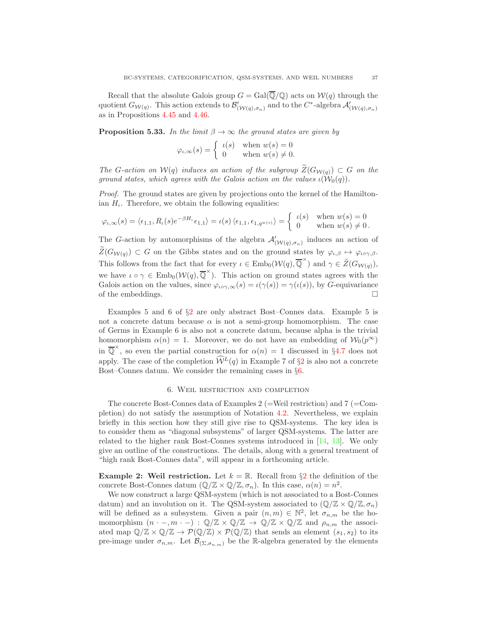Recall that the absolute Galois group  $G = \text{Gal}(\overline{\mathbb{Q}}/\mathbb{Q})$  acts on  $\mathcal{W}(q)$  through the quotient  $G_{W(q)}$ . This action extends to  $\mathcal{B}'_{(W(q),\sigma_n)}$  and to the  $C^*$ -algebra  $\mathcal{A}'_{(W(q),\sigma_n)}$ as in Propositions [4.45](#page-25-1) and [4.46.](#page-25-4)

**Proposition 5.33.** In the limit  $\beta \to \infty$  the ground states are given by

$$
\varphi_{\iota,\infty}(s) = \begin{cases} \iota(s) & \text{when } w(s) = 0 \\ 0 & \text{when } w(s) \neq 0. \end{cases}
$$

The G-action on  $\mathcal{W}(q)$  induces an action of the subgroup  $\widetilde{Z}(G_{\mathcal{W}(q)}) \subset G$  on the ground states, which agrees with the Galois action on the values  $\iota(\mathcal{W}_0(q))$ .

Proof. The ground states are given by projections onto the kernel of the Hamiltonian  $H_{\iota}$ . Therefore, we obtain the following equalities:

$$
\varphi_{\iota,\infty}(s) = \langle \epsilon_{1,1}, R_{\iota}(s)e^{-\beta H_{\iota}} \epsilon_{1,1} \rangle = \iota(s) \langle \epsilon_{1,1}, \epsilon_{1,q^{w(s)}} \rangle = \begin{cases} \iota(s) & \text{when } w(s) = 0 \\ 0 & \text{when } w(s) \neq 0. \end{cases}
$$

The G-action by automorphisms of the algebra  $\mathcal{A}'_{(\mathcal{W}(q), \sigma_n)}$  induces an action of  $\widetilde{Z}(G_{W(q)}) \subset G$  on the Gibbs states and on the ground states by  $\varphi_{\iota,\beta} \mapsto \varphi_{\iota \circ \gamma,\beta}$ . This follows from the fact that for every  $\iota \in \text{Emb}_0(\mathcal{W}(q), \overline{\mathbb{Q}}^{\times})$  and  $\gamma \in \tilde{Z}(G_{\mathcal{W}(q)})$ , we have  $\iota \circ \gamma \in \text{Emb}_0(\mathcal{W}(q), \overline{\mathbb{Q}}^{\times})$ . This action on ground states agrees with the Galois action on the values, since  $\varphi_{\iota\circ\gamma,\infty}(s) = \iota(\gamma(s)) = \gamma(\iota(s))$ , by G-equivariance of the embeddings.  $\Box$ 

Examples 5 and 6 of  $\S2$  $\S2$  are only abstract Bost–Connes data. Example 5 is not a concrete datum because  $\alpha$  is not a semi-group homomorphism. The case of Germs in Example 6 is also not a concrete datum, because alpha is the trivial homomorphism  $\alpha(n) = 1$ . Moreover, we do not have an embedding of  $\mathcal{W}_0(p^{\infty})$ in  $\overline{Q}^{\times}$ , so even the partial construction for  $\alpha(n) = 1$  discussed in §[4.7](#page-27-2) does not apply. The case of the completion  $\widehat{W}^L(q)$  in Example 7 of §[2](#page-3-0) is also not a concrete Bost–Connes datum. We consider the remaining cases in §[6.](#page-36-0)

#### 6. Weil restriction and completion

<span id="page-36-0"></span>The concrete Bost-Connes data of Examples 2 (=Weil restriction) and 7 (=Completion) do not satisfy the assumption of Notation [4.2.](#page-15-1) Nevertheless, we explain briefly in this section how they still give rise to QSM-systems. The key idea is to consider them as "diagonal subsystems" of larger QSM-systems. The latter are related to the higher rank Bost-Connes systems introduced in [\[14,](#page-39-15) [13\]](#page-39-14). We only give an outline of the constructions. The details, along with a general treatment of "high rank Bost-Connes data", will appear in a forthcoming article.

**Example [2](#page-3-0): Weil restriction.** Let  $k = \mathbb{R}$ . Recall from §2 the definition of the concrete Bost-Connes datum  $(\mathbb{Q}/\mathbb{Z} \times \mathbb{Q}/\mathbb{Z}, \sigma_n)$ . In this case,  $\alpha(n) = n^2$ .

We now construct a large QSM-system (which is not associated to a Bost-Connes datum) and an involution on it. The QSM-system associated to  $(\mathbb{Q}/\mathbb{Z} \times \mathbb{Q}/\mathbb{Z}, \sigma_n)$ will be defined as a subsystem. Given a pair  $(n, m) \in \mathbb{N}^2$ , let  $\sigma_{n,m}$  be the homomorphism  $(n \cdot -, m \cdot -) : \mathbb{Q}/\mathbb{Z} \times \mathbb{Q}/\mathbb{Z} \to \mathbb{Q}/\mathbb{Z} \times \mathbb{Q}/\mathbb{Z}$  and  $\rho_{n,m}$  the associated map  $\mathbb{Q}/\mathbb{Z} \times \mathbb{Q}/\mathbb{Z} \to \mathcal{P}(\mathbb{Q}/\mathbb{Z}) \times \mathcal{P}(\mathbb{Q}/\mathbb{Z})$  that sends an element  $(s_1, s_2)$  to its pre-image under  $\sigma_{n,m}$ . Let  $\mathcal{B}_{(\Sigma,\sigma_{n,m})}$  be the R-algebra generated by the elements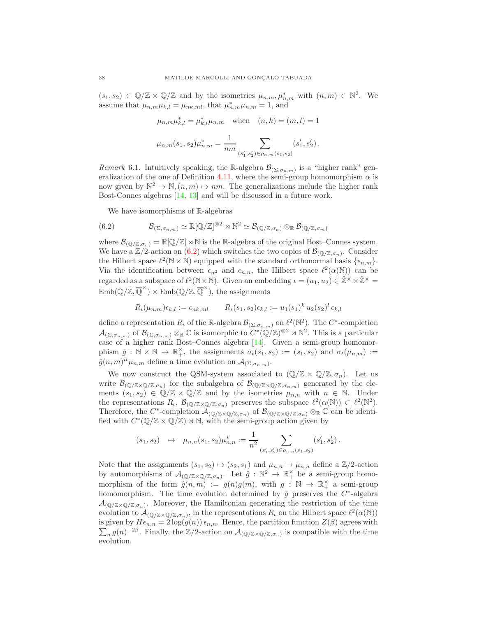$(s_1, s_2) \in \mathbb{Q}/\mathbb{Z} \times \mathbb{Q}/\mathbb{Z}$  and by the isometries  $\mu_{n,m}, \mu_{n,m}^*$  with  $(n,m) \in \mathbb{N}^2$ . We assume that  $\mu_{n,m}\mu_{k,l} = \mu_{nk,ml}$ , that  $\mu_{n,m}^* \mu_{n,m} = 1$ , and

$$
\mu_{n,m} \mu_{k,l}^* = \mu_{k,l}^* \mu_{n,m} \quad \text{when} \quad (n,k) = (m,l) = 1
$$
  

$$
\mu_{n,m}(s_1, s_2) \mu_{n,m}^* = \frac{1}{nm} \sum_{(s'_1, s'_2) \in \rho_{n,m}(s_1, s_2)} (s'_1, s'_2).
$$

*Remark* 6.1. Intuitively speaking, the R-algebra  $\mathcal{B}_{(\Sigma,\sigma_{n,m})}$  is a "higher rank" gen-eralization of the one of Definition [4.11,](#page-17-1) where the semi-group homomorphism  $\alpha$  is now given by  $\mathbb{N}^2 \to \mathbb{N}, (n, m) \mapsto nm$ . The generalizations include the higher rank Bost-Connes algebras [\[14,](#page-39-15) [13\]](#page-39-14) and will be discussed in a future work.

<span id="page-37-0"></span>We have isomorphisms of R-algebras

(6.2) 
$$
\mathcal{B}_{(\Sigma,\sigma_{n,m})} \simeq \mathbb{R}[\mathbb{Q}/\mathbb{Z}]^{\otimes 2} \rtimes \mathbb{N}^2 \simeq \mathcal{B}_{(\mathbb{Q}/\mathbb{Z},\sigma_n)} \otimes_{\mathbb{R}} \mathcal{B}_{(\mathbb{Q}/\mathbb{Z},\sigma_m)}
$$

where  $\mathcal{B}_{(\mathbb{Q}/\mathbb{Z},\sigma_n)} = \mathbb{R}[\mathbb{Q}/\mathbb{Z}] \rtimes \mathbb{N}$  is the R-algebra of the original Bost–Connes system. We have a  $\mathbb{Z}/2$ -action on  $(6.2)$  which switches the two copies of  $\mathcal{B}_{(\mathbb{Q}/\mathbb{Z},\sigma_n)}$ . Consider the Hilbert space  $\ell^2(\mathbb{N} \times \mathbb{N})$  equipped with the standard orthonormal basis  $\{\epsilon_{n,m}\}.$ Via the identification between  $\epsilon_{n^2}$  and  $\epsilon_{n,n}$ , the Hilbert space  $\ell^2(\alpha(\mathbb{N}))$  can be regarded as a subspace of  $\ell^2(\mathbb{N}\times\mathbb{N})$ . Given an embedding  $\iota = (u_1, u_2) \in \hat{\mathbb{Z}}^\times \times \hat{\mathbb{Z}}^\times =$  $\text{Emb}(\mathbb{Q}/\mathbb{Z}, \overline{\mathbb{Q}}^{\times}) \times \text{Emb}(\mathbb{Q}/\mathbb{Z}, \overline{\mathbb{Q}}^{\times}),$  the assignments

$$
R_{\iota}(\mu_{n,m})\epsilon_{k,l} := \epsilon_{nk,ml} \qquad R_{\iota}(s_1,s_2)\epsilon_{k,l} := u_1(s_1)^k u_2(s_2)^l \epsilon_{k,l}
$$

define a representation  $R_{\iota}$  of the R-algebra  $\mathcal{B}_{(\Sigma,\sigma_{n,m})}$  on  $\ell^2(\mathbb{N}^2)$ . The  $C^*$ -completion  $\mathcal{A}_{(\Sigma,\sigma_{n,m})}$  of  $\mathcal{B}_{(\Sigma,\sigma_{n,m})} \otimes_{\mathbb{R}} \mathbb{C}$  is isomorphic to  $C^*(\mathbb{Q}/\mathbb{Z})^{\otimes 2} \rtimes \mathbb{N}^2$ . This is a particular case of a higher rank Bost–Connes algebra [\[14\]](#page-39-15). Given a semi-group homomorphism  $\hat{g} : \mathbb{N} \times \mathbb{N} \to \mathbb{R}^{\times}_+$ , the assignments  $\sigma_t(s_1, s_2) := (s_1, s_2)$  and  $\sigma_t(\mu_{n,m}) :=$  $\hat{g}(n,m)^{it} \mu_{n,m}$  define a time evolution on  $\mathcal{A}_{(\Sigma,\sigma_{n,m})}$ .

We now construct the QSM-system associated to  $(\mathbb{Q}/\mathbb{Z} \times \mathbb{Q}/\mathbb{Z}, \sigma_n)$ . Let us write  $\mathcal{B}_{(\mathbb{Q}/\mathbb{Z}\times\mathbb{Q}/\mathbb{Z},\sigma_n)}$  for the subalgebra of  $\mathcal{B}_{(\mathbb{Q}/\mathbb{Z}\times\mathbb{Q}/\mathbb{Z},\sigma_{n,m})}$  generated by the elements  $(s_1, s_2) \in \mathbb{Q}/\mathbb{Z} \times \mathbb{Q}/\mathbb{Z}$  and by the isometries  $\mu_{n,n}$  with  $n \in \mathbb{N}$ . Under the representations  $R_{\iota}$ ,  $\mathcal{B}_{(\mathbb{Q}/\mathbb{Z}\times\mathbb{Q}/\mathbb{Z},\sigma_n)}$  preserves the subspace  $\ell^2(\alpha(\mathbb{N})) \subset \ell^2(\mathbb{N}^2)$ . Therefore, the C<sup>\*</sup>-completion  $\mathcal{A}_{(\mathbb{Q}/\mathbb{Z}\times\mathbb{Q}/\mathbb{Z},\sigma_n)}$  of  $\mathcal{B}_{(\mathbb{Q}/\mathbb{Z}\times\mathbb{Q}/\mathbb{Z},\sigma_n)}\otimes_{\mathbb{R}}\mathbb{C}$  can be identified with  $C^*(\mathbb{Q}/\mathbb{Z} \times \mathbb{Q}/\mathbb{Z}) \rtimes \mathbb{N}$ , with the semi-group action given by

$$
(s_1, s_2) \quad \mapsto \quad \mu_{n,n}(s_1, s_2) \mu_{n,n}^* := \frac{1}{n^2} \sum_{(s_1', s_2') \in \rho_{n,n}(s_1, s_2)} (s_1', s_2') .
$$

Note that the assignments  $(s_1, s_2) \mapsto (s_2, s_1)$  and  $\mu_{n,n} \mapsto \mu_{n,n}$  define a  $\mathbb{Z}/2$ -action by automorphisms of  $\mathcal{A}_{(\mathbb{Q}/\mathbb{Z}\times\mathbb{Q}/\mathbb{Z},\sigma_n)}$ . Let  $\hat{g}: \mathbb{N}^2 \to \mathbb{R}_+^\times$  be a semi-group homomorphism of the form  $\hat{g}(n,m) := g(n)g(m)$ , with  $g : \mathbb{N} \to \mathbb{R}^{\times}$  a semi-group homomorphism. The time evolution determined by  $\hat{g}$  preserves the  $C^*$ -algebra  $\mathcal{A}_{(\mathbb{Q}/\mathbb{Z}\times\mathbb{Q}/\mathbb{Z},\sigma_n)}$ . Moreover, the Hamiltonian generating the restriction of the time evolution to  $\mathcal{A}_{(\mathbb{Q}/\mathbb{Z}\times\mathbb{Q}/\mathbb{Z},\sigma_n)}$ , in the representations  $R_\iota$  on the Hilbert space  $\ell^2(\alpha(\mathbb{N}))$ is given by  $H\epsilon_{n,n} = 2\log(g(n))\epsilon_{n,n}$ . Hence, the partition function  $Z(\beta)$  agrees with  $\sum_n g(n)^{-2\beta}$ . Finally, the Z/2-action on  $\mathcal{A}_{(\mathbb{Q}/\mathbb{Z}\times\mathbb{Q}/\mathbb{Z},\sigma_n)}$  is compatible with the time evolution.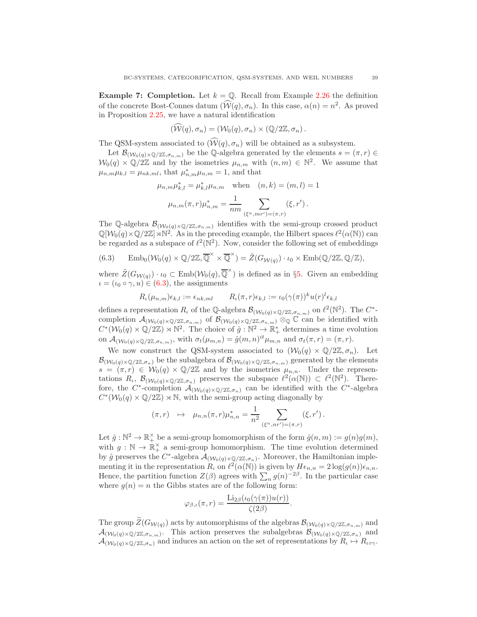**Example 7: Completion.** Let  $k = \mathbb{Q}$ . Recall from Example [2.26](#page-8-3) the definition of the concrete Bost-Connes datum  $(\widehat{W}(q), \sigma_n)$ . In this case,  $\alpha(n) = n^2$ . As proved in Proposition 2.25, we have a natural identification

$$
(\mathcal{W}(q), \sigma_n) = (\mathcal{W}_0(q), \sigma_n) \times (\mathbb{Q}/2\mathbb{Z}, \sigma_n).
$$

The QSM-system associated to  $(\widehat{W}(q), \sigma_n)$  will be obtained as a subsystem.

Let  $\mathcal{B}_{(\mathcal{W}_0(q)\times\mathbb{Q}/2\mathbb{Z},\sigma_{n,m})}$  be the Q-algebra generated by the elements  $s=(\pi,r)\in\mathbb{Z}$  $W_0(q) \times \mathbb{Q}/2\mathbb{Z}$  and by the isometries  $\mu_{n,m}$  with  $(n,m) \in \mathbb{N}^2$ . We assume that  $\mu_{n,m}\mu_{k,l} = \mu_{nk,ml}$ , that  $\mu_{n,m}^* \mu_{n,m} = 1$ , and that

$$
\mu_{n,m}\mu_{k,l}^* = \mu_{k,l}^* \mu_{n,m}
$$
 when  $(n,k) = (m,l) = 1$   

$$
\mu_{n,m}(\pi, r)\mu_{n,m}^* = \frac{1}{nm} \sum_{(\xi^n, mr') = (\pi, r)} (\xi, r').
$$

The Q-algebra  $\mathcal{B}_{(\mathcal{W}_0(q)\times\mathbb{Q}/2\mathbb{Z},\sigma_{n,m})}$  identifies with the semi-group crossed product  $\mathbb{Q}[\mathcal{W}_0(q)\times\mathbb{Q}/2\mathbb{Z}]\rtimes\mathbb{N}^2$ . As in the preceding example, the Hilbert spaces  $\ell^2(\alpha(\mathbb{N}))$  can be regarded as a subspace of  $\ell^2(\mathbb{N}^2)$ . Now, consider the following set of embeddings

<span id="page-38-0"></span>(6.3) 
$$
\operatorname{Emb}_0(\mathcal{W}_0(q) \times \mathbb{Q}/2\mathbb{Z}, \overline{\mathbb{Q}}^{\times} \times \overline{\mathbb{Q}}^{\times}) = \tilde{Z}(G_{\mathcal{W}(q)}) \cdot \iota_0 \times \operatorname{Emb}(\mathbb{Q}/2\mathbb{Z}, \mathbb{Q}/\mathbb{Z}),
$$

where  $\widetilde{Z}(G_{W(q)}) \cdot \iota_0 \subset \text{Emb}(\mathcal{W}_0(q), \overline{\mathbb{Q}}^{\times})$  is defined as in §[5.](#page-32-0) Given an embedding  $\iota = (\iota_0 \circ \gamma, u) \in (6.3)$  $\iota = (\iota_0 \circ \gamma, u) \in (6.3)$ , the assignments

$$
R_{\iota}(\mu_{n,m})\epsilon_{k,l} := \epsilon_{nk,ml} \qquad R_{\iota}(\pi,r)\epsilon_{k,l} := \iota_0(\gamma(\pi))^k u(r)^l \epsilon_{k,l}
$$

defines a representation  $R_{\iota}$  of the Q-algebra  $\mathcal{B}_{(\mathcal{W}_0(q)\times\mathbb{Q}/2\mathbb{Z},\sigma_{n,m})}$  on  $\ell^2(\mathbb{N}^2)$ . The  $C^*$ completion  $\mathcal{A}_{(\mathcal{W}_0(q)\times\mathbb{Q}/2\mathbb{Z},\sigma_{n,m})}$  of  $\mathcal{B}_{(\mathcal{W}_0(q)\times\mathbb{Q}/2\mathbb{Z},\sigma_{n,m})}$   $\otimes_{\mathbb{Q}}\mathbb{C}$  can be identified with  $C^*(\mathcal{W}_0(q)\times\mathbb{Q}/2\mathbb{Z})\rtimes\mathbb{N}^2$ . The choice of  $\hat{g}: \mathbb{N}^2\to\mathbb{R}_+^*$  determines a time evolution on  $\mathcal{A}_{(\mathcal{W}_0(q)\times\mathbb{Q}/2\mathbb{Z},\sigma_{n,m})}$ , with  $\sigma_t(\mu_{m,n}) = \hat{g}(m,n)^{it} \mu_{m,n}$  and  $\sigma_t(\pi,r) = (\pi,r)$ .

We now construct the QSM-system associated to  $(\mathcal{W}_0(q) \times \mathbb{Q}/2\mathbb{Z}, \sigma_n)$ . Let  $\mathcal{B}_{(\mathcal{W}_0(q)\times\mathbb{Q}/2\mathbb{Z},\sigma_n)}$  be the subalgebra of  $\mathcal{B}_{(\mathcal{W}_0(q)\times\mathbb{Q}/2\mathbb{Z},\sigma_{n,m})}$  generated by the elements  $s = (\pi, r) \in \mathcal{W}_0(q) \times \mathbb{Q}/2\mathbb{Z}$  and by the isometries  $\mu_{n,n}$ . Under the representations  $R_{\iota}$ ,  $\mathcal{B}_{(\mathcal{W}_0(q)\times\mathbb{Q}/2\mathbb{Z},\sigma_n)}$  preserves the subspace  $\ell^2(\alpha(\mathbb{N})) \subset \ell^2(\mathbb{N}^2)$ . Therefore, the  $C^*$ -completion  $\mathcal{A}_{(\mathcal{W}_0(q)\times\mathbb{Q}/2\mathbb{Z},\sigma_n)}$  can be identified with the  $C^*$ -algebra  $C^*(\mathcal{W}_0(q) \times \mathbb{Q}/2\mathbb{Z}) \rtimes \mathbb{N}$ , with the semi-group acting diagonally by

$$
(\pi,r) \quad \mapsto \quad \mu_{n,n}(\pi,r)\mu_{n,n}^* = \frac{1}{n^2} \sum_{(\xi^n,nr') = (\pi,r)} (\xi,r') \, .
$$

Let  $\hat{g}: \mathbb{N}^2 \to \mathbb{R}_+^{\times}$  be a semi-group homomorphism of the form  $\hat{g}(n,m) := g(n)g(m)$ , with  $g : \mathbb{N} \to \mathbb{R}_+^{\times}$  a semi-group homomorphism. The time evolution determined by  $\hat{g}$  preserves the  $C^*$ -algebra  $\mathcal{A}_{(\mathcal{W}_0(q)\times\mathbb{Q}/2\mathbb{Z},\sigma_n)}$ . Moreover, the Hamiltonian implementing it in the representation  $R_t$  on  $\ell^2(\alpha(\mathbb{N}))$  is given by  $H\epsilon_{n,n} = 2\log(g(n))\epsilon_{n,n}$ . Hence, the partition function  $Z(\beta)$  agrees with  $\sum_n g(n)^{-2\beta}$ . In the particular case where  $q(n) = n$  the Gibbs states are of the following form:

$$
\varphi_{\beta,\iota}(\pi,r) = \frac{\text{Li}_{2\beta}(\iota_0(\gamma(\pi))u(r))}{\zeta(2\beta)}.
$$

The group  $\widetilde{Z}(G_{W(q)})$  acts by automorphisms of the algebras  $\mathcal{B}_{(W_0(q)\times\mathbb{Q}/2\mathbb{Z},\sigma_{n,m})}$  and  $\mathcal{A}_{(\mathcal{W}_0(q)\times\mathbb{Q}/2\mathbb{Z},\sigma_{n,m})}$ . This action preserves the subalgebras  $\mathcal{B}_{(\mathcal{W}_0(q)\times\mathbb{Q}/2\mathbb{Z},\sigma_n)}$  and  $\mathcal{A}_{(\mathcal{W}_0(q)\times\mathbb{Q}/2\mathbb{Z},\sigma_n)}$  and induces an action on the set of representations by  $R_\iota \mapsto R_{\iota\circ\gamma}$ .